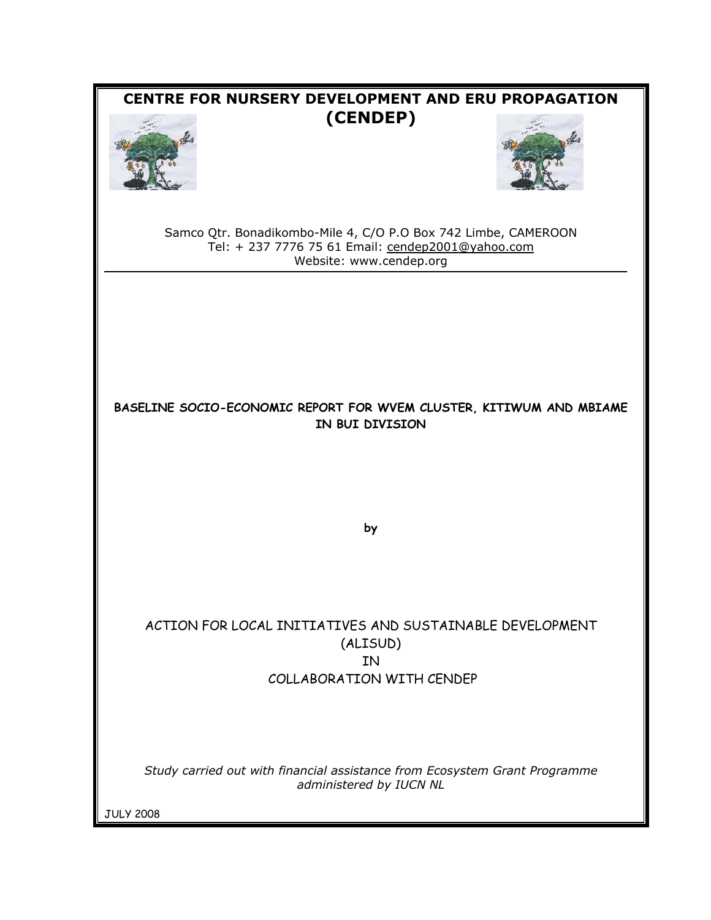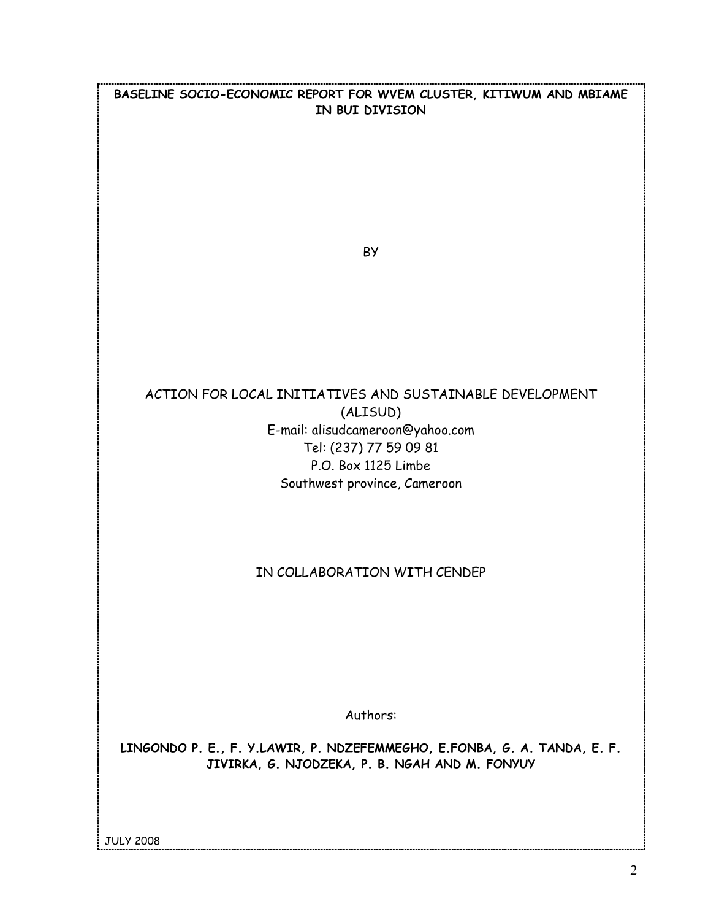**BASELINE SOCIO-ECONOMIC REPORT FOR WVEM CLUSTER, KITIWUM AND MBIAME IN BUI DIVISION** 

**BY** 

# ACTION FOR LOCAL INITIATIVES AND SUSTAINABLE DEVELOPMENT (ALISUD) E-mail: alisudcameroon@yahoo.com Tel: (237) 77 59 09 81 P.O. Box 1125 Limbe Southwest province, Cameroon

## IN COLLABORATION WITH CENDEP

Authors:

**LINGONDO P. E., F. Y.LAWIR, P. NDZEFEMMEGHO, E.FONBA, G. A. TANDA, E. F. JIVIRKA, G. NJODZEKA, P. B. NGAH AND M. FONYUY** 

JULY 2008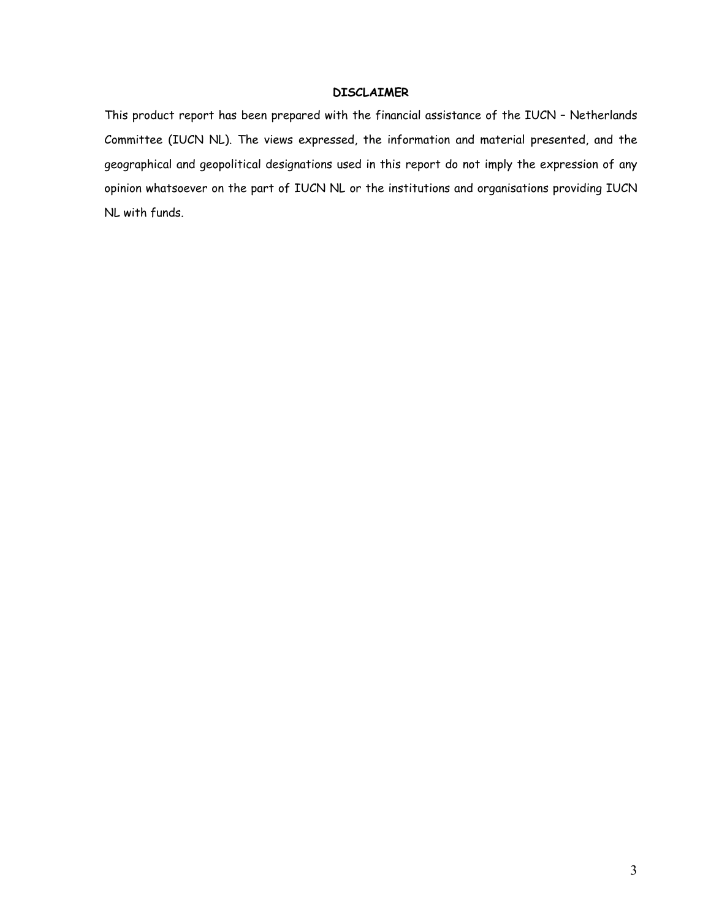#### **DISCLAIMER**

This product report has been prepared with the financial assistance of the IUCN – Netherlands Committee (IUCN NL). The views expressed, the information and material presented, and the geographical and geopolitical designations used in this report do not imply the expression of any opinion whatsoever on the part of IUCN NL or the institutions and organisations providing IUCN NL with funds.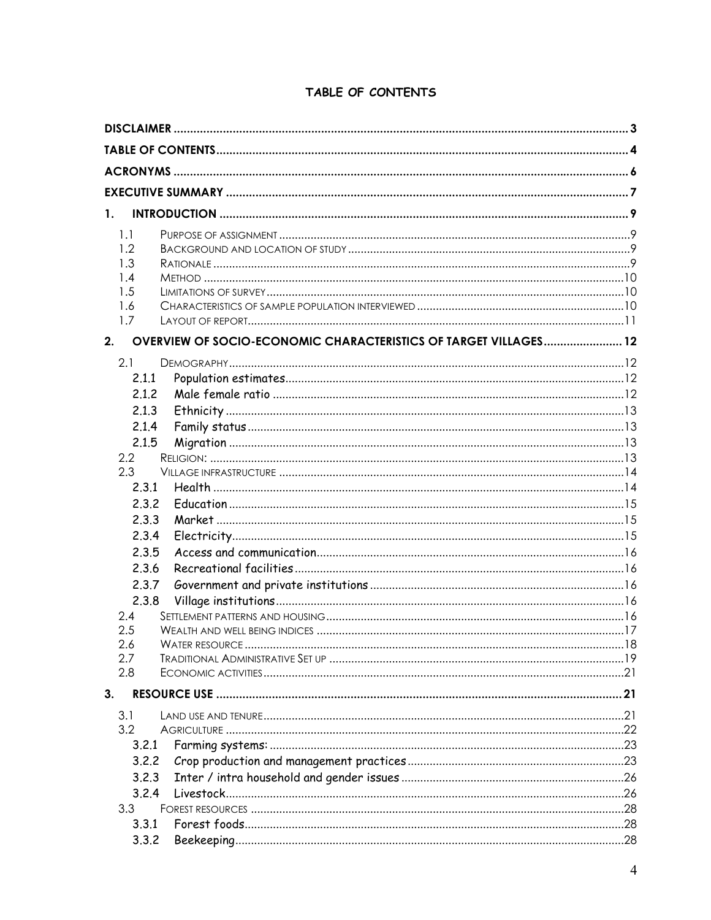| $\mathbf{1}$ .<br>1.1<br>1.2<br>1.3<br>1.4<br>1.5<br>1.6<br>1.7<br>OVERVIEW OF SOCIO-ECONOMIC CHARACTERISTICS OF TARGET VILLAGES 12<br>2.1<br>2.1.1<br>2.1.2<br>2.1.3<br>2.1.4<br>2.1.5<br>$2.2\phantom{0}$<br>2.3<br>2.3.1<br>2.3.2<br>2.3.3<br>2.3.4<br>2.3.5<br>2.3.6<br>2.3.7<br>2.3.8<br>2.4<br>2.5<br>2.6<br>2.7<br>2.8<br>3.1<br>3.2<br>3.2.1<br>3.2.2<br>3.2.3<br>3.2.4 |     |  |
|---------------------------------------------------------------------------------------------------------------------------------------------------------------------------------------------------------------------------------------------------------------------------------------------------------------------------------------------------------------------------------|-----|--|
|                                                                                                                                                                                                                                                                                                                                                                                 |     |  |
|                                                                                                                                                                                                                                                                                                                                                                                 |     |  |
|                                                                                                                                                                                                                                                                                                                                                                                 |     |  |
|                                                                                                                                                                                                                                                                                                                                                                                 |     |  |
|                                                                                                                                                                                                                                                                                                                                                                                 |     |  |
|                                                                                                                                                                                                                                                                                                                                                                                 |     |  |
|                                                                                                                                                                                                                                                                                                                                                                                 |     |  |
|                                                                                                                                                                                                                                                                                                                                                                                 |     |  |
|                                                                                                                                                                                                                                                                                                                                                                                 |     |  |
|                                                                                                                                                                                                                                                                                                                                                                                 |     |  |
|                                                                                                                                                                                                                                                                                                                                                                                 |     |  |
|                                                                                                                                                                                                                                                                                                                                                                                 | 2.  |  |
|                                                                                                                                                                                                                                                                                                                                                                                 |     |  |
|                                                                                                                                                                                                                                                                                                                                                                                 |     |  |
|                                                                                                                                                                                                                                                                                                                                                                                 |     |  |
|                                                                                                                                                                                                                                                                                                                                                                                 |     |  |
|                                                                                                                                                                                                                                                                                                                                                                                 |     |  |
|                                                                                                                                                                                                                                                                                                                                                                                 |     |  |
|                                                                                                                                                                                                                                                                                                                                                                                 |     |  |
|                                                                                                                                                                                                                                                                                                                                                                                 |     |  |
|                                                                                                                                                                                                                                                                                                                                                                                 |     |  |
|                                                                                                                                                                                                                                                                                                                                                                                 |     |  |
|                                                                                                                                                                                                                                                                                                                                                                                 |     |  |
|                                                                                                                                                                                                                                                                                                                                                                                 |     |  |
|                                                                                                                                                                                                                                                                                                                                                                                 |     |  |
|                                                                                                                                                                                                                                                                                                                                                                                 |     |  |
|                                                                                                                                                                                                                                                                                                                                                                                 |     |  |
|                                                                                                                                                                                                                                                                                                                                                                                 |     |  |
|                                                                                                                                                                                                                                                                                                                                                                                 |     |  |
|                                                                                                                                                                                                                                                                                                                                                                                 |     |  |
|                                                                                                                                                                                                                                                                                                                                                                                 |     |  |
|                                                                                                                                                                                                                                                                                                                                                                                 |     |  |
|                                                                                                                                                                                                                                                                                                                                                                                 |     |  |
|                                                                                                                                                                                                                                                                                                                                                                                 | 3.  |  |
|                                                                                                                                                                                                                                                                                                                                                                                 |     |  |
|                                                                                                                                                                                                                                                                                                                                                                                 |     |  |
|                                                                                                                                                                                                                                                                                                                                                                                 |     |  |
|                                                                                                                                                                                                                                                                                                                                                                                 |     |  |
|                                                                                                                                                                                                                                                                                                                                                                                 |     |  |
|                                                                                                                                                                                                                                                                                                                                                                                 |     |  |
|                                                                                                                                                                                                                                                                                                                                                                                 | 3.3 |  |
| 3.3.1                                                                                                                                                                                                                                                                                                                                                                           |     |  |
| 3.3.2                                                                                                                                                                                                                                                                                                                                                                           |     |  |

# TABLE OF CONTENTS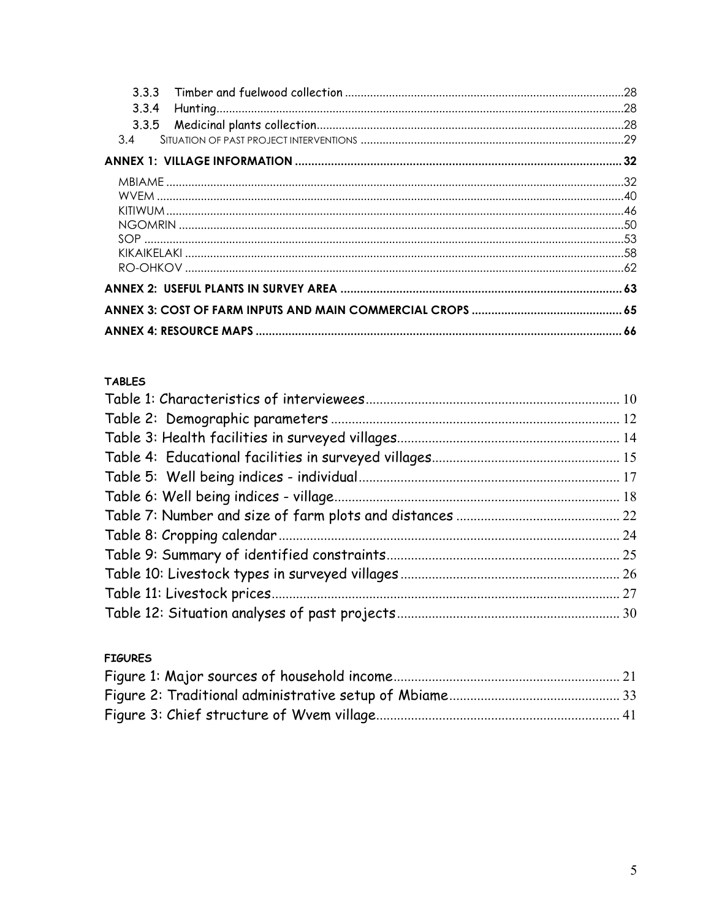| 333   |  |
|-------|--|
| 3.3.4 |  |
|       |  |
| 3.4   |  |
|       |  |
|       |  |
|       |  |
|       |  |
|       |  |
|       |  |
|       |  |
|       |  |
|       |  |
|       |  |
|       |  |

## **TABLES**

| 24<br>25 |  |
|----------|--|
|          |  |
|          |  |
|          |  |
|          |  |
|          |  |
|          |  |
|          |  |
|          |  |
|          |  |
|          |  |
|          |  |

# **FIGURES**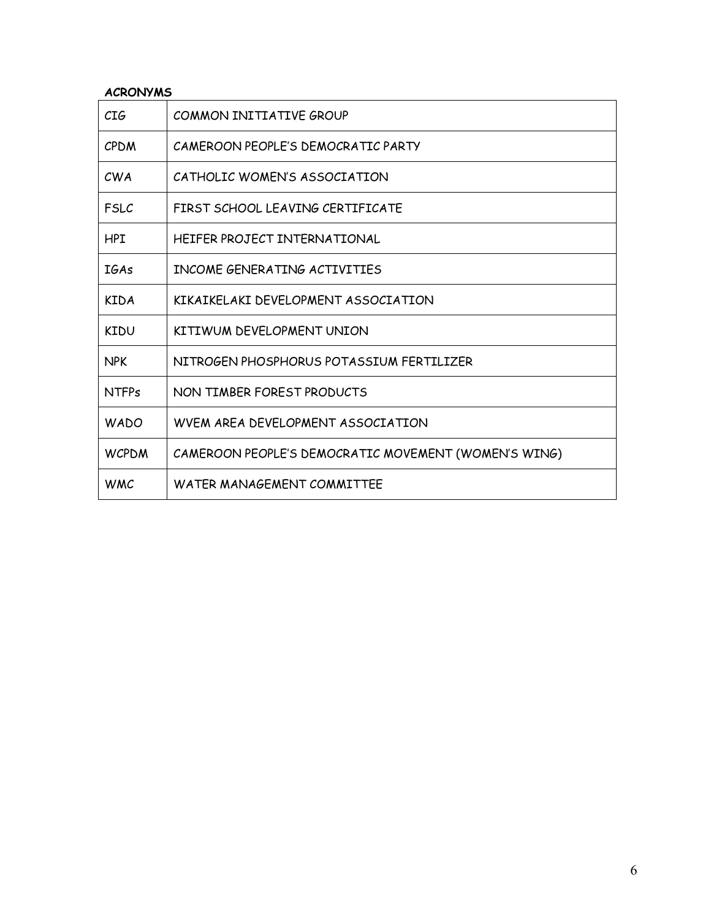## **ACRONYMS**

| CIG          | COMMON INITIATIVE GROUP                              |
|--------------|------------------------------------------------------|
| <b>CPDM</b>  | CAMEROON PEOPLE'S DEMOCRATIC PARTY                   |
| CWA          | CATHOLIC WOMEN'S ASSOCIATION                         |
| <b>FSLC</b>  | FIRST SCHOOL LEAVING CERTIFICATE                     |
| HPI          | HEIFER PROJECT INTERNATIONAL                         |
| <b>IGAs</b>  | INCOME GENERATING ACTIVITIES                         |
| <b>KIDA</b>  | KIKAIKELAKI DEVELOPMENT ASSOCIATION                  |
| KIDU         | KITIWUM DEVELOPMENT UNION                            |
| <b>NPK</b>   | NITROGEN PHOSPHORUS POTASSIUM FERTILIZER             |
| <b>NTFPs</b> | NON TIMBER FOREST PRODUCTS                           |
| <b>WADO</b>  | WVEM AREA DEVELOPMENT ASSOCIATION                    |
| <b>WCPDM</b> | CAMEROON PEOPLE'S DEMOCRATIC MOVEMENT (WOMEN'S WING) |
| <b>WMC</b>   | WATER MANAGEMENT COMMITTEE                           |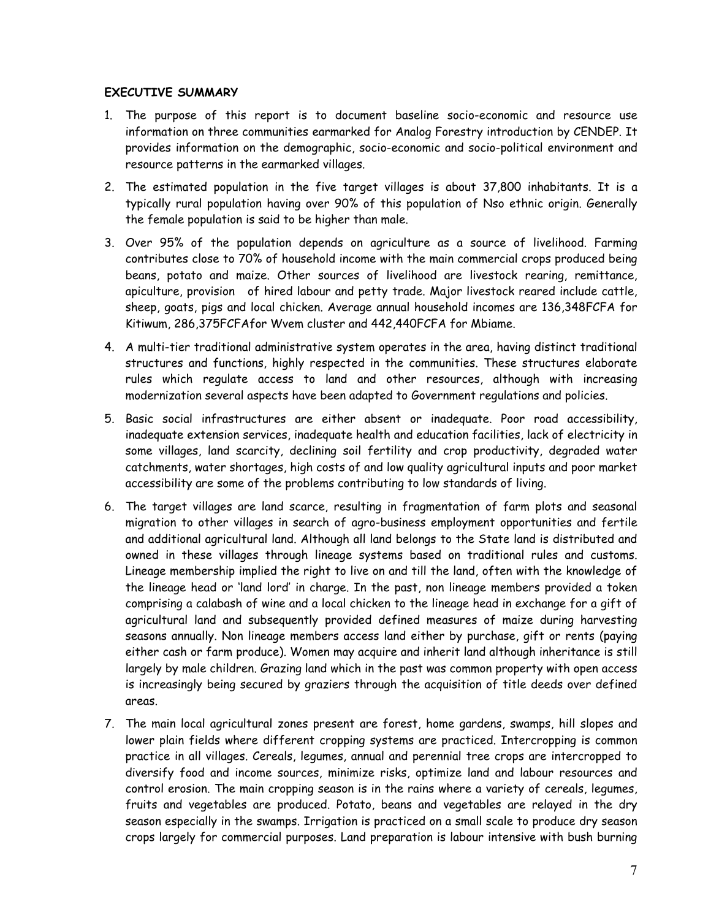#### **EXECUTIVE SUMMARY**

- 1. The purpose of this report is to document baseline socio-economic and resource use information on three communities earmarked for Analog Forestry introduction by CENDEP. It provides information on the demographic, socio-economic and socio-political environment and resource patterns in the earmarked villages.
- 2. The estimated population in the five target villages is about 37,800 inhabitants. It is a typically rural population having over 90% of this population of Nso ethnic origin. Generally the female population is said to be higher than male.
- 3. Over 95% of the population depends on agriculture as a source of livelihood. Farming contributes close to 70% of household income with the main commercial crops produced being beans, potato and maize. Other sources of livelihood are livestock rearing, remittance, apiculture, provision of hired labour and petty trade. Major livestock reared include cattle, sheep, goats, pigs and local chicken. Average annual household incomes are 136,348FCFA for Kitiwum, 286,375FCFAfor Wvem cluster and 442,440FCFA for Mbiame.
- 4. A multi-tier traditional administrative system operates in the area, having distinct traditional structures and functions, highly respected in the communities. These structures elaborate rules which regulate access to land and other resources, although with increasing modernization several aspects have been adapted to Government regulations and policies.
- 5. Basic social infrastructures are either absent or inadequate. Poor road accessibility, inadequate extension services, inadequate health and education facilities, lack of electricity in some villages, land scarcity, declining soil fertility and crop productivity, degraded water catchments, water shortages, high costs of and low quality agricultural inputs and poor market accessibility are some of the problems contributing to low standards of living.
- 6. The target villages are land scarce, resulting in fragmentation of farm plots and seasonal migration to other villages in search of agro-business employment opportunities and fertile and additional agricultural land. Although all land belongs to the State land is distributed and owned in these villages through lineage systems based on traditional rules and customs. Lineage membership implied the right to live on and till the land, often with the knowledge of the lineage head or 'land lord' in charge. In the past, non lineage members provided a token comprising a calabash of wine and a local chicken to the lineage head in exchange for a gift of agricultural land and subsequently provided defined measures of maize during harvesting seasons annually. Non lineage members access land either by purchase, gift or rents (paying either cash or farm produce). Women may acquire and inherit land although inheritance is still largely by male children. Grazing land which in the past was common property with open access is increasingly being secured by graziers through the acquisition of title deeds over defined areas.
- 7. The main local agricultural zones present are forest, home gardens, swamps, hill slopes and lower plain fields where different cropping systems are practiced. Intercropping is common practice in all villages. Cereals, legumes, annual and perennial tree crops are intercropped to diversify food and income sources, minimize risks, optimize land and labour resources and control erosion. The main cropping season is in the rains where a variety of cereals, legumes, fruits and vegetables are produced. Potato, beans and vegetables are relayed in the dry season especially in the swamps. Irrigation is practiced on a small scale to produce dry season crops largely for commercial purposes. Land preparation is labour intensive with bush burning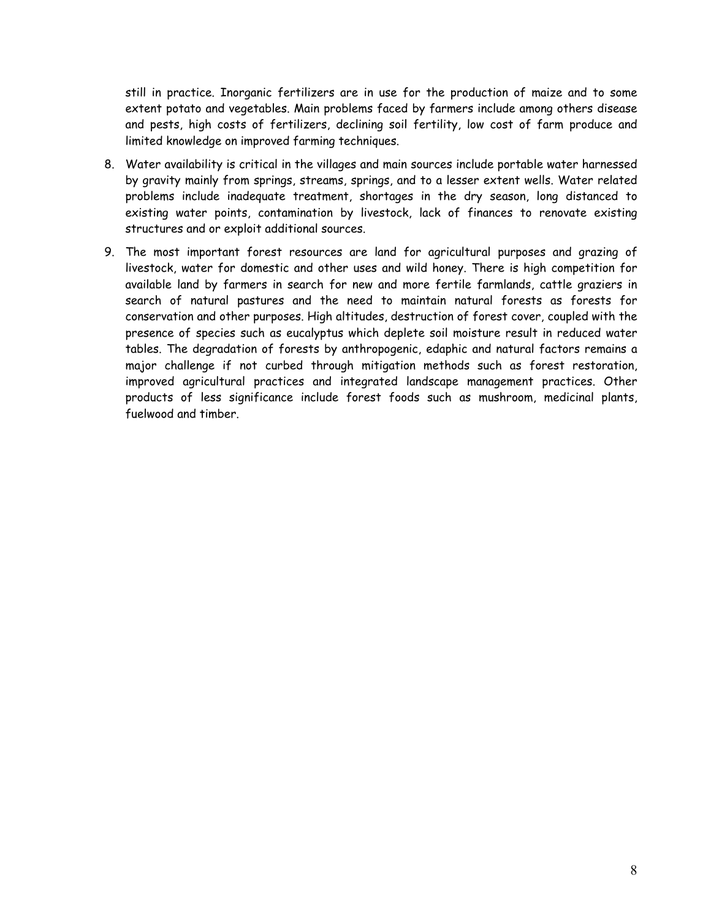still in practice. Inorganic fertilizers are in use for the production of maize and to some extent potato and vegetables. Main problems faced by farmers include among others disease and pests, high costs of fertilizers, declining soil fertility, low cost of farm produce and limited knowledge on improved farming techniques.

- 8. Water availability is critical in the villages and main sources include portable water harnessed by gravity mainly from springs, streams, springs, and to a lesser extent wells. Water related problems include inadequate treatment, shortages in the dry season, long distanced to existing water points, contamination by livestock, lack of finances to renovate existing structures and or exploit additional sources.
- 9. The most important forest resources are land for agricultural purposes and grazing of livestock, water for domestic and other uses and wild honey. There is high competition for available land by farmers in search for new and more fertile farmlands, cattle graziers in search of natural pastures and the need to maintain natural forests as forests for conservation and other purposes. High altitudes, destruction of forest cover, coupled with the presence of species such as eucalyptus which deplete soil moisture result in reduced water tables. The degradation of forests by anthropogenic, edaphic and natural factors remains a major challenge if not curbed through mitigation methods such as forest restoration, improved agricultural practices and integrated landscape management practices. Other products of less significance include forest foods such as mushroom, medicinal plants, fuelwood and timber.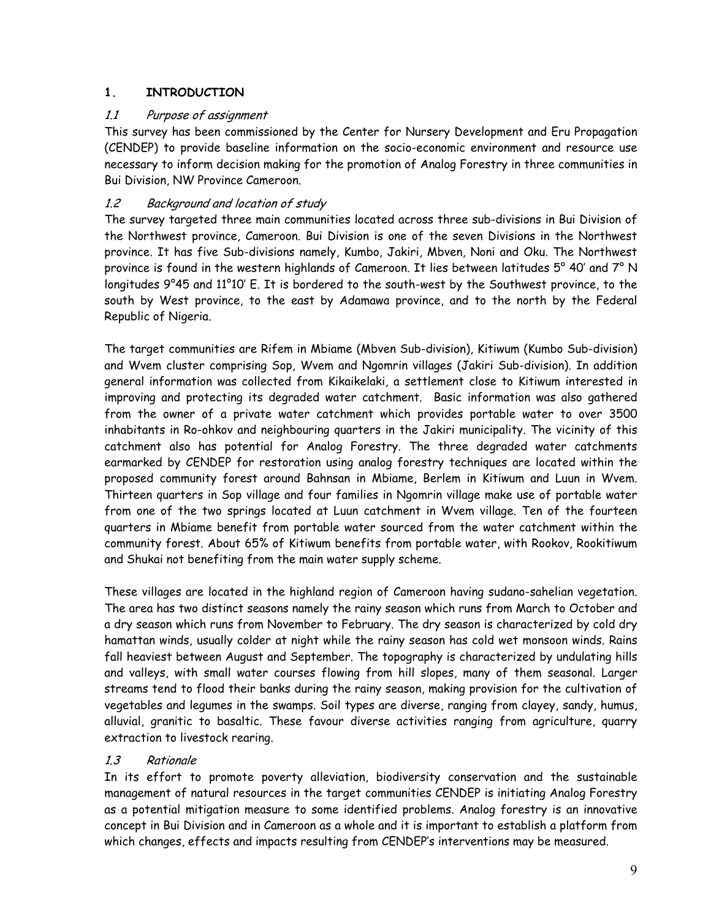## **1. INTRODUCTION**

## 1.1 Purpose of assignment

This survey has been commissioned by the Center for Nursery Development and Eru Propagation (CENDEP) to provide baseline information on the socio-economic environment and resource use necessary to inform decision making for the promotion of Analog Forestry in three communities in Bui Division, NW Province Cameroon.

## 1.2 Background and location of study

The survey targeted three main communities located across three sub-divisions in Bui Division of the Northwest province, Cameroon. Bui Division is one of the seven Divisions in the Northwest province. It has five Sub-divisions namely, Kumbo, Jakiri, Mbven, Noni and Oku. The Northwest province is found in the western highlands of Cameroon. It lies between latitudes 5° 40' and 7° N longitudes 9°45 and 11°10' E. It is bordered to the south-west by the Southwest province, to the south by West province, to the east by Adamawa province, and to the north by the Federal Republic of Nigeria.

The target communities are Rifem in Mbiame (Mbven Sub-division), Kitiwum (Kumbo Sub-division) and Wvem cluster comprising Sop, Wvem and Ngomrin villages (Jakiri Sub-division). In addition general information was collected from Kikaikelaki, a settlement close to Kitiwum interested in improving and protecting its degraded water catchment. Basic information was also gathered from the owner of a private water catchment which provides portable water to over 3500 inhabitants in Ro-ohkov and neighbouring quarters in the Jakiri municipality. The vicinity of this catchment also has potential for Analog Forestry. The three degraded water catchments earmarked by CENDEP for restoration using analog forestry techniques are located within the proposed community forest around Bahnsan in Mbiame, Berlem in Kitiwum and Luun in Wvem. Thirteen quarters in Sop village and four families in Ngomrin village make use of portable water from one of the two springs located at Luun catchment in Wvem village. Ten of the fourteen quarters in Mbiame benefit from portable water sourced from the water catchment within the community forest. About 65% of Kitiwum benefits from portable water, with Rookov, Rookitiwum and Shukai not benefiting from the main water supply scheme.

These villages are located in the highland region of Cameroon having sudano-sahelian vegetation. The area has two distinct seasons namely the rainy season which runs from March to October and a dry season which runs from November to February. The dry season is characterized by cold dry hamattan winds, usually colder at night while the rainy season has cold wet monsoon winds. Rains fall heaviest between August and September. The topography is characterized by undulating hills and valleys, with small water courses flowing from hill slopes, many of them seasonal. Larger streams tend to flood their banks during the rainy season, making provision for the cultivation of vegetables and legumes in the swamps. Soil types are diverse, ranging from clayey, sandy, humus, alluvial, granitic to basaltic. These favour diverse activities ranging from agriculture, quarry extraction to livestock rearing.

## 1.3 Rationale

In its effort to promote poverty alleviation, biodiversity conservation and the sustainable management of natural resources in the target communities CENDEP is initiating Analog Forestry as a potential mitigation measure to some identified problems. Analog forestry is an innovative concept in Bui Division and in Cameroon as a whole and it is important to establish a platform from which changes, effects and impacts resulting from CENDEP's interventions may be measured.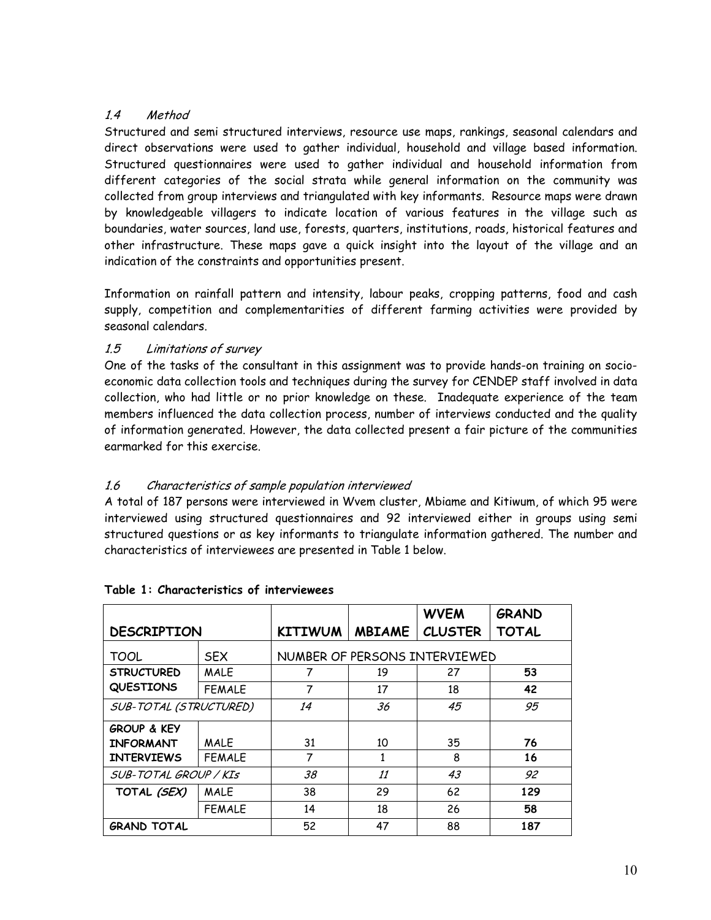## 1.4 Method

Structured and semi structured interviews, resource use maps, rankings, seasonal calendars and direct observations were used to gather individual, household and village based information. Structured questionnaires were used to gather individual and household information from different categories of the social strata while general information on the community was collected from group interviews and triangulated with key informants. Resource maps were drawn by knowledgeable villagers to indicate location of various features in the village such as boundaries, water sources, land use, forests, quarters, institutions, roads, historical features and other infrastructure. These maps gave a quick insight into the layout of the village and an indication of the constraints and opportunities present.

Information on rainfall pattern and intensity, labour peaks, cropping patterns, food and cash supply, competition and complementarities of different farming activities were provided by seasonal calendars.

## 1.5 Limitations of survey

One of the tasks of the consultant in this assignment was to provide hands-on training on socioeconomic data collection tools and techniques during the survey for CENDEP staff involved in data collection, who had little or no prior knowledge on these. Inadequate experience of the team members influenced the data collection process, number of interviews conducted and the quality of information generated. However, the data collected present a fair picture of the communities earmarked for this exercise.

## 1.6 Characteristics of sample population interviewed

A total of 187 persons were interviewed in Wvem cluster, Mbiame and Kitiwum, of which 95 were interviewed using structured questionnaires and 92 interviewed either in groups using semi structured questions or as key informants to triangulate information gathered. The number and characteristics of interviewees are presented in Table 1 below.

|                        |               |                |               | <b>WVEM</b>                   | <b>GRAND</b> |
|------------------------|---------------|----------------|---------------|-------------------------------|--------------|
| <b>DESCRIPTION</b>     |               | <b>KITIWUM</b> | <b>MBIAME</b> | <b>CLUSTER</b>                | <b>TOTAL</b> |
| TOOL                   | <b>SEX</b>    |                |               | NUMBER OF PERSONS INTERVIEWED |              |
| <b>STRUCTURED</b>      | <b>MALE</b>   | 7              | 19            | 27                            | 53           |
| <b>QUESTIONS</b>       | <b>FEMALE</b> | 7              | 17            | 18                            | 42           |
| SUB-TOTAL (STRUCTURED) |               | 14             | 36            | 45                            | 95           |
| <b>GROUP &amp; KEY</b> |               |                |               |                               |              |
| <b>INFORMANT</b>       | <b>MALE</b>   | 31             | 10            | 35                            | 76           |
| <b>INTERVIEWS</b>      | FEMALE        | 7              | 1             | 8                             | 16           |
| SUB-TOTAL GROUP / KIS  |               | 38             | 11            | 43                            | 92           |
| TOTAL (SEX)            | <b>MALE</b>   | 38             | 29            | 62                            | 129          |
|                        | <b>FEMALE</b> | 14             | 18            | 26                            | 58           |
| <b>GRAND TOTAL</b>     |               | 52             | 47            | 88                            | 187          |

## **Table 1: Characteristics of interviewees**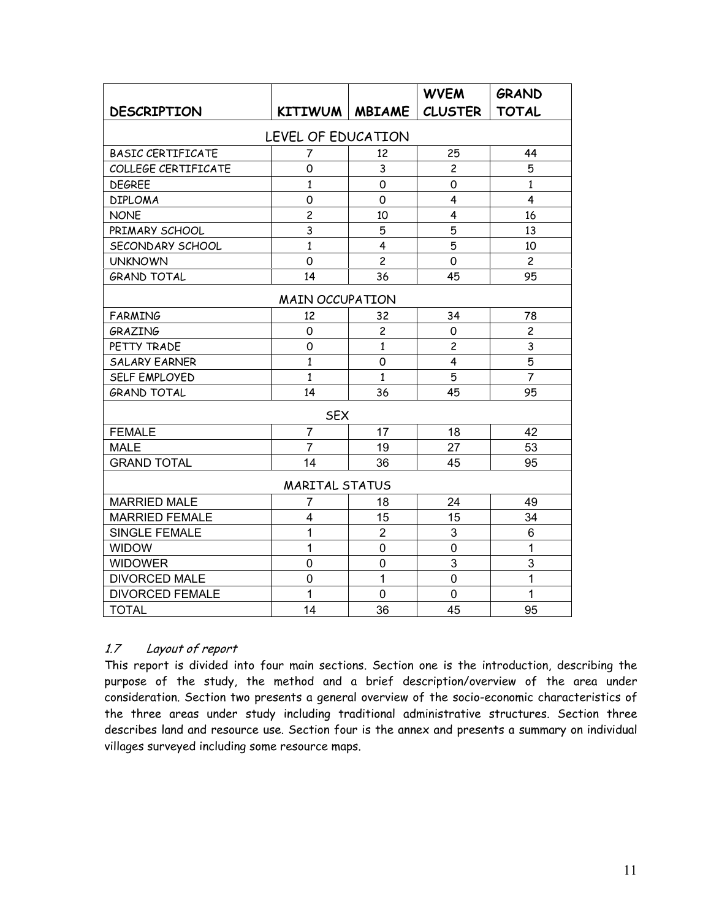|                          |                        |                | <b>WVEM</b>             | <b>GRAND</b>   |  |  |  |  |  |
|--------------------------|------------------------|----------------|-------------------------|----------------|--|--|--|--|--|
| <b>DESCRIPTION</b>       | KITIWUM   MBIAME       |                | <b>CLUSTER</b>          | <b>TOTAL</b>   |  |  |  |  |  |
| LEVEL OF EDUCATION       |                        |                |                         |                |  |  |  |  |  |
| <b>BASIC CERTIFICATE</b> | 7                      | 12             | 25                      | 44             |  |  |  |  |  |
| COLLEGE CERTIFICATE      | 0                      | 3              | $\overline{c}$          | 5              |  |  |  |  |  |
| <b>DEGREE</b>            | $\mathbf{1}$           | 0              | 0                       | $\mathbf{1}$   |  |  |  |  |  |
| <b>DIPLOMA</b>           | 0                      | $\Omega$       | 4                       | 4              |  |  |  |  |  |
| <b>NONE</b>              | $\overline{c}$         | 10             | 4                       | 16             |  |  |  |  |  |
| PRIMARY SCHOOL           | 3                      | 5              | 5                       | 13             |  |  |  |  |  |
| SECONDARY SCHOOL         | $\mathbf{1}$           | 4              | 5                       | 10             |  |  |  |  |  |
| <b>UNKNOWN</b>           | $\overline{O}$         | $\overline{c}$ | $\mathsf{O}$            | $\overline{c}$ |  |  |  |  |  |
| <b>GRAND TOTAL</b>       | 14                     | 36             | 45                      | 95             |  |  |  |  |  |
|                          | <b>MAIN OCCUPATION</b> |                |                         |                |  |  |  |  |  |
| <b>FARMING</b>           | 12                     | 32             | 34                      | 78             |  |  |  |  |  |
| GRAZING                  | 0                      | $\overline{c}$ | 0                       | $\overline{c}$ |  |  |  |  |  |
| PETTY TRADE              | 0                      | $\mathbf{1}$   | $\overline{c}$          | 3              |  |  |  |  |  |
| <b>SALARY EARNER</b>     | $\mathbf{1}$           | 0              | $\overline{\mathbf{4}}$ | 5              |  |  |  |  |  |
| SELF EMPLOYED            | $\mathbf{1}$           | $\mathbf{1}$   | 5                       | $\overline{7}$ |  |  |  |  |  |
| <b>GRAND TOTAL</b>       | 14                     | 36             | 45                      | 95             |  |  |  |  |  |
|                          | <b>SEX</b>             |                |                         |                |  |  |  |  |  |
| <b>FEMALE</b>            | $\overline{7}$         | 17             | 18                      | 42             |  |  |  |  |  |
| <b>MALE</b>              | $\overline{7}$         | 19             | 27                      | 53             |  |  |  |  |  |
| <b>GRAND TOTAL</b>       | 14                     | 36             | 45                      | 95             |  |  |  |  |  |
|                          | <b>MARITAL STATUS</b>  |                |                         |                |  |  |  |  |  |
| <b>MARRIED MALE</b>      | $\overline{7}$         | 18             | 24                      | 49             |  |  |  |  |  |
| <b>MARRIED FEMALE</b>    | $\overline{4}$         | 15             | 15                      | 34             |  |  |  |  |  |
| SINGLE FEMALE            | 1                      | $\overline{2}$ | 3                       | 6              |  |  |  |  |  |
| <b>WIDOW</b>             | 1                      | $\mathbf 0$    | $\overline{0}$          | $\mathbf{1}$   |  |  |  |  |  |
| <b>WIDOWER</b>           | $\overline{0}$         | 0              | 3                       | 3              |  |  |  |  |  |
| <b>DIVORCED MALE</b>     | 0                      | $\mathbf{1}$   | 0                       | $\mathbf{1}$   |  |  |  |  |  |
| <b>DIVORCED FEMALE</b>   | 1                      | 0              | 0                       | $\mathbf{1}$   |  |  |  |  |  |
| <b>TOTAL</b>             | 14                     | 36             | 45                      | 95             |  |  |  |  |  |

## 1.7 Layout of report

This report is divided into four main sections. Section one is the introduction, describing the purpose of the study, the method and a brief description/overview of the area under consideration. Section two presents a general overview of the socio-economic characteristics of the three areas under study including traditional administrative structures. Section three describes land and resource use. Section four is the annex and presents a summary on individual villages surveyed including some resource maps.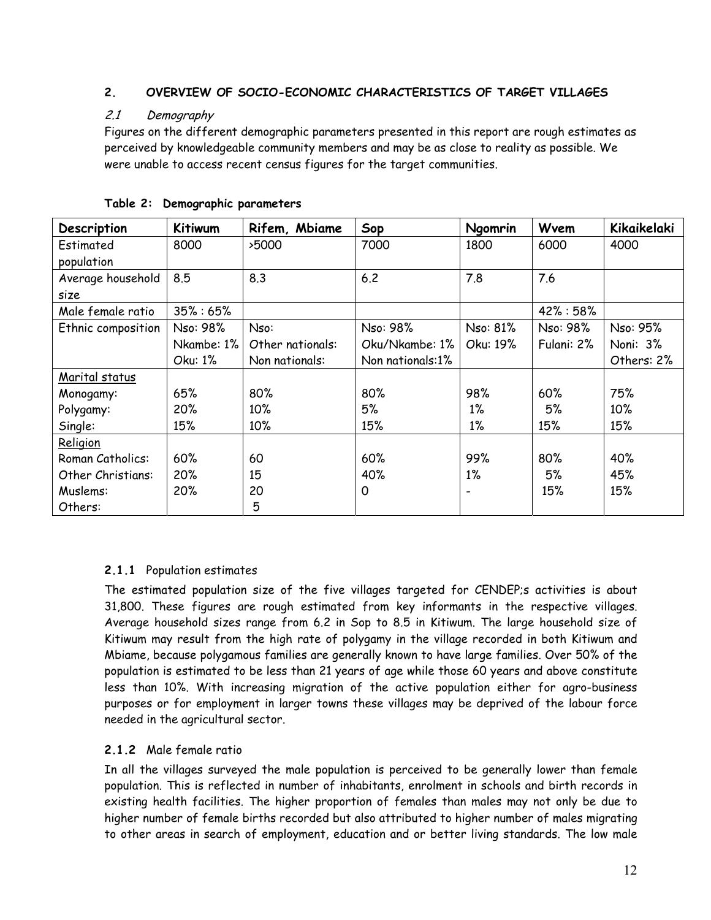## **2. OVERVIEW OF SOCIO-ECONOMIC CHARACTERISTICS OF TARGET VILLAGES**

## 2.1 Demography

Figures on the different demographic parameters presented in this report are rough estimates as perceived by knowledgeable community members and may be as close to reality as possible. We were unable to access recent census figures for the target communities.

| Description        | <b>Kitiwum</b> | Rifem, Mbiame    | Sop              | Ngomrin  | Wvem          | Kikaikelaki |
|--------------------|----------------|------------------|------------------|----------|---------------|-------------|
| Estimated          | 8000           | >5000            | 7000             | 1800     | 6000          | 4000        |
| population         |                |                  |                  |          |               |             |
| Average household  | 8.5            | 8.3              | 6.2              | 7.8      | 7.6           |             |
| size               |                |                  |                  |          |               |             |
| Male female ratio  | $35\% : 65\%$  |                  |                  |          | $42\% : 58\%$ |             |
| Ethnic composition | Nso: 98%       | Nso:             | Nso: 98%         | Nso: 81% | Nso: 98%      | Nso: 95%    |
|                    | Nkambe: 1%     | Other nationals: | Oku/Nkambe: 1%   | Oku: 19% | Fulani: 2%    | Noni: 3%    |
|                    | Oku: 1%        | Non nationals:   | Non nationals:1% |          |               | Others: 2%  |
| Marital status     |                |                  |                  |          |               |             |
| Monogamy:          | 65%            | 80%              | 80%              | 98%      | 60%           | 75%         |
| Polygamy:          | 20%            | 10%              | 5%               | $1\%$    | 5%            | 10%         |
| Single:            | 15%            | 10%              | 15%              | $1\%$    | 15%           | 15%         |
| Religion           |                |                  |                  |          |               |             |
| Roman Catholics:   | 60%            | 60               | 60%              | 99%      | 80%           | 40%         |
| Other Christians:  | 20%            | 15               | 40%              | $1\%$    | 5%            | 45%         |
| Muslems:           | 20%            | 20               | 0                |          | 15%           | 15%         |
| Others:            |                | 5                |                  |          |               |             |

**Table 2: Demographic parameters** 

## **2.1.1** Population estimates

The estimated population size of the five villages targeted for CENDEP;s activities is about 31,800. These figures are rough estimated from key informants in the respective villages. Average household sizes range from 6.2 in Sop to 8.5 in Kitiwum. The large household size of Kitiwum may result from the high rate of polygamy in the village recorded in both Kitiwum and Mbiame, because polygamous families are generally known to have large families. Over 50% of the population is estimated to be less than 21 years of age while those 60 years and above constitute less than 10%. With increasing migration of the active population either for agro-business purposes or for employment in larger towns these villages may be deprived of the labour force needed in the agricultural sector.

## **2.1.2** Male female ratio

In all the villages surveyed the male population is perceived to be generally lower than female population. This is reflected in number of inhabitants, enrolment in schools and birth records in existing health facilities. The higher proportion of females than males may not only be due to higher number of female births recorded but also attributed to higher number of males migrating to other areas in search of employment, education and or better living standards. The low male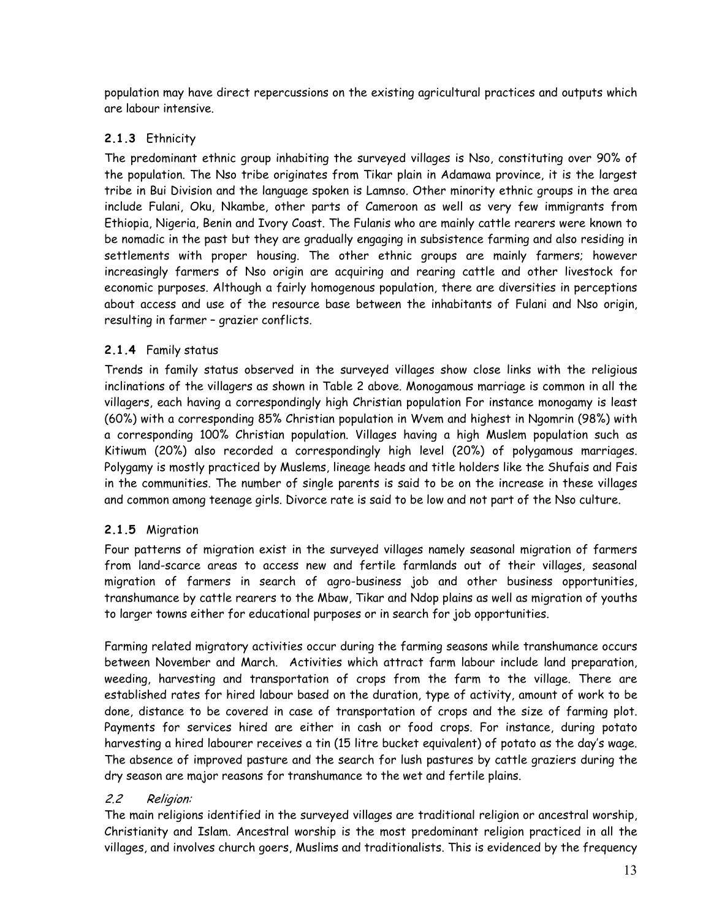population may have direct repercussions on the existing agricultural practices and outputs which are labour intensive.

## **2.1.3** Ethnicity

The predominant ethnic group inhabiting the surveyed villages is Nso, constituting over 90% of the population. The Nso tribe originates from Tikar plain in Adamawa province, it is the largest tribe in Bui Division and the language spoken is Lamnso. Other minority ethnic groups in the area include Fulani, Oku, Nkambe, other parts of Cameroon as well as very few immigrants from Ethiopia, Nigeria, Benin and Ivory Coast. The Fulanis who are mainly cattle rearers were known to be nomadic in the past but they are gradually engaging in subsistence farming and also residing in settlements with proper housing. The other ethnic groups are mainly farmers; however increasingly farmers of Nso origin are acquiring and rearing cattle and other livestock for economic purposes. Although a fairly homogenous population, there are diversities in perceptions about access and use of the resource base between the inhabitants of Fulani and Nso origin, resulting in farmer – grazier conflicts.

## **2.1.4** Family status

Trends in family status observed in the surveyed villages show close links with the religious inclinations of the villagers as shown in Table 2 above. Monogamous marriage is common in all the villagers, each having a correspondingly high Christian population For instance monogamy is least (60%) with a corresponding 85% Christian population in Wvem and highest in Ngomrin (98%) with a corresponding 100% Christian population. Villages having a high Muslem population such as Kitiwum (20%) also recorded a correspondingly high level (20%) of polygamous marriages. Polygamy is mostly practiced by Muslems, lineage heads and title holders like the Shufais and Fais in the communities. The number of single parents is said to be on the increase in these villages and common among teenage girls. Divorce rate is said to be low and not part of the Nso culture.

## **2.1.5** Migration

Four patterns of migration exist in the surveyed villages namely seasonal migration of farmers from land-scarce areas to access new and fertile farmlands out of their villages, seasonal migration of farmers in search of agro-business job and other business opportunities, transhumance by cattle rearers to the Mbaw, Tikar and Ndop plains as well as migration of youths to larger towns either for educational purposes or in search for job opportunities.

Farming related migratory activities occur during the farming seasons while transhumance occurs between November and March. Activities which attract farm labour include land preparation, weeding, harvesting and transportation of crops from the farm to the village. There are established rates for hired labour based on the duration, type of activity, amount of work to be done, distance to be covered in case of transportation of crops and the size of farming plot. Payments for services hired are either in cash or food crops. For instance, during potato harvesting a hired labourer receives a tin (15 litre bucket equivalent) of potato as the day's wage. The absence of improved pasture and the search for lush pastures by cattle graziers during the dry season are major reasons for transhumance to the wet and fertile plains.

## 2.2 Religion:

The main religions identified in the surveyed villages are traditional religion or ancestral worship, Christianity and Islam. Ancestral worship is the most predominant religion practiced in all the villages, and involves church goers, Muslims and traditionalists. This is evidenced by the frequency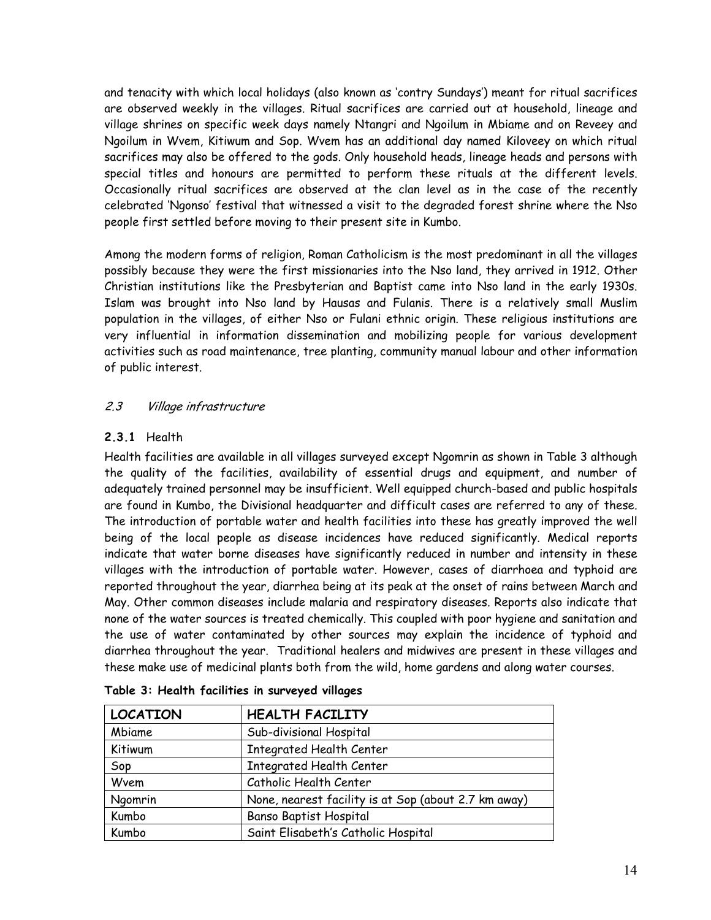and tenacity with which local holidays (also known as 'contry Sundays') meant for ritual sacrifices are observed weekly in the villages. Ritual sacrifices are carried out at household, lineage and village shrines on specific week days namely Ntangri and Ngoilum in Mbiame and on Reveey and Ngoilum in Wvem, Kitiwum and Sop. Wvem has an additional day named Kiloveey on which ritual sacrifices may also be offered to the gods. Only household heads, lineage heads and persons with special titles and honours are permitted to perform these rituals at the different levels. Occasionally ritual sacrifices are observed at the clan level as in the case of the recently celebrated 'Ngonso' festival that witnessed a visit to the degraded forest shrine where the Nso people first settled before moving to their present site in Kumbo.

Among the modern forms of religion, Roman Catholicism is the most predominant in all the villages possibly because they were the first missionaries into the Nso land, they arrived in 1912. Other Christian institutions like the Presbyterian and Baptist came into Nso land in the early 1930s. Islam was brought into Nso land by Hausas and Fulanis. There is a relatively small Muslim population in the villages, of either Nso or Fulani ethnic origin. These religious institutions are very influential in information dissemination and mobilizing people for various development activities such as road maintenance, tree planting, community manual labour and other information of public interest.

## 2.3 Village infrastructure

## **2.3.1** Health

Health facilities are available in all villages surveyed except Ngomrin as shown in Table 3 although the quality of the facilities, availability of essential drugs and equipment, and number of adequately trained personnel may be insufficient. Well equipped church-based and public hospitals are found in Kumbo, the Divisional headquarter and difficult cases are referred to any of these. The introduction of portable water and health facilities into these has greatly improved the well being of the local people as disease incidences have reduced significantly. Medical reports indicate that water borne diseases have significantly reduced in number and intensity in these villages with the introduction of portable water. However, cases of diarrhoea and typhoid are reported throughout the year, diarrhea being at its peak at the onset of rains between March and May. Other common diseases include malaria and respiratory diseases. Reports also indicate that none of the water sources is treated chemically. This coupled with poor hygiene and sanitation and the use of water contaminated by other sources may explain the incidence of typhoid and diarrhea throughout the year. Traditional healers and midwives are present in these villages and these make use of medicinal plants both from the wild, home gardens and along water courses.

| <b>LOCATION</b> | <b>HEALTH FACILITY</b>                               |
|-----------------|------------------------------------------------------|
| Mbiame          | Sub-divisional Hospital                              |
| Kitiwum         | <b>Integrated Health Center</b>                      |
| Sop             | <b>Integrated Health Center</b>                      |
| Wvem            | Catholic Health Center                               |
| Ngomrin         | None, nearest facility is at Sop (about 2.7 km away) |
| Kumbo           | Banso Baptist Hospital                               |
| Kumbo           | Saint Elisabeth's Catholic Hospital                  |

|  |  |  | Table 3: Health facilities in surveyed villages |  |  |  |
|--|--|--|-------------------------------------------------|--|--|--|
|--|--|--|-------------------------------------------------|--|--|--|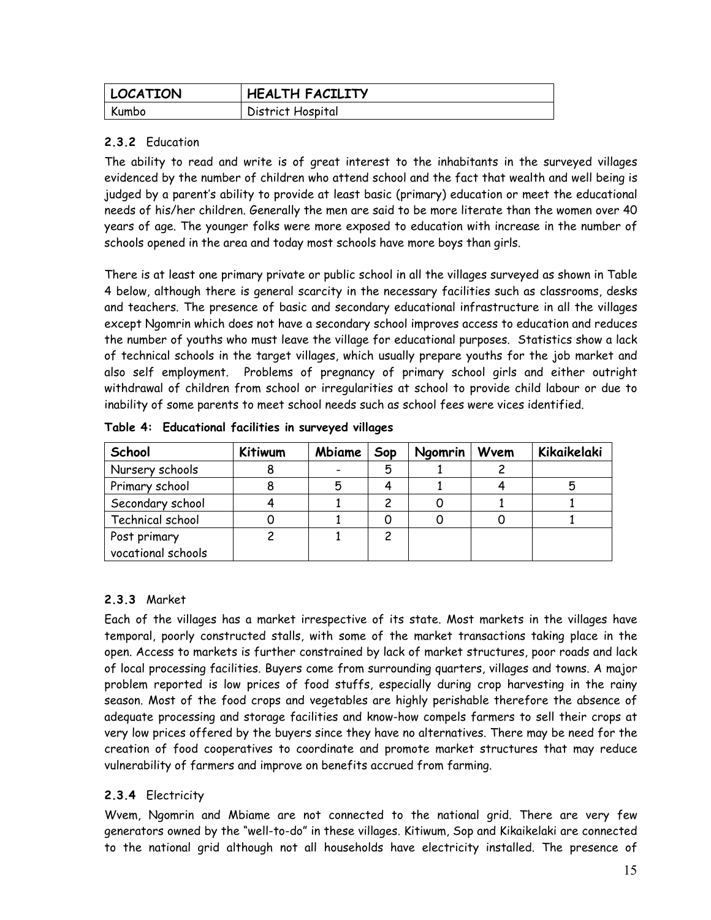| <b>LOCATION</b> | <b>HEALTH FACILITY</b> |
|-----------------|------------------------|
| Kumbo           | District Hospital      |

## **2.3.2** Education

The ability to read and write is of great interest to the inhabitants in the surveyed villages evidenced by the number of children who attend school and the fact that wealth and well being is judged by a parent's ability to provide at least basic (primary) education or meet the educational needs of his/her children. Generally the men are said to be more literate than the women over 40 years of age. The younger folks were more exposed to education with increase in the number of schools opened in the area and today most schools have more boys than girls.

There is at least one primary private or public school in all the villages surveyed as shown in Table 4 below, although there is general scarcity in the necessary facilities such as classrooms, desks and teachers. The presence of basic and secondary educational infrastructure in all the villages except Ngomrin which does not have a secondary school improves access to education and reduces the number of youths who must leave the village for educational purposes. Statistics show a lack of technical schools in the target villages, which usually prepare youths for the job market and also self employment. Problems of pregnancy of primary school girls and either outright withdrawal of children from school or irregularities at school to provide child labour or due to inability of some parents to meet school needs such as school fees were vices identified.

| School                             | Kitiwum | Mbiame | Sop | Ngomrin | Wvem | Kikaikelaki |
|------------------------------------|---------|--------|-----|---------|------|-------------|
| Nursery schools                    |         |        | 5   |         |      |             |
| Primary school                     |         | 5      |     |         |      |             |
| Secondary school                   |         |        |     |         |      |             |
| Technical school                   |         |        |     |         |      |             |
| Post primary<br>vocational schools |         |        | 2   |         |      |             |

**Table 4: Educational facilities in surveyed villages** 

## **2.3.3** Market

Each of the villages has a market irrespective of its state. Most markets in the villages have temporal, poorly constructed stalls, with some of the market transactions taking place in the open. Access to markets is further constrained by lack of market structures, poor roads and lack of local processing facilities. Buyers come from surrounding quarters, villages and towns. A major problem reported is low prices of food stuffs, especially during crop harvesting in the rainy season. Most of the food crops and vegetables are highly perishable therefore the absence of adequate processing and storage facilities and know-how compels farmers to sell their crops at very low prices offered by the buyers since they have no alternatives. There may be need for the creation of food cooperatives to coordinate and promote market structures that may reduce vulnerability of farmers and improve on benefits accrued from farming.

## **2.3.4** Electricity

Wvem, Ngomrin and Mbiame are not connected to the national grid. There are very few generators owned by the "well-to-do" in these villages. Kitiwum, Sop and Kikaikelaki are connected to the national grid although not all households have electricity installed. The presence of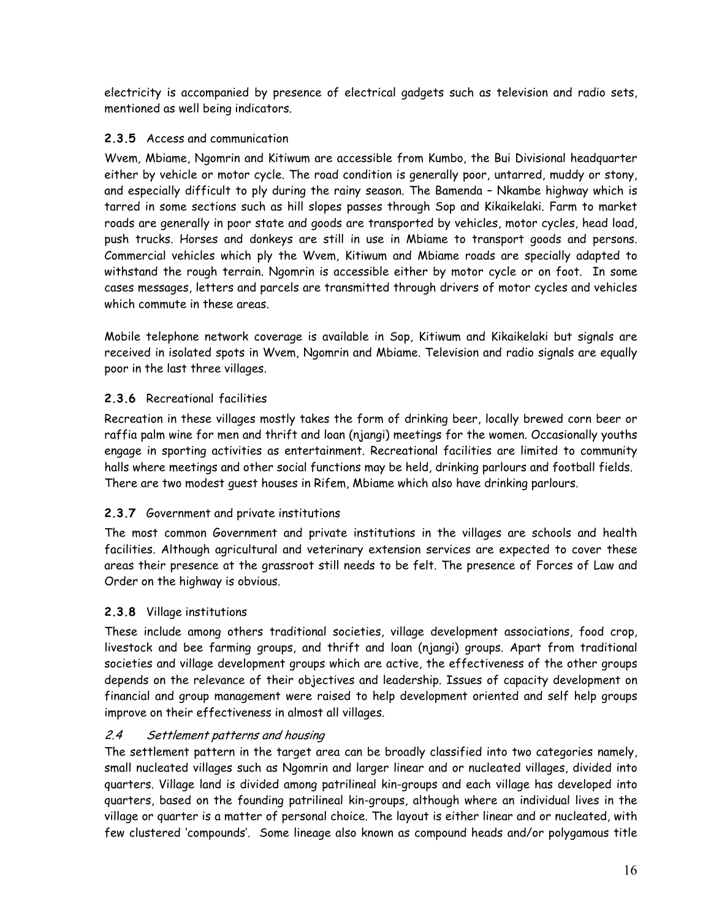electricity is accompanied by presence of electrical gadgets such as television and radio sets, mentioned as well being indicators.

## **2.3.5** Access and communication

Wvem, Mbiame, Ngomrin and Kitiwum are accessible from Kumbo, the Bui Divisional headquarter either by vehicle or motor cycle. The road condition is generally poor, untarred, muddy or stony, and especially difficult to ply during the rainy season. The Bamenda – Nkambe highway which is tarred in some sections such as hill slopes passes through Sop and Kikaikelaki. Farm to market roads are generally in poor state and goods are transported by vehicles, motor cycles, head load, push trucks. Horses and donkeys are still in use in Mbiame to transport goods and persons. Commercial vehicles which ply the Wvem, Kitiwum and Mbiame roads are specially adapted to withstand the rough terrain. Ngomrin is accessible either by motor cycle or on foot. In some cases messages, letters and parcels are transmitted through drivers of motor cycles and vehicles which commute in these areas.

Mobile telephone network coverage is available in Sop, Kitiwum and Kikaikelaki but signals are received in isolated spots in Wvem, Ngomrin and Mbiame. Television and radio signals are equally poor in the last three villages.

## **2.3.6** Recreational facilities

Recreation in these villages mostly takes the form of drinking beer, locally brewed corn beer or raffia palm wine for men and thrift and loan (njangi) meetings for the women. Occasionally youths engage in sporting activities as entertainment. Recreational facilities are limited to community halls where meetings and other social functions may be held, drinking parlours and football fields. There are two modest guest houses in Rifem, Mbiame which also have drinking parlours.

## **2.3.7** Government and private institutions

The most common Government and private institutions in the villages are schools and health facilities. Although agricultural and veterinary extension services are expected to cover these areas their presence at the grassroot still needs to be felt. The presence of Forces of Law and Order on the highway is obvious.

## **2.3.8** Village institutions

These include among others traditional societies, village development associations, food crop, livestock and bee farming groups, and thrift and loan (njangi) groups. Apart from traditional societies and village development groups which are active, the effectiveness of the other groups depends on the relevance of their objectives and leadership. Issues of capacity development on financial and group management were raised to help development oriented and self help groups improve on their effectiveness in almost all villages.

## 2.4 Settlement patterns and housing

The settlement pattern in the target area can be broadly classified into two categories namely, small nucleated villages such as Ngomrin and larger linear and or nucleated villages, divided into quarters. Village land is divided among patrilineal kin-groups and each village has developed into quarters, based on the founding patrilineal kin-groups, although where an individual lives in the village or quarter is a matter of personal choice. The layout is either linear and or nucleated, with few clustered 'compounds'. Some lineage also known as compound heads and/or polygamous title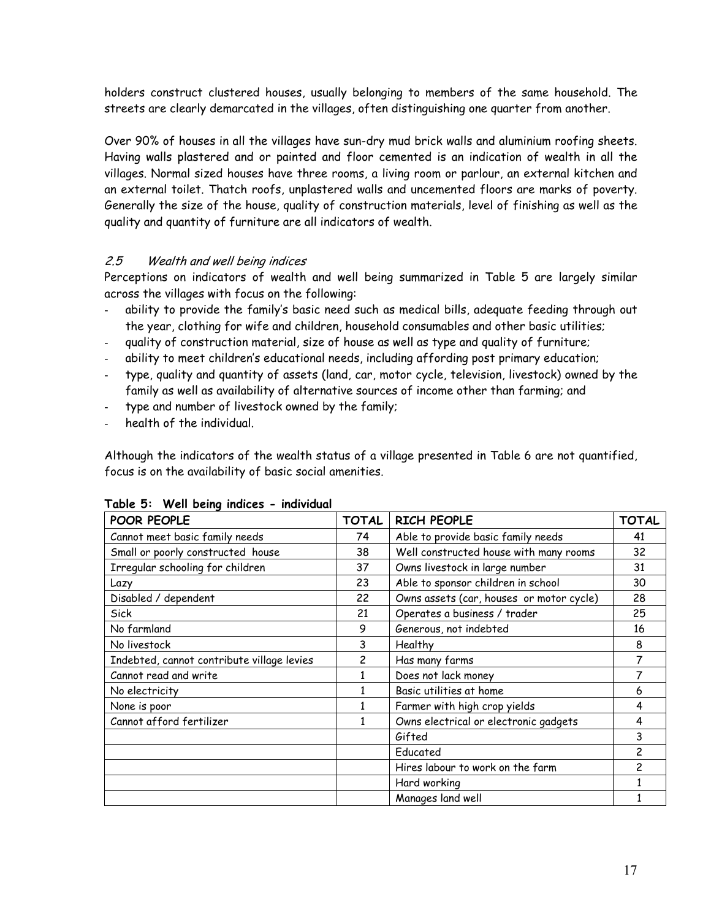holders construct clustered houses, usually belonging to members of the same household. The streets are clearly demarcated in the villages, often distinguishing one quarter from another.

Over 90% of houses in all the villages have sun-dry mud brick walls and aluminium roofing sheets. Having walls plastered and or painted and floor cemented is an indication of wealth in all the villages. Normal sized houses have three rooms, a living room or parlour, an external kitchen and an external toilet. Thatch roofs, unplastered walls and uncemented floors are marks of poverty. Generally the size of the house, quality of construction materials, level of finishing as well as the quality and quantity of furniture are all indicators of wealth.

## 2.5 Wealth and well being indices

Perceptions on indicators of wealth and well being summarized in Table 5 are largely similar across the villages with focus on the following:

- ability to provide the family's basic need such as medical bills, adequate feeding through out the year, clothing for wife and children, household consumables and other basic utilities;
- quality of construction material, size of house as well as type and quality of furniture;
- ability to meet children's educational needs, including affording post primary education;
- type, quality and quantity of assets (land, car, motor cycle, television, livestock) owned by the family as well as availability of alternative sources of income other than farming; and
- type and number of livestock owned by the family;
- health of the individual.

Although the indicators of the wealth status of a village presented in Table 6 are not quantified, focus is on the availability of basic social amenities.

| POOR PEOPLE                                | TOTAL | <b>RICH PEOPLE</b>                       | <b>TOTAL</b> |
|--------------------------------------------|-------|------------------------------------------|--------------|
| Cannot meet basic family needs             | 74    | Able to provide basic family needs       | 41           |
| Small or poorly constructed house          | 38    | Well constructed house with many rooms   | 32           |
| Irregular schooling for children           | 37    | Owns livestock in large number           | 31           |
| Lazy                                       | 23    | Able to sponsor children in school       | 30           |
| Disabled / dependent                       | 22    | Owns assets (car, houses or motor cycle) | 28           |
| Sick                                       | 21    | Operates a business / trader             | 25           |
| No farmland                                | 9     | Generous, not indebted                   | 16           |
| No livestock                               | 3     | Healthy                                  | 8            |
| Indebted, cannot contribute village levies | 2     | Has many farms                           | 7            |
| Cannot read and write                      | 1     | Does not lack money                      | 7            |
| No electricity                             |       | Basic utilities at home                  | 6            |
| None is poor                               |       | Farmer with high crop yields             | 4            |
| Cannot afford fertilizer                   | 1     | Owns electrical or electronic gadgets    | 4            |
|                                            |       | Gifted                                   | 3            |
|                                            |       | Educated                                 | 2            |
|                                            |       | Hires labour to work on the farm         | 2            |
|                                            |       | Hard working                             |              |
|                                            |       | Manages land well                        |              |

**Table 5: Well being indices - individual**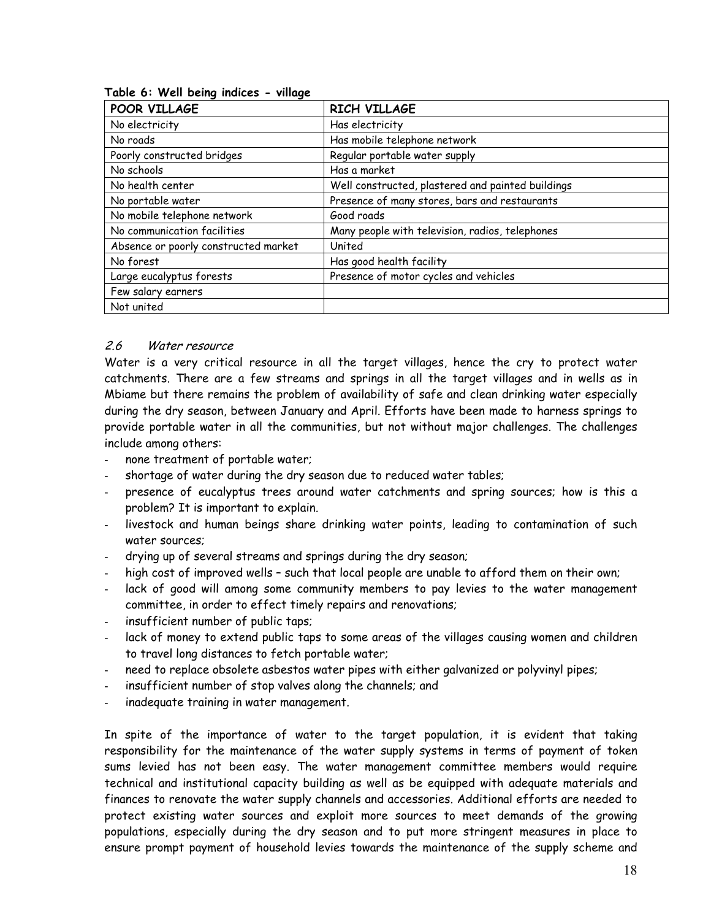| POOR VILLAGE                         | <b>RICH VILLAGE</b>                               |
|--------------------------------------|---------------------------------------------------|
| No electricity                       | Has electricity                                   |
| No roads                             | Has mobile telephone network                      |
| Poorly constructed bridges           | Regular portable water supply                     |
| No schools                           | Has a market                                      |
| No health center                     | Well constructed, plastered and painted buildings |
| No portable water                    | Presence of many stores, bars and restaurants     |
| No mobile telephone network          | Good roads                                        |
| No communication facilities          | Many people with television, radios, telephones   |
| Absence or poorly constructed market | United                                            |
| No forest                            | Has good health facility                          |
| Large eucalyptus forests             | Presence of motor cycles and vehicles             |
| Few salary earners                   |                                                   |
| Not united                           |                                                   |

#### **Table 6: Well being indices - village**

#### 2.6 Water resource

Water is a very critical resource in all the target villages, hence the cry to protect water catchments. There are a few streams and springs in all the target villages and in wells as in Mbiame but there remains the problem of availability of safe and clean drinking water especially during the dry season, between January and April. Efforts have been made to harness springs to provide portable water in all the communities, but not without major challenges. The challenges include among others:

- none treatment of portable water;
- shortage of water during the dry season due to reduced water tables;
- presence of eucalyptus trees around water catchments and spring sources; how is this a problem? It is important to explain.
- livestock and human beings share drinking water points, leading to contamination of such water sources;
- drying up of several streams and springs during the dry season;
- high cost of improved wells such that local people are unable to afford them on their own;
- lack of good will among some community members to pay levies to the water management committee, in order to effect timely repairs and renovations;
- insufficient number of public taps;
- lack of money to extend public taps to some areas of the villages causing women and children to travel long distances to fetch portable water;
- need to replace obsolete asbestos water pipes with either galvanized or polyvinyl pipes;
- insufficient number of stop valves along the channels; and
- inadequate training in water management.

In spite of the importance of water to the target population, it is evident that taking responsibility for the maintenance of the water supply systems in terms of payment of token sums levied has not been easy. The water management committee members would require technical and institutional capacity building as well as be equipped with adequate materials and finances to renovate the water supply channels and accessories. Additional efforts are needed to protect existing water sources and exploit more sources to meet demands of the growing populations, especially during the dry season and to put more stringent measures in place to ensure prompt payment of household levies towards the maintenance of the supply scheme and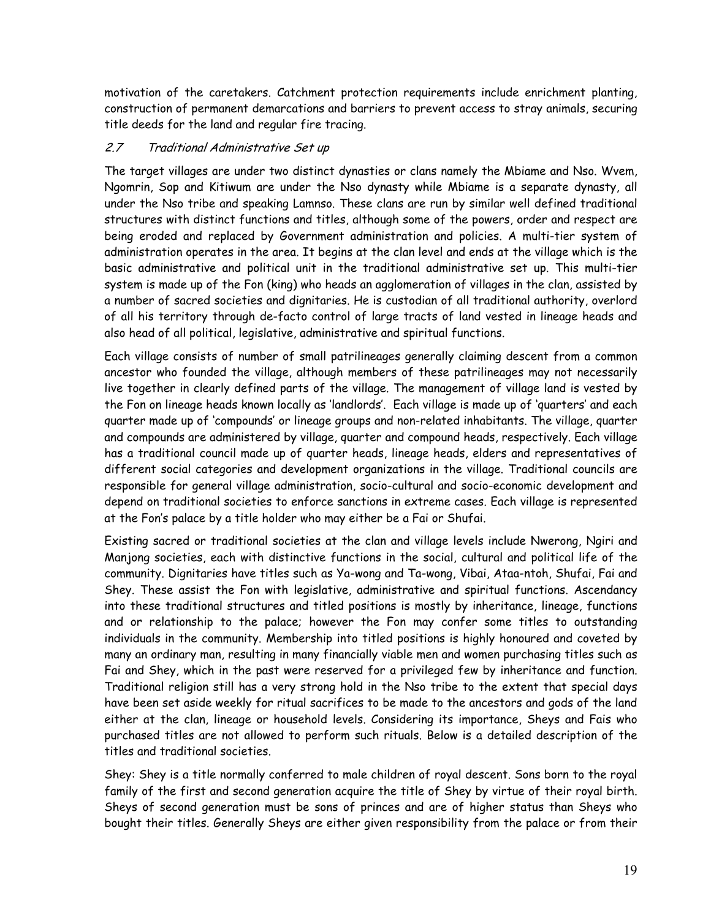motivation of the caretakers. Catchment protection requirements include enrichment planting, construction of permanent demarcations and barriers to prevent access to stray animals, securing title deeds for the land and regular fire tracing.

## 2.7 Traditional Administrative Set up

The target villages are under two distinct dynasties or clans namely the Mbiame and Nso. Wvem, Ngomrin, Sop and Kitiwum are under the Nso dynasty while Mbiame is a separate dynasty, all under the Nso tribe and speaking Lamnso. These clans are run by similar well defined traditional structures with distinct functions and titles, although some of the powers, order and respect are being eroded and replaced by Government administration and policies. A multi-tier system of administration operates in the area. It begins at the clan level and ends at the village which is the basic administrative and political unit in the traditional administrative set up. This multi-tier system is made up of the Fon (king) who heads an agglomeration of villages in the clan, assisted by a number of sacred societies and dignitaries. He is custodian of all traditional authority, overlord of all his territory through de-facto control of large tracts of land vested in lineage heads and also head of all political, legislative, administrative and spiritual functions.

Each village consists of number of small patrilineages generally claiming descent from a common ancestor who founded the village, although members of these patrilineages may not necessarily live together in clearly defined parts of the village. The management of village land is vested by the Fon on lineage heads known locally as 'landlords'. Each village is made up of 'quarters' and each quarter made up of 'compounds' or lineage groups and non-related inhabitants. The village, quarter and compounds are administered by village, quarter and compound heads, respectively. Each village has a traditional council made up of quarter heads, lineage heads, elders and representatives of different social categories and development organizations in the village. Traditional councils are responsible for general village administration, socio-cultural and socio-economic development and depend on traditional societies to enforce sanctions in extreme cases. Each village is represented at the Fon's palace by a title holder who may either be a Fai or Shufai.

Existing sacred or traditional societies at the clan and village levels include Nwerong, Ngiri and Manjong societies, each with distinctive functions in the social, cultural and political life of the community. Dignitaries have titles such as Ya-wong and Ta-wong, Vibai, Ataa-ntoh, Shufai, Fai and Shey. These assist the Fon with legislative, administrative and spiritual functions. Ascendancy into these traditional structures and titled positions is mostly by inheritance, lineage, functions and or relationship to the palace; however the Fon may confer some titles to outstanding individuals in the community. Membership into titled positions is highly honoured and coveted by many an ordinary man, resulting in many financially viable men and women purchasing titles such as Fai and Shey, which in the past were reserved for a privileged few by inheritance and function. Traditional religion still has a very strong hold in the Nso tribe to the extent that special days have been set aside weekly for ritual sacrifices to be made to the ancestors and gods of the land either at the clan, lineage or household levels. Considering its importance, Sheys and Fais who purchased titles are not allowed to perform such rituals. Below is a detailed description of the titles and traditional societies.

Shey: Shey is a title normally conferred to male children of royal descent. Sons born to the royal family of the first and second generation acquire the title of Shey by virtue of their royal birth. Sheys of second generation must be sons of princes and are of higher status than Sheys who bought their titles. Generally Sheys are either given responsibility from the palace or from their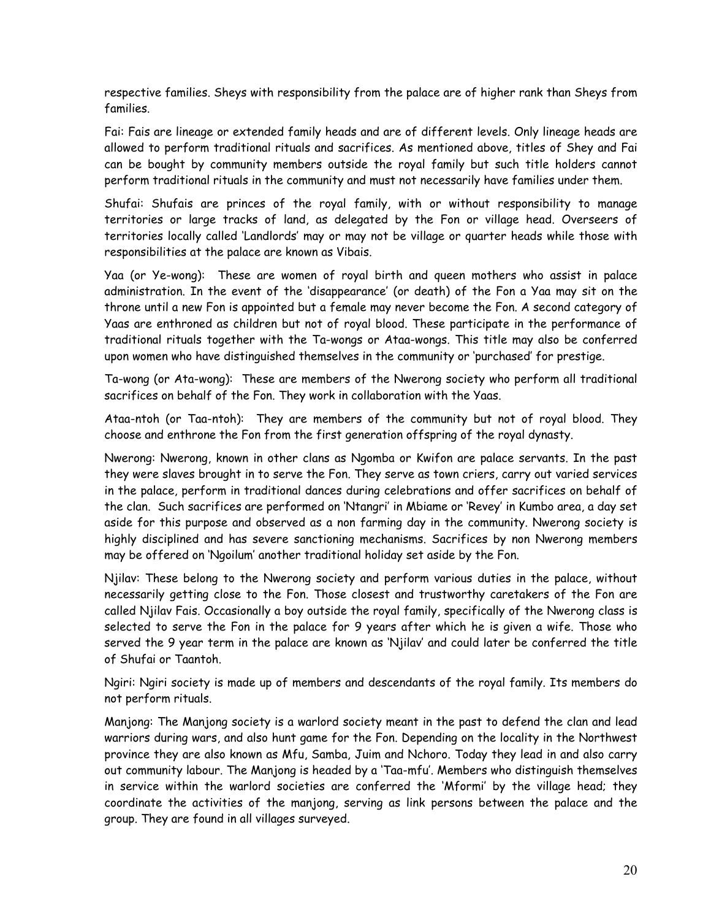respective families. Sheys with responsibility from the palace are of higher rank than Sheys from families.

Fai: Fais are lineage or extended family heads and are of different levels. Only lineage heads are allowed to perform traditional rituals and sacrifices. As mentioned above, titles of Shey and Fai can be bought by community members outside the royal family but such title holders cannot perform traditional rituals in the community and must not necessarily have families under them.

Shufai: Shufais are princes of the royal family, with or without responsibility to manage territories or large tracks of land, as delegated by the Fon or village head. Overseers of territories locally called 'Landlords' may or may not be village or quarter heads while those with responsibilities at the palace are known as Vibais.

Yaa (or Ye-wong): These are women of royal birth and queen mothers who assist in palace administration. In the event of the 'disappearance' (or death) of the Fon a Yaa may sit on the throne until a new Fon is appointed but a female may never become the Fon. A second category of Yaas are enthroned as children but not of royal blood. These participate in the performance of traditional rituals together with the Ta-wongs or Ataa-wongs. This title may also be conferred upon women who have distinguished themselves in the community or 'purchased' for prestige.

Ta-wong (or Ata-wong): These are members of the Nwerong society who perform all traditional sacrifices on behalf of the Fon. They work in collaboration with the Yaas.

Ataa-ntoh (or Taa-ntoh): They are members of the community but not of royal blood. They choose and enthrone the Fon from the first generation offspring of the royal dynasty.

Nwerong: Nwerong, known in other clans as Ngomba or Kwifon are palace servants. In the past they were slaves brought in to serve the Fon. They serve as town criers, carry out varied services in the palace, perform in traditional dances during celebrations and offer sacrifices on behalf of the clan. Such sacrifices are performed on 'Ntangri' in Mbiame or 'Revey' in Kumbo area, a day set aside for this purpose and observed as a non farming day in the community. Nwerong society is highly disciplined and has severe sanctioning mechanisms. Sacrifices by non Nwerong members may be offered on 'Ngoilum' another traditional holiday set aside by the Fon.

Njilav: These belong to the Nwerong society and perform various duties in the palace, without necessarily getting close to the Fon. Those closest and trustworthy caretakers of the Fon are called Njilav Fais. Occasionally a boy outside the royal family, specifically of the Nwerong class is selected to serve the Fon in the palace for 9 years after which he is given a wife. Those who served the 9 year term in the palace are known as 'Njilav' and could later be conferred the title of Shufai or Taantoh.

Ngiri: Ngiri society is made up of members and descendants of the royal family. Its members do not perform rituals.

Manjong: The Manjong society is a warlord society meant in the past to defend the clan and lead warriors during wars, and also hunt game for the Fon. Depending on the locality in the Northwest province they are also known as Mfu, Samba, Juim and Nchoro. Today they lead in and also carry out community labour. The Manjong is headed by a 'Taa-mfu'. Members who distinguish themselves in service within the warlord societies are conferred the 'Mformi' by the village head; they coordinate the activities of the manjong, serving as link persons between the palace and the group. They are found in all villages surveyed.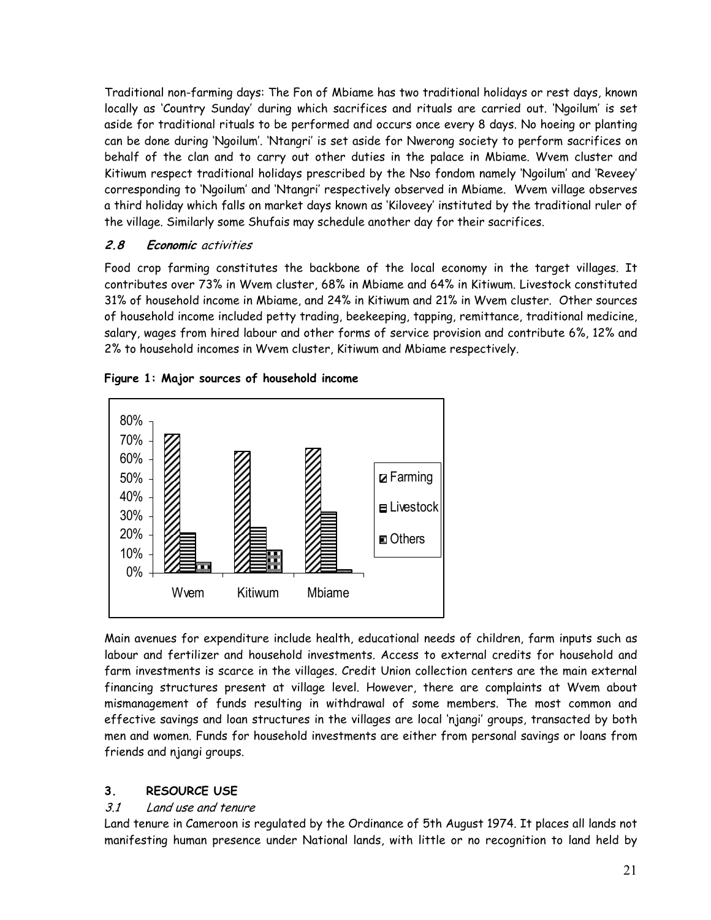Traditional non-farming days: The Fon of Mbiame has two traditional holidays or rest days, known locally as 'Country Sunday' during which sacrifices and rituals are carried out. 'Ngoilum' is set aside for traditional rituals to be performed and occurs once every 8 days. No hoeing or planting can be done during 'Ngoilum'. 'Ntangri' is set aside for Nwerong society to perform sacrifices on behalf of the clan and to carry out other duties in the palace in Mbiame. Wvem cluster and Kitiwum respect traditional holidays prescribed by the Nso fondom namely 'Ngoilum' and 'Reveey' corresponding to 'Ngoilum' and 'Ntangri' respectively observed in Mbiame. Wvem village observes a third holiday which falls on market days known as 'Kiloveey' instituted by the traditional ruler of the village. Similarly some Shufais may schedule another day for their sacrifices.

## **2.8 Economic** activities

Food crop farming constitutes the backbone of the local economy in the target villages. It contributes over 73% in Wvem cluster, 68% in Mbiame and 64% in Kitiwum. Livestock constituted 31% of household income in Mbiame, and 24% in Kitiwum and 21% in Wvem cluster. Other sources of household income included petty trading, beekeeping, tapping, remittance, traditional medicine, salary, wages from hired labour and other forms of service provision and contribute 6%, 12% and 2% to household incomes in Wvem cluster, Kitiwum and Mbiame respectively.



**Figure 1: Major sources of household income** 

Main avenues for expenditure include health, educational needs of children, farm inputs such as labour and fertilizer and household investments. Access to external credits for household and farm investments is scarce in the villages. Credit Union collection centers are the main external financing structures present at village level. However, there are complaints at Wvem about mismanagement of funds resulting in withdrawal of some members. The most common and effective savings and loan structures in the villages are local 'njangi' groups, transacted by both men and women. Funds for household investments are either from personal savings or loans from friends and njangi groups.

## **3. RESOURCE USE**

## 3.1 Land use and tenure

Land tenure in Cameroon is regulated by the Ordinance of 5th August 1974. It places all lands not manifesting human presence under National lands, with little or no recognition to land held by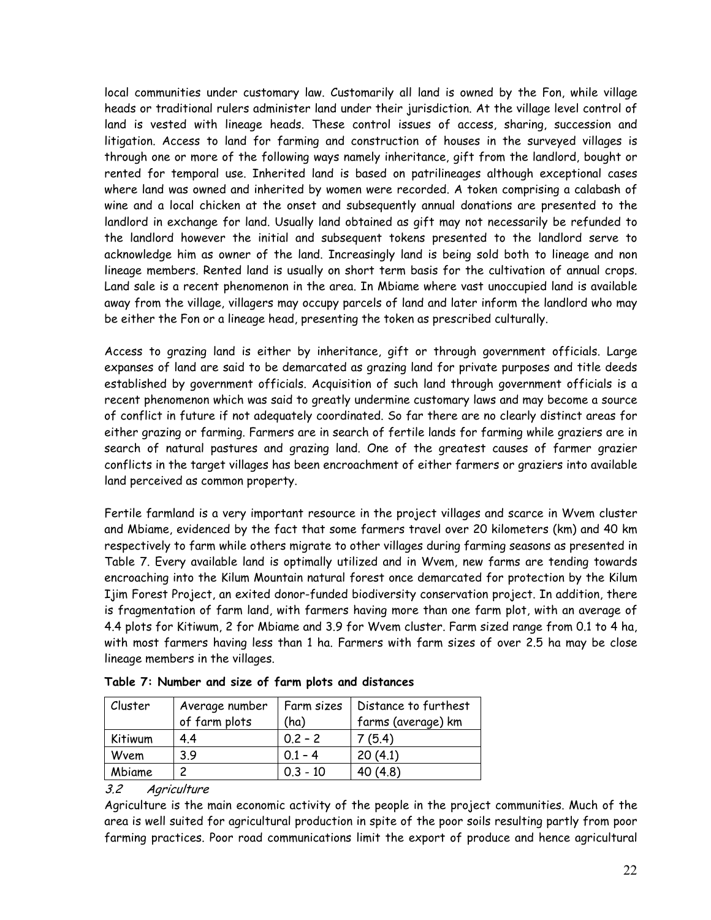local communities under customary law. Customarily all land is owned by the Fon, while village heads or traditional rulers administer land under their jurisdiction. At the village level control of land is vested with lineage heads. These control issues of access, sharing, succession and litigation. Access to land for farming and construction of houses in the surveyed villages is through one or more of the following ways namely inheritance, gift from the landlord, bought or rented for temporal use. Inherited land is based on patrilineages although exceptional cases where land was owned and inherited by women were recorded. A token comprising a calabash of wine and a local chicken at the onset and subsequently annual donations are presented to the landlord in exchange for land. Usually land obtained as gift may not necessarily be refunded to the landlord however the initial and subsequent tokens presented to the landlord serve to acknowledge him as owner of the land. Increasingly land is being sold both to lineage and non lineage members. Rented land is usually on short term basis for the cultivation of annual crops. Land sale is a recent phenomenon in the area. In Mbiame where vast unoccupied land is available away from the village, villagers may occupy parcels of land and later inform the landlord who may be either the Fon or a lineage head, presenting the token as prescribed culturally.

Access to grazing land is either by inheritance, gift or through government officials. Large expanses of land are said to be demarcated as grazing land for private purposes and title deeds established by government officials. Acquisition of such land through government officials is a recent phenomenon which was said to greatly undermine customary laws and may become a source of conflict in future if not adequately coordinated. So far there are no clearly distinct areas for either grazing or farming. Farmers are in search of fertile lands for farming while graziers are in search of natural pastures and grazing land. One of the greatest causes of farmer grazier conflicts in the target villages has been encroachment of either farmers or graziers into available land perceived as common property.

Fertile farmland is a very important resource in the project villages and scarce in Wvem cluster and Mbiame, evidenced by the fact that some farmers travel over 20 kilometers (km) and 40 km respectively to farm while others migrate to other villages during farming seasons as presented in Table 7. Every available land is optimally utilized and in Wvem, new farms are tending towards encroaching into the Kilum Mountain natural forest once demarcated for protection by the Kilum Ijim Forest Project, an exited donor-funded biodiversity conservation project. In addition, there is fragmentation of farm land, with farmers having more than one farm plot, with an average of 4.4 plots for Kitiwum, 2 for Mbiame and 3.9 for Wvem cluster. Farm sized range from 0.1 to 4 ha, with most farmers having less than 1 ha. Farmers with farm sizes of over 2.5 ha may be close lineage members in the villages.

| Cluster | Average number | Farm sizes | Distance to furthest |  |  |  |  |
|---------|----------------|------------|----------------------|--|--|--|--|
|         | of farm plots  | (ha)       | farms (average) km   |  |  |  |  |
| Kitiwum | 4.4            | $0.2 - 2$  | 7(5.4)               |  |  |  |  |
| Wvem    | 39             | $0.1 - 4$  | 20(4.1)              |  |  |  |  |
| Mbiame  |                | $0.3 - 10$ | 40 (4.8)             |  |  |  |  |

| Table 7: Number and size of farm plots and distances |  |  |  |  |  |
|------------------------------------------------------|--|--|--|--|--|
|------------------------------------------------------|--|--|--|--|--|

## 3.2 Agriculture

Agriculture is the main economic activity of the people in the project communities. Much of the area is well suited for agricultural production in spite of the poor soils resulting partly from poor farming practices. Poor road communications limit the export of produce and hence agricultural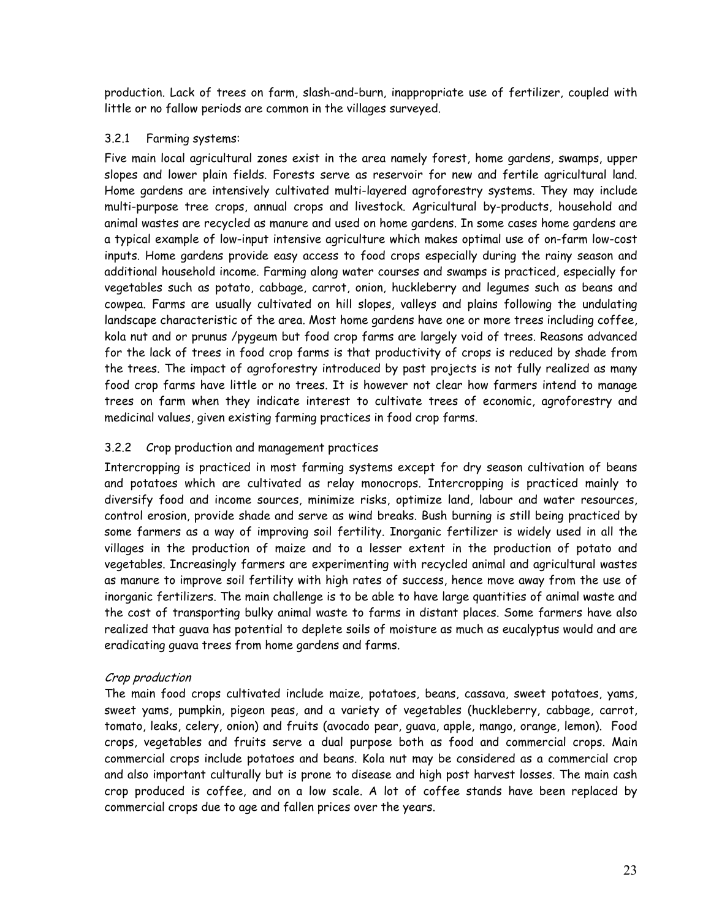production. Lack of trees on farm, slash-and-burn, inappropriate use of fertilizer, coupled with little or no fallow periods are common in the villages surveyed.

#### 3.2.1 Farming systems:

Five main local agricultural zones exist in the area namely forest, home gardens, swamps, upper slopes and lower plain fields. Forests serve as reservoir for new and fertile agricultural land. Home gardens are intensively cultivated multi-layered agroforestry systems. They may include multi-purpose tree crops, annual crops and livestock. Agricultural by-products, household and animal wastes are recycled as manure and used on home gardens. In some cases home gardens are a typical example of low-input intensive agriculture which makes optimal use of on-farm low-cost inputs. Home gardens provide easy access to food crops especially during the rainy season and additional household income. Farming along water courses and swamps is practiced, especially for vegetables such as potato, cabbage, carrot, onion, huckleberry and legumes such as beans and cowpea. Farms are usually cultivated on hill slopes, valleys and plains following the undulating landscape characteristic of the area. Most home gardens have one or more trees including coffee, kola nut and or prunus /pygeum but food crop farms are largely void of trees. Reasons advanced for the lack of trees in food crop farms is that productivity of crops is reduced by shade from the trees. The impact of agroforestry introduced by past projects is not fully realized as many food crop farms have little or no trees. It is however not clear how farmers intend to manage trees on farm when they indicate interest to cultivate trees of economic, agroforestry and medicinal values, given existing farming practices in food crop farms.

## 3.2.2 Crop production and management practices

Intercropping is practiced in most farming systems except for dry season cultivation of beans and potatoes which are cultivated as relay monocrops. Intercropping is practiced mainly to diversify food and income sources, minimize risks, optimize land, labour and water resources, control erosion, provide shade and serve as wind breaks. Bush burning is still being practiced by some farmers as a way of improving soil fertility. Inorganic fertilizer is widely used in all the villages in the production of maize and to a lesser extent in the production of potato and vegetables. Increasingly farmers are experimenting with recycled animal and agricultural wastes as manure to improve soil fertility with high rates of success, hence move away from the use of inorganic fertilizers. The main challenge is to be able to have large quantities of animal waste and the cost of transporting bulky animal waste to farms in distant places. Some farmers have also realized that guava has potential to deplete soils of moisture as much as eucalyptus would and are eradicating guava trees from home gardens and farms.

#### Crop production

The main food crops cultivated include maize, potatoes, beans, cassava, sweet potatoes, yams, sweet yams, pumpkin, pigeon peas, and a variety of vegetables (huckleberry, cabbage, carrot, tomato, leaks, celery, onion) and fruits (avocado pear, guava, apple, mango, orange, lemon). Food crops, vegetables and fruits serve a dual purpose both as food and commercial crops. Main commercial crops include potatoes and beans. Kola nut may be considered as a commercial crop and also important culturally but is prone to disease and high post harvest losses. The main cash crop produced is coffee, and on a low scale. A lot of coffee stands have been replaced by commercial crops due to age and fallen prices over the years.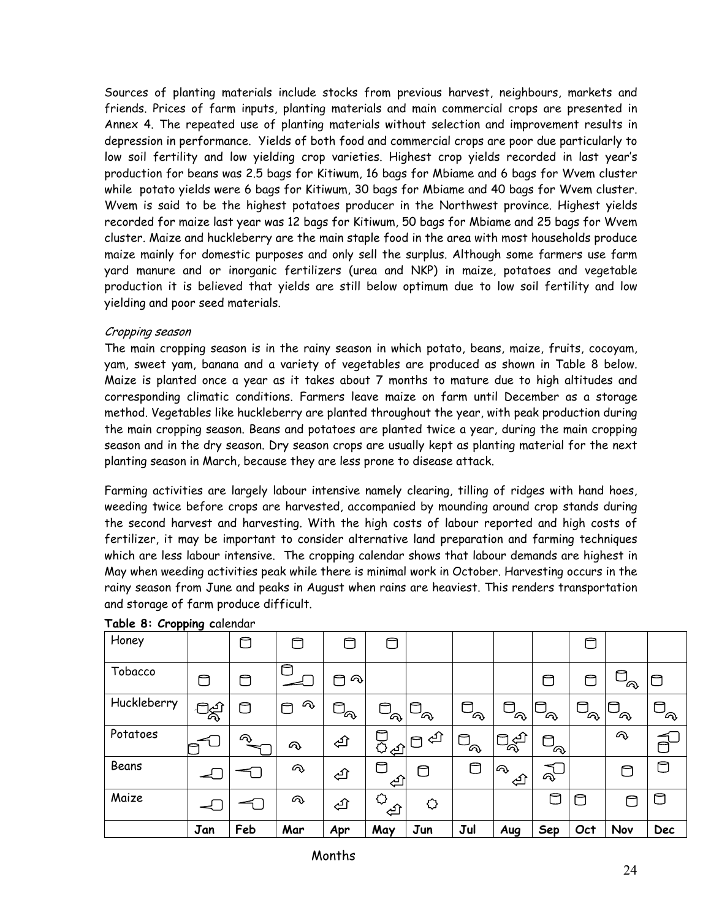Sources of planting materials include stocks from previous harvest, neighbours, markets and friends. Prices of farm inputs, planting materials and main commercial crops are presented in Annex 4. The repeated use of planting materials without selection and improvement results in depression in performance. Yields of both food and commercial crops are poor due particularly to low soil fertility and low yielding crop varieties. Highest crop yields recorded in last year's production for beans was 2.5 bags for Kitiwum, 16 bags for Mbiame and 6 bags for Wvem cluster while potato yields were 6 bags for Kitiwum, 30 bags for Mbiame and 40 bags for Wvem cluster. Wvem is said to be the highest potatoes producer in the Northwest province. Highest yields recorded for maize last year was 12 bags for Kitiwum, 50 bags for Mbiame and 25 bags for Wvem cluster. Maize and huckleberry are the main staple food in the area with most households produce maize mainly for domestic purposes and only sell the surplus. Although some farmers use farm yard manure and or inorganic fertilizers (urea and NKP) in maize, potatoes and vegetable production it is believed that yields are still below optimum due to low soil fertility and low yielding and poor seed materials.

## Cropping season

The main cropping season is in the rainy season in which potato, beans, maize, fruits, cocoyam, yam, sweet yam, banana and a variety of vegetables are produced as shown in Table 8 below. Maize is planted once a year as it takes about 7 months to mature due to high altitudes and corresponding climatic conditions. Farmers leave maize on farm until December as a storage method. Vegetables like huckleberry are planted throughout the year, with peak production during the main cropping season. Beans and potatoes are planted twice a year, during the main cropping season and in the dry season. Dry season crops are usually kept as planting material for the next planting season in March, because they are less prone to disease attack.

Farming activities are largely labour intensive namely clearing, tilling of ridges with hand hoes, weeding twice before crops are harvested, accompanied by mounding around crop stands during the second harvest and harvesting. With the high costs of labour reported and high costs of fertilizer, it may be important to consider alternative land preparation and farming techniques which are less labour intensive. The cropping calendar shows that labour demands are highest in May when weeding activities peak while there is minimal work in October. Harvesting occurs in the rainy season from June and peaks in August when rains are heaviest. This renders transportation and storage of farm produce difficult.

| . .<br>Honey |                          |     | ⊓      | A                 | ◘                 |                                                      |                         |          |            | උ           |                         |            |
|--------------|--------------------------|-----|--------|-------------------|-------------------|------------------------------------------------------|-------------------------|----------|------------|-------------|-------------------------|------------|
| Tobacco      | ⊓                        | ◘   | م      | ᠗<br>⊓            |                   |                                                      |                         |          | ⊓          | C           | ล                       |            |
| Huckleberry  | ිකි                      | O   | Q<br>⊓ | $\Box_{\!\varpi}$ | $\Box_{\alpha_1}$ | ${}^{\shortparallel }\mathbb{C}_{\widehat{\alpha }}$ | ⊓<br>$\sim$             | ⊓<br>ัจ  | C<br>ล     | A<br>$\sim$ | $\Box_{\!\!\mathsf{Q}}$ | A,         |
| Potatoes     |                          | ⋒   | ふ      | 心                 | 다.<br>음식          | ্য                                                   | $\Box_{\!\!\mathsf{Q}}$ | খ্যী     | ె<br>ัค    |             | Q                       | A          |
| Beans        | $\overline{\phantom{a}}$ |     | Q      | 仓                 | A<br>্⊡           | ⊓                                                    | ۴                       | ゆ<br>্≙ি | ぜ          |             |                         | ◘          |
| Maize        |                          |     | ふ      | फ़ि               | ⇔<br>ᠿ            | ♦                                                    |                         |          | $\Box$     | ◘           | ∩                       | □          |
|              | Jan                      | Feb | Mar    | Apr               | May               | Jun                                                  | Jul                     | Aug      | <b>Sep</b> | Oct         | Nov                     | <b>Dec</b> |

#### **Table 8: Cropping c**alendar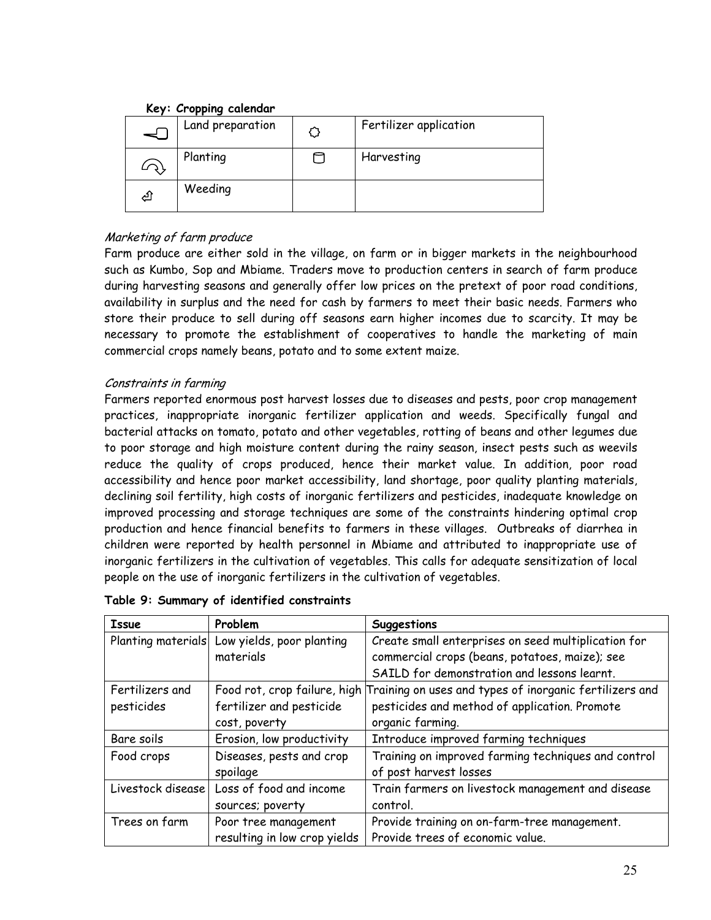## **Key: Cropping calendar**

|   | Land preparation | Fertilizer application |
|---|------------------|------------------------|
|   | Planting         | Harvesting             |
| ₫ | Weeding          |                        |

## Marketing of farm produce

Farm produce are either sold in the village, on farm or in bigger markets in the neighbourhood such as Kumbo, Sop and Mbiame. Traders move to production centers in search of farm produce during harvesting seasons and generally offer low prices on the pretext of poor road conditions, availability in surplus and the need for cash by farmers to meet their basic needs. Farmers who store their produce to sell during off seasons earn higher incomes due to scarcity. It may be necessary to promote the establishment of cooperatives to handle the marketing of main commercial crops namely beans, potato and to some extent maize.

## Constraints in farming

Farmers reported enormous post harvest losses due to diseases and pests, poor crop management practices, inappropriate inorganic fertilizer application and weeds. Specifically fungal and bacterial attacks on tomato, potato and other vegetables, rotting of beans and other legumes due to poor storage and high moisture content during the rainy season, insect pests such as weevils reduce the quality of crops produced, hence their market value. In addition, poor road accessibility and hence poor market accessibility, land shortage, poor quality planting materials, declining soil fertility, high costs of inorganic fertilizers and pesticides, inadequate knowledge on improved processing and storage techniques are some of the constraints hindering optimal crop production and hence financial benefits to farmers in these villages. Outbreaks of diarrhea in children were reported by health personnel in Mbiame and attributed to inappropriate use of inorganic fertilizers in the cultivation of vegetables. This calls for adequate sensitization of local people on the use of inorganic fertilizers in the cultivation of vegetables.

| <b>Issue</b>       | Problem                      | Suggestions                                             |
|--------------------|------------------------------|---------------------------------------------------------|
| Planting materials | Low yields, poor planting    | Create small enterprises on seed multiplication for     |
|                    | materials                    | commercial crops (beans, potatoes, maize); see          |
|                    |                              | SAILD for demonstration and lessons learnt.             |
| Fertilizers and    | Food rot, crop failure, high | Training on uses and types of inorganic fertilizers and |
| pesticides         | fertilizer and pesticide     | pesticides and method of application. Promote           |
|                    | cost, poverty                | organic farming.                                        |
| Bare soils         | Erosion, low productivity    | Introduce improved farming techniques                   |
| Food crops         | Diseases, pests and crop     | Training on improved farming techniques and control     |
|                    | spoilage                     | of post harvest losses                                  |
| Livestock disease  | Loss of food and income      | Train farmers on livestock management and disease       |
|                    | sources; poverty             | control.                                                |
| Trees on farm      | Poor tree management         | Provide training on on-farm-tree management.            |
|                    | resulting in low crop yields | Provide trees of economic value.                        |

|  |  | Table 9: Summary of identified constraints |
|--|--|--------------------------------------------|
|  |  |                                            |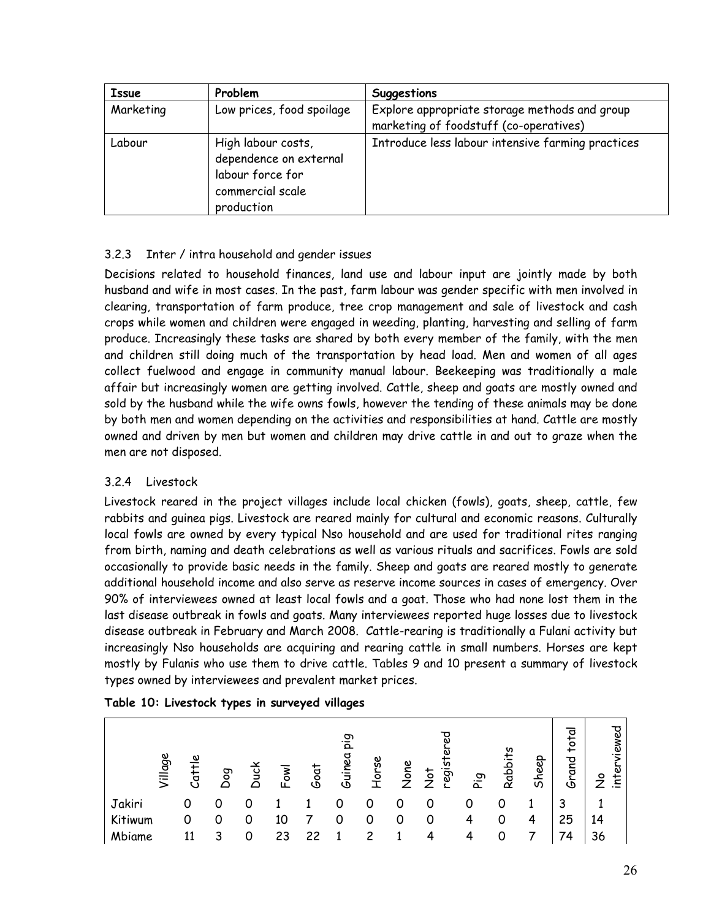| <b>Issue</b> | Problem                                                                                            | Suggestions                                                                             |
|--------------|----------------------------------------------------------------------------------------------------|-----------------------------------------------------------------------------------------|
| Marketing    | Low prices, food spoilage                                                                          | Explore appropriate storage methods and group<br>marketing of foodstuff (co-operatives) |
| Labour       | High labour costs,<br>dependence on external<br>labour force for<br>commercial scale<br>production | Introduce less labour intensive farming practices                                       |

## 3.2.3 Inter / intra household and gender issues

Decisions related to household finances, land use and labour input are jointly made by both husband and wife in most cases. In the past, farm labour was gender specific with men involved in clearing, transportation of farm produce, tree crop management and sale of livestock and cash crops while women and children were engaged in weeding, planting, harvesting and selling of farm produce. Increasingly these tasks are shared by both every member of the family, with the men and children still doing much of the transportation by head load. Men and women of all ages collect fuelwood and engage in community manual labour. Beekeeping was traditionally a male affair but increasingly women are getting involved. Cattle, sheep and goats are mostly owned and sold by the husband while the wife owns fowls, however the tending of these animals may be done by both men and women depending on the activities and responsibilities at hand. Cattle are mostly owned and driven by men but women and children may drive cattle in and out to graze when the men are not disposed.

## 3.2.4 Livestock

Livestock reared in the project villages include local chicken (fowls), goats, sheep, cattle, few rabbits and guinea pigs. Livestock are reared mainly for cultural and economic reasons. Culturally local fowls are owned by every typical Nso household and are used for traditional rites ranging from birth, naming and death celebrations as well as various rituals and sacrifices. Fowls are sold occasionally to provide basic needs in the family. Sheep and goats are reared mostly to generate additional household income and also serve as reserve income sources in cases of emergency. Over 90% of interviewees owned at least local fowls and a goat. Those who had none lost them in the last disease outbreak in fowls and goats. Many interviewees reported huge losses due to livestock disease outbreak in February and March 2008. Cattle-rearing is traditionally a Fulani activity but increasingly Nso households are acquiring and rearing cattle in small numbers. Horses are kept mostly by Fulanis who use them to drive cattle. Tables 9 and 10 present a summary of livestock types owned by interviewees and prevalent market prices.

|         |           | . . |           |      |      |               |       |      |                              |           |                |       |                |                            |
|---------|-----------|-----|-----------|------|------|---------------|-------|------|------------------------------|-----------|----------------|-------|----------------|----------------------------|
| Village | ၿ<br>Catt | ρog | Duci<br>Q | Fowl | Goat | eiq<br>Guinea | Horse | None | ್ಠಾ<br>regi<br>$\frac{1}{2}$ | م.<br>Pig | <b>Rabbits</b> | Sheep | total<br>Grand | ᠊ᠣ<br>viewer<br>inter<br>ž |
| Jakiri  | 0         | 0   |           |      |      |               | 0     | 0    | 0                            | 0         | 0              |       | 3              |                            |
| Kitiwum | 0         | 0   | 0         | 10   |      |               | 0     | 0    | 0                            |           | 0              | 4     | 25             | 14                         |
| Mbiame  | 11        | 3   | 0         | 23   | 22   |               |       |      |                              |           |                |       | 74             | 36                         |

## **Table 10: Livestock types in surveyed villages**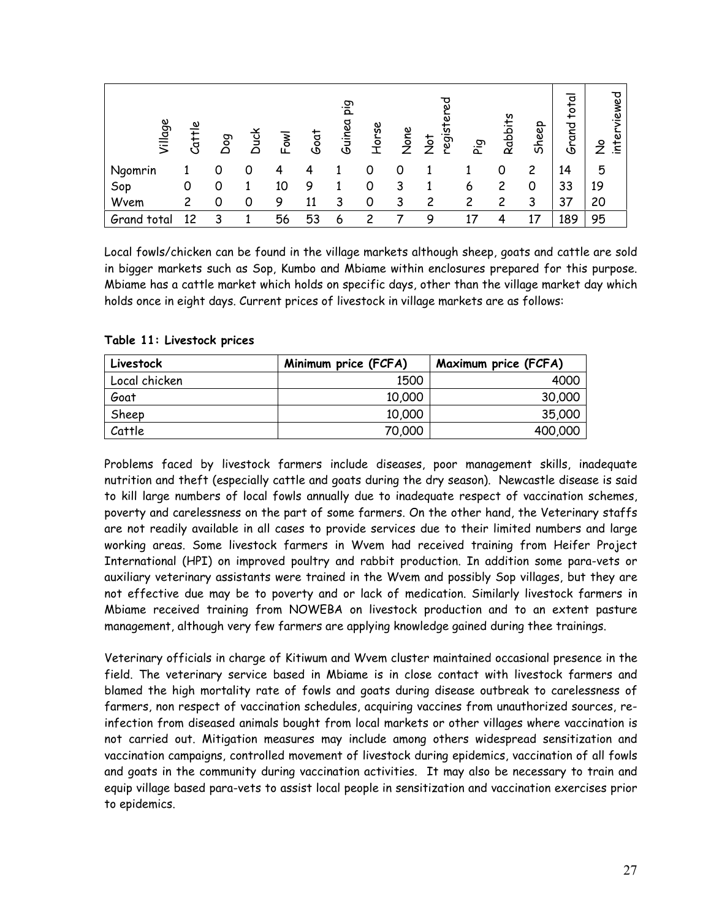| Village     | Cattle | Dog | <b>Duck</b> | Fowl | Goat | eig<br>Guinea | Horse | None | ್ಠಾ<br>regis<br>$\frac{1}{2}$ | م.<br>Pig | Rabbits | Sheep | total<br>Grand | viewed<br>৯<br>$\tilde{z}$ |
|-------------|--------|-----|-------------|------|------|---------------|-------|------|-------------------------------|-----------|---------|-------|----------------|----------------------------|
| Ngomrin     |        | 0   | 0           |      |      |               | 0     | 0    |                               |           | 0       | 2     | 14             | 5                          |
| Sop         |        | 0   |             | 10   | 9    |               | 0     | 3    |                               | 6         | 2       | 0     | 33             | 19                         |
| Wvem        | 2      | 0   | 0           | 9    | 11   | 3             | 0     | 3    | 2                             | 2         | 2       | 3     | 37             | 20                         |
| Grand total | 12     | 3   |             | 56   | 53   | 6             | っ     |      | Q                             | 17        | 4       |       | 189            | 95                         |

Local fowls/chicken can be found in the village markets although sheep, goats and cattle are sold in bigger markets such as Sop, Kumbo and Mbiame within enclosures prepared for this purpose. Mbiame has a cattle market which holds on specific days, other than the village market day which holds once in eight days. Current prices of livestock in village markets are as follows:

| Livestock     | Minimum price (FCFA) | Maximum price (FCFA) |
|---------------|----------------------|----------------------|
| Local chicken | 1500                 | 4000                 |
| Goat          | 10,000               | 30,000               |
| Sheep         | 10,000               | 35,000               |
| Cattle        | 70,000               | 400,000              |

## **Table 11: Livestock prices**

Problems faced by livestock farmers include diseases, poor management skills, inadequate nutrition and theft (especially cattle and goats during the dry season). Newcastle disease is said to kill large numbers of local fowls annually due to inadequate respect of vaccination schemes, poverty and carelessness on the part of some farmers. On the other hand, the Veterinary staffs are not readily available in all cases to provide services due to their limited numbers and large working areas. Some livestock farmers in Wvem had received training from Heifer Project International (HPI) on improved poultry and rabbit production. In addition some para-vets or auxiliary veterinary assistants were trained in the Wvem and possibly Sop villages, but they are not effective due may be to poverty and or lack of medication. Similarly livestock farmers in Mbiame received training from NOWEBA on livestock production and to an extent pasture management, although very few farmers are applying knowledge gained during thee trainings.

Veterinary officials in charge of Kitiwum and Wvem cluster maintained occasional presence in the field. The veterinary service based in Mbiame is in close contact with livestock farmers and blamed the high mortality rate of fowls and goats during disease outbreak to carelessness of farmers, non respect of vaccination schedules, acquiring vaccines from unauthorized sources, reinfection from diseased animals bought from local markets or other villages where vaccination is not carried out. Mitigation measures may include among others widespread sensitization and vaccination campaigns, controlled movement of livestock during epidemics, vaccination of all fowls and goats in the community during vaccination activities. It may also be necessary to train and equip village based para-vets to assist local people in sensitization and vaccination exercises prior to epidemics.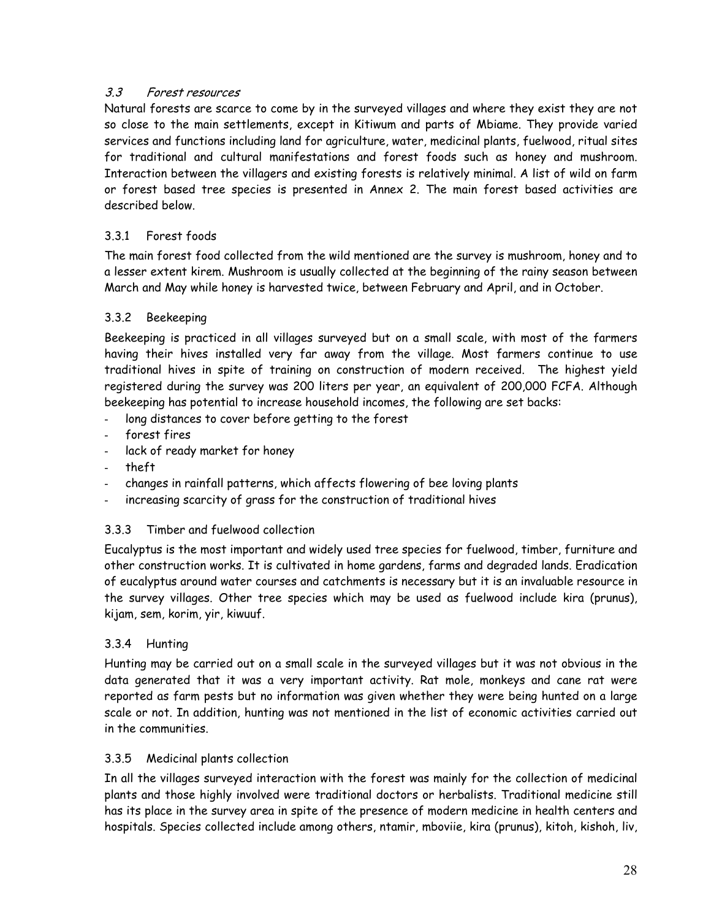## 3.3 Forest resources

Natural forests are scarce to come by in the surveyed villages and where they exist they are not so close to the main settlements, except in Kitiwum and parts of Mbiame. They provide varied services and functions including land for agriculture, water, medicinal plants, fuelwood, ritual sites for traditional and cultural manifestations and forest foods such as honey and mushroom. Interaction between the villagers and existing forests is relatively minimal. A list of wild on farm or forest based tree species is presented in Annex 2. The main forest based activities are described below.

## 3.3.1 Forest foods

The main forest food collected from the wild mentioned are the survey is mushroom, honey and to a lesser extent kirem. Mushroom is usually collected at the beginning of the rainy season between March and May while honey is harvested twice, between February and April, and in October.

## 3.3.2 Beekeeping

Beekeeping is practiced in all villages surveyed but on a small scale, with most of the farmers having their hives installed very far away from the village. Most farmers continue to use traditional hives in spite of training on construction of modern received. The highest yield registered during the survey was 200 liters per year, an equivalent of 200,000 FCFA. Although beekeeping has potential to increase household incomes, the following are set backs:

- long distances to cover before getting to the forest
- forest fires
- lack of ready market for honey
- theft
- changes in rainfall patterns, which affects flowering of bee loving plants
- increasing scarcity of grass for the construction of traditional hives

## 3.3.3 Timber and fuelwood collection

Eucalyptus is the most important and widely used tree species for fuelwood, timber, furniture and other construction works. It is cultivated in home gardens, farms and degraded lands. Eradication of eucalyptus around water courses and catchments is necessary but it is an invaluable resource in the survey villages. Other tree species which may be used as fuelwood include kira (prunus), kijam, sem, korim, yir, kiwuuf.

## 3.3.4 Hunting

Hunting may be carried out on a small scale in the surveyed villages but it was not obvious in the data generated that it was a very important activity. Rat mole, monkeys and cane rat were reported as farm pests but no information was given whether they were being hunted on a large scale or not. In addition, hunting was not mentioned in the list of economic activities carried out in the communities.

## 3.3.5 Medicinal plants collection

In all the villages surveyed interaction with the forest was mainly for the collection of medicinal plants and those highly involved were traditional doctors or herbalists. Traditional medicine still has its place in the survey area in spite of the presence of modern medicine in health centers and hospitals. Species collected include among others, ntamir, mboviie, kira (prunus), kitoh, kishoh, liv,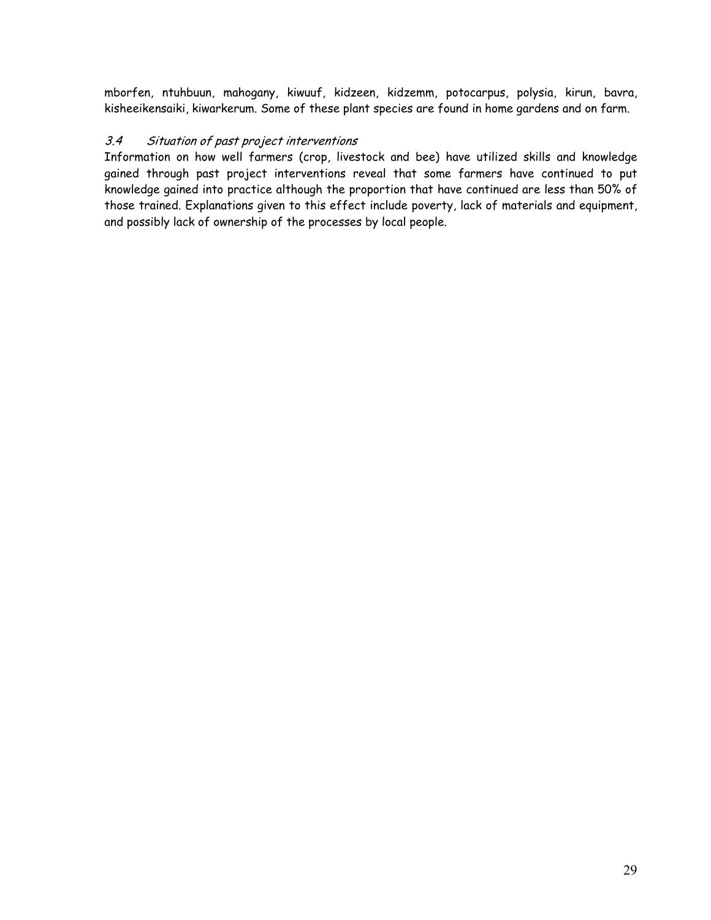mborfen, ntuhbuun, mahogany, kiwuuf, kidzeen, kidzemm, potocarpus, polysia, kirun, bavra, kisheeikensaiki, kiwarkerum. Some of these plant species are found in home gardens and on farm.

## 3.4 Situation of past project interventions

Information on how well farmers (crop, livestock and bee) have utilized skills and knowledge gained through past project interventions reveal that some farmers have continued to put knowledge gained into practice although the proportion that have continued are less than 50% of those trained. Explanations given to this effect include poverty, lack of materials and equipment, and possibly lack of ownership of the processes by local people.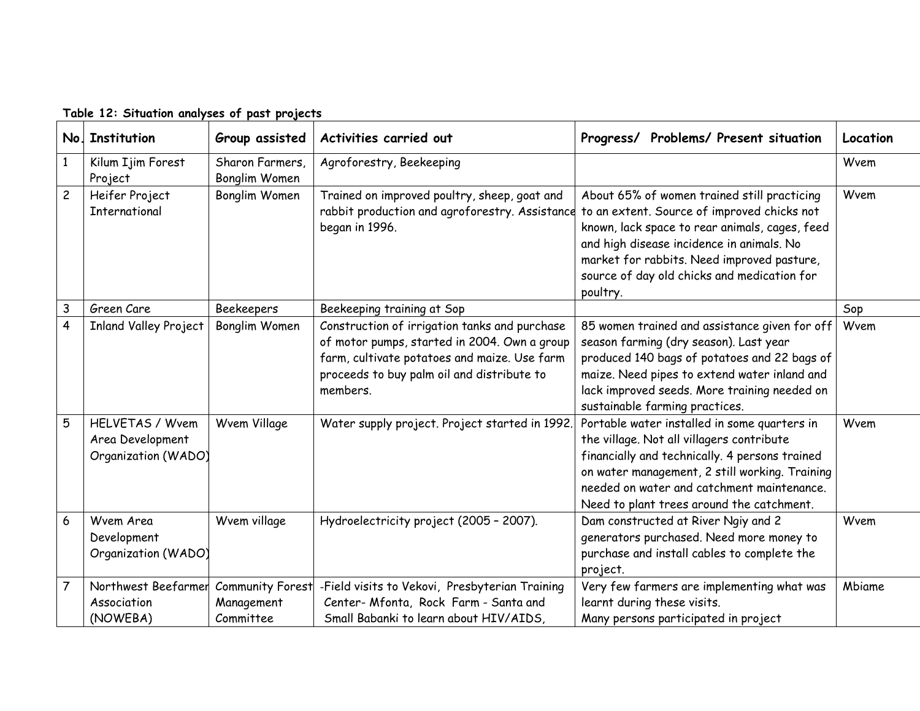| No.            | <b>Institution</b>                                                | Group assisted                                     | Activities carried out                                                                                                                                                                                  | Problems/ Present situation<br>Progress/                                                                                                                                                                                                                                                           | Location |
|----------------|-------------------------------------------------------------------|----------------------------------------------------|---------------------------------------------------------------------------------------------------------------------------------------------------------------------------------------------------------|----------------------------------------------------------------------------------------------------------------------------------------------------------------------------------------------------------------------------------------------------------------------------------------------------|----------|
|                | Kilum Ijim Forest<br>Project                                      | Sharon Farmers,<br>Bonglim Women                   | Agroforestry, Beekeeping                                                                                                                                                                                |                                                                                                                                                                                                                                                                                                    | Wvem     |
| $\overline{c}$ | Heifer Project<br>International                                   | <b>Bonglim Women</b>                               | Trained on improved poultry, sheep, goat and<br>rabbit production and agroforestry. Assistance<br>began in 1996.                                                                                        | About 65% of women trained still practicing<br>to an extent. Source of improved chicks not<br>known, lack space to rear animals, cages, feed<br>and high disease incidence in animals. No<br>market for rabbits. Need improved pasture,<br>source of day old chicks and medication for<br>poultry. | Wvem     |
| $\mathsf{3}$   | Green Care                                                        | <b>Beekeepers</b>                                  | Beekeeping training at Sop                                                                                                                                                                              |                                                                                                                                                                                                                                                                                                    | Sop      |
| $\overline{4}$ | <b>Inland Valley Project</b>                                      | Bonglim Women                                      | Construction of irrigation tanks and purchase<br>of motor pumps, started in 2004. Own a group<br>farm, cultivate potatoes and maize. Use farm<br>proceeds to buy palm oil and distribute to<br>members. | 85 women trained and assistance given for off<br>season farming (dry season). Last year<br>produced 140 bags of potatoes and 22 bags of<br>maize. Need pipes to extend water inland and<br>lack improved seeds. More training needed on<br>sustainable farming practices.                          | Wvem     |
| 5              | <b>HELVETAS / Wvem</b><br>Area Development<br>Organization (WADO) | Wvem Village                                       | Water supply project. Project started in 1992.                                                                                                                                                          | Portable water installed in some quarters in<br>the village. Not all villagers contribute<br>financially and technically. 4 persons trained<br>on water management, 2 still working. Training<br>needed on water and catchment maintenance.<br>Need to plant trees around the catchment.           | Wvem     |
| 6              | Wvem Area<br>Development<br>Organization (WADO)                   | Wvem village                                       | Hydroelectricity project (2005 - 2007).                                                                                                                                                                 | Dam constructed at River Ngiy and 2<br>generators purchased. Need more money to<br>purchase and install cables to complete the<br>project.                                                                                                                                                         | Wvem     |
| $\overline{7}$ | Northwest Beefarmer<br>Association<br>(NOWEBA)                    | <b>Community Forest</b><br>Management<br>Committee | -Field visits to Vekovi, Presbyterian Training<br>Center- Mfonta, Rock Farm - Santa and<br>Small Babanki to learn about HIV/AIDS,                                                                       | Very few farmers are implementing what was<br>learnt during these visits.<br>Many persons participated in project                                                                                                                                                                                  | Mbiame   |

**Table 12: Situation analyses of past projects**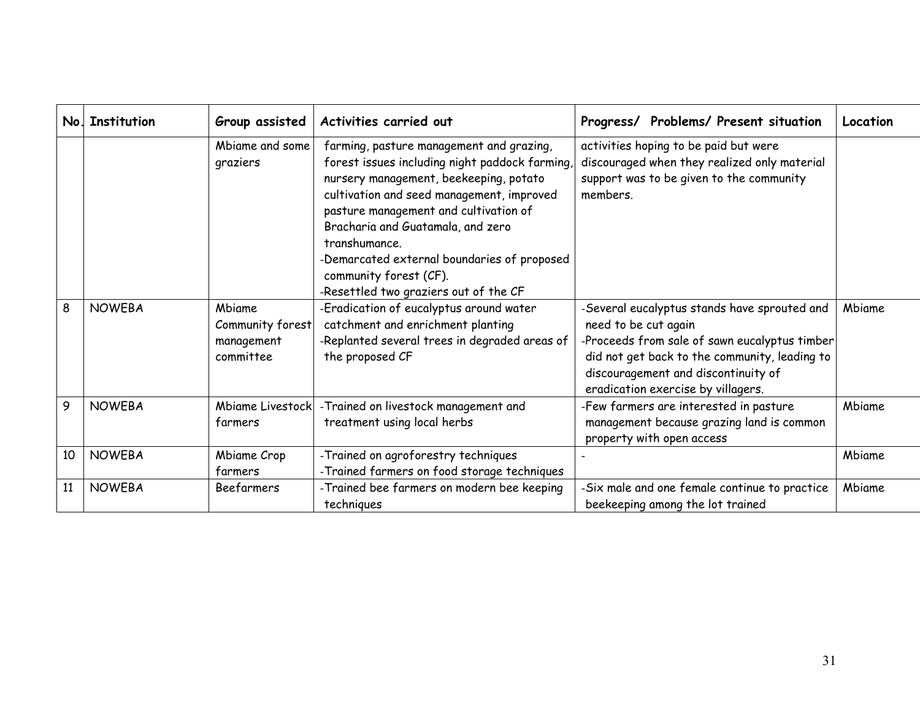| No. | Institution   | Group assisted                                        | Activities carried out                                                                                                                                                                                                                                                                                                                                                                             | Progress/ Problems/ Present situation                                                                                                                                                                                                               | Location |
|-----|---------------|-------------------------------------------------------|----------------------------------------------------------------------------------------------------------------------------------------------------------------------------------------------------------------------------------------------------------------------------------------------------------------------------------------------------------------------------------------------------|-----------------------------------------------------------------------------------------------------------------------------------------------------------------------------------------------------------------------------------------------------|----------|
|     |               | Mbiame and some<br>graziers                           | farming, pasture management and grazing,<br>forest issues including night paddock farming,<br>nursery management, beekeeping, potato<br>cultivation and seed management, improved<br>pasture management and cultivation of<br>Bracharia and Guatamala, and zero<br>transhumance.<br>-Demarcated external boundaries of proposed<br>community forest (CF).<br>-Resettled two graziers out of the CF | activities hoping to be paid but were<br>discouraged when they realized only material<br>support was to be given to the community<br>members.                                                                                                       |          |
| 8   | <b>NOWEBA</b> | Mbiame<br>Community forest<br>management<br>committee | -Eradication of eucalyptus around water<br>catchment and enrichment planting<br>-Replanted several trees in degraded areas of<br>the proposed CF                                                                                                                                                                                                                                                   | -Several eucalyptus stands have sprouted and<br>need to be cut again<br>-Proceeds from sale of sawn eucalyptus timber<br>did not get back to the community, leading to<br>discouragement and discontinuity of<br>eradication exercise by villagers. | Mbiame   |
| 9   | <b>NOWEBA</b> | <b>Mbiame Livestock</b><br>farmers                    | -Trained on livestock management and<br>treatment using local herbs                                                                                                                                                                                                                                                                                                                                | -Few farmers are interested in pasture<br>management because grazing land is common<br>property with open access                                                                                                                                    | Mbiame   |
| 10  | <b>NOWEBA</b> | Mbiame Crop<br>farmers                                | -Trained on agroforestry techniques<br>-Trained farmers on food storage techniques                                                                                                                                                                                                                                                                                                                 |                                                                                                                                                                                                                                                     | Mbiame   |
| 11  | <b>NOWEBA</b> | <b>Beefarmers</b>                                     | -Trained bee farmers on modern bee keeping<br>techniques                                                                                                                                                                                                                                                                                                                                           | -Six male and one female continue to practice<br>beekeeping among the lot trained                                                                                                                                                                   | Mbiame   |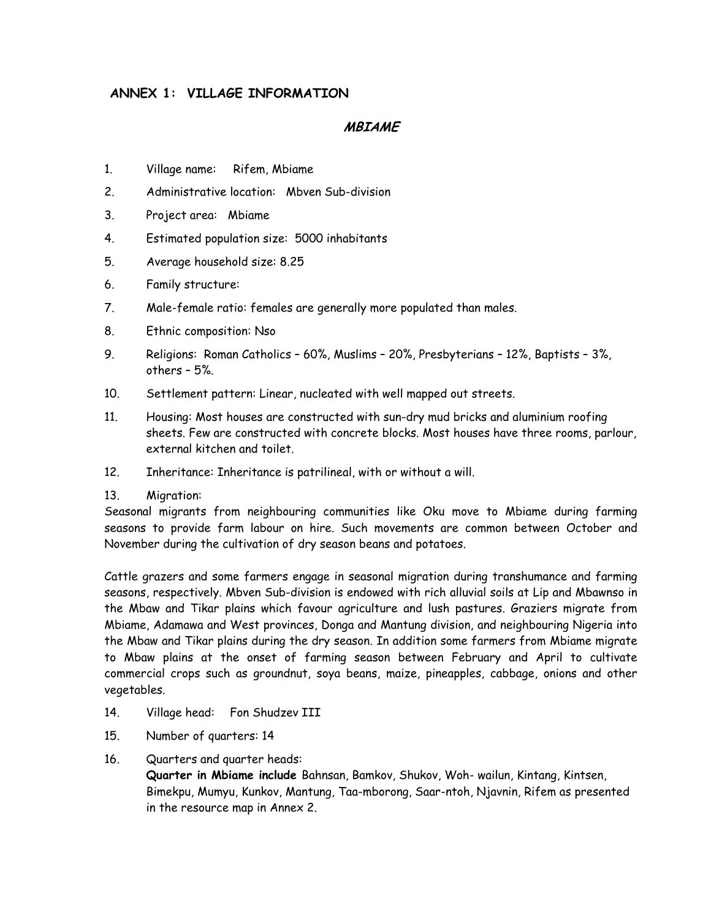## **ANNEX 1: VILLAGE INFORMATION**

### **MBIAME**

- 1. Village name: Rifem, Mbiame
- 2. Administrative location: Mbven Sub-division
- 3. Project area: Mbiame
- 4. Estimated population size: 5000 inhabitants
- 5. Average household size: 8.25
- 6. Family structure:
- 7. Male-female ratio: females are generally more populated than males.
- 8. Ethnic composition: Nso
- 9. Religions: Roman Catholics 60%, Muslims 20%, Presbyterians 12%, Baptists 3%, others – 5%.
- 10. Settlement pattern: Linear, nucleated with well mapped out streets.
- 11. Housing: Most houses are constructed with sun-dry mud bricks and aluminium roofing sheets. Few are constructed with concrete blocks. Most houses have three rooms, parlour, external kitchen and toilet.
- 12. Inheritance: Inheritance is patrilineal, with or without a will.

#### 13. Migration:

Seasonal migrants from neighbouring communities like Oku move to Mbiame during farming seasons to provide farm labour on hire. Such movements are common between October and November during the cultivation of dry season beans and potatoes.

Cattle grazers and some farmers engage in seasonal migration during transhumance and farming seasons, respectively. Mbven Sub-division is endowed with rich alluvial soils at Lip and Mbawnso in the Mbaw and Tikar plains which favour agriculture and lush pastures. Graziers migrate from Mbiame, Adamawa and West provinces, Donga and Mantung division, and neighbouring Nigeria into the Mbaw and Tikar plains during the dry season. In addition some farmers from Mbiame migrate to Mbaw plains at the onset of farming season between February and April to cultivate commercial crops such as groundnut, soya beans, maize, pineapples, cabbage, onions and other vegetables.

- 14. Village head: Fon Shudzev III
- 15. Number of quarters: 14
- 16. Quarters and quarter heads:

**Quarter in Mbiame include** Bahnsan, Bamkov, Shukov, Woh- wailun, Kintang, Kintsen, Bimekpu, Mumyu, Kunkov, Mantung, Taa-mborong, Saar-ntoh, Njavnin, Rifem as presented in the resource map in Annex 2.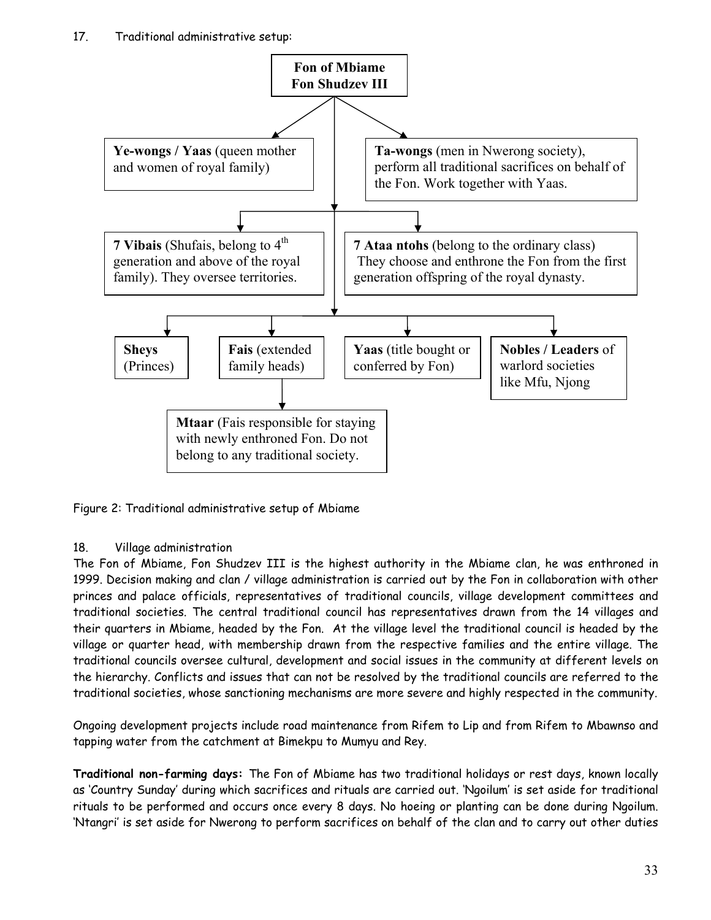

Figure 2: Traditional administrative setup of Mbiame

## 18. Village administration

The Fon of Mbiame, Fon Shudzev III is the highest authority in the Mbiame clan, he was enthroned in 1999. Decision making and clan / village administration is carried out by the Fon in collaboration with other princes and palace officials, representatives of traditional councils, village development committees and traditional societies. The central traditional council has representatives drawn from the 14 villages and their quarters in Mbiame, headed by the Fon. At the village level the traditional council is headed by the village or quarter head, with membership drawn from the respective families and the entire village. The traditional councils oversee cultural, development and social issues in the community at different levels on the hierarchy. Conflicts and issues that can not be resolved by the traditional councils are referred to the traditional societies, whose sanctioning mechanisms are more severe and highly respected in the community.

Ongoing development projects include road maintenance from Rifem to Lip and from Rifem to Mbawnso and tapping water from the catchment at Bimekpu to Mumyu and Rey.

**Traditional non-farming days:** The Fon of Mbiame has two traditional holidays or rest days, known locally as 'Country Sunday' during which sacrifices and rituals are carried out. 'Ngoilum' is set aside for traditional rituals to be performed and occurs once every 8 days. No hoeing or planting can be done during Ngoilum. 'Ntangri' is set aside for Nwerong to perform sacrifices on behalf of the clan and to carry out other duties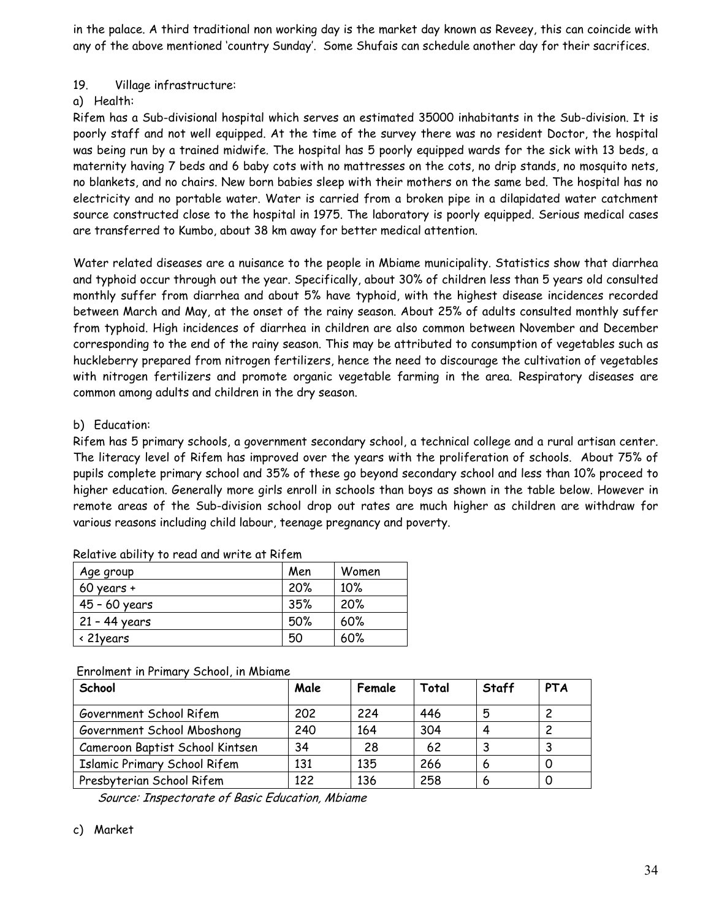in the palace. A third traditional non working day is the market day known as Reveey, this can coincide with any of the above mentioned 'country Sunday'. Some Shufais can schedule another day for their sacrifices.

## 19. Village infrastructure:

#### a) Health:

Rifem has a Sub-divisional hospital which serves an estimated 35000 inhabitants in the Sub-division. It is poorly staff and not well equipped. At the time of the survey there was no resident Doctor, the hospital was being run by a trained midwife. The hospital has 5 poorly equipped wards for the sick with 13 beds, a maternity having 7 beds and 6 baby cots with no mattresses on the cots, no drip stands, no mosquito nets, no blankets, and no chairs. New born babies sleep with their mothers on the same bed. The hospital has no electricity and no portable water. Water is carried from a broken pipe in a dilapidated water catchment source constructed close to the hospital in 1975. The laboratory is poorly equipped. Serious medical cases are transferred to Kumbo, about 38 km away for better medical attention.

Water related diseases are a nuisance to the people in Mbiame municipality. Statistics show that diarrhea and typhoid occur through out the year. Specifically, about 30% of children less than 5 years old consulted monthly suffer from diarrhea and about 5% have typhoid, with the highest disease incidences recorded between March and May, at the onset of the rainy season. About 25% of adults consulted monthly suffer from typhoid. High incidences of diarrhea in children are also common between November and December corresponding to the end of the rainy season. This may be attributed to consumption of vegetables such as huckleberry prepared from nitrogen fertilizers, hence the need to discourage the cultivation of vegetables with nitrogen fertilizers and promote organic vegetable farming in the area. Respiratory diseases are common among adults and children in the dry season.

## b) Education:

Rifem has 5 primary schools, a government secondary school, a technical college and a rural artisan center. The literacy level of Rifem has improved over the years with the proliferation of schools. About 75% of pupils complete primary school and 35% of these go beyond secondary school and less than 10% proceed to higher education. Generally more girls enroll in schools than boys as shown in the table below. However in remote areas of the Sub-division school drop out rates are much higher as children are withdraw for various reasons including child labour, teenage pregnancy and poverty.

| Age group          | Men | Women |
|--------------------|-----|-------|
| $60$ years +       | 20% | 10%   |
| 45 - 60 years      | 35% | 20%   |
| 21 - 44 years      | 50% | 60%   |
| $\langle$ 21 years | 50  | 60%   |

| Relative ability to read and write at Rifem |  |  |  |  |
|---------------------------------------------|--|--|--|--|
|---------------------------------------------|--|--|--|--|

|  | Enrolment in Primary School, in Mbiame |
|--|----------------------------------------|
|--|----------------------------------------|

| School                              | Male | Female | Total | Staff | <b>PTA</b> |
|-------------------------------------|------|--------|-------|-------|------------|
| Government School Rifem             | 202  | 224    | 446   | 5     |            |
| Government School Mboshong          | 240  | 164    | 304   | 4     |            |
| Cameroon Baptist School Kintsen     | 34   | 28     | 62    |       |            |
| <b>Islamic Primary School Rifem</b> | 131  | 135    | 266   | 6     |            |
| Presbyterian School Rifem           | 122  | 136    | 258   | 6     |            |

Source: Inspectorate of Basic Education, Mbiame

#### c) Market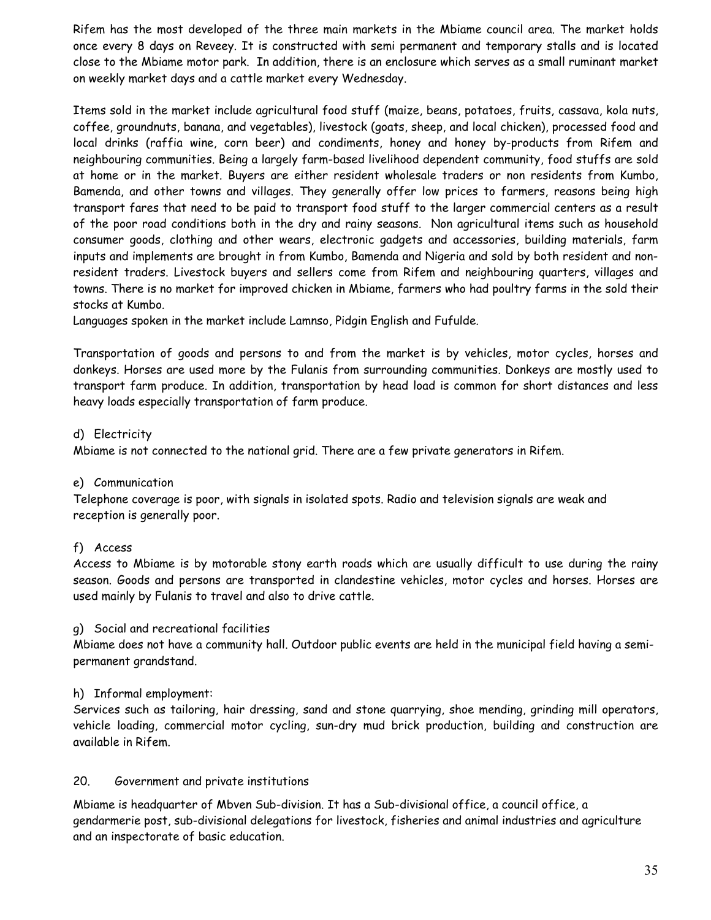Rifem has the most developed of the three main markets in the Mbiame council area. The market holds once every 8 days on Reveey. It is constructed with semi permanent and temporary stalls and is located close to the Mbiame motor park. In addition, there is an enclosure which serves as a small ruminant market on weekly market days and a cattle market every Wednesday.

Items sold in the market include agricultural food stuff (maize, beans, potatoes, fruits, cassava, kola nuts, coffee, groundnuts, banana, and vegetables), livestock (goats, sheep, and local chicken), processed food and local drinks (raffia wine, corn beer) and condiments, honey and honey by-products from Rifem and neighbouring communities. Being a largely farm-based livelihood dependent community, food stuffs are sold at home or in the market. Buyers are either resident wholesale traders or non residents from Kumbo, Bamenda, and other towns and villages. They generally offer low prices to farmers, reasons being high transport fares that need to be paid to transport food stuff to the larger commercial centers as a result of the poor road conditions both in the dry and rainy seasons. Non agricultural items such as household consumer goods, clothing and other wears, electronic gadgets and accessories, building materials, farm inputs and implements are brought in from Kumbo, Bamenda and Nigeria and sold by both resident and nonresident traders. Livestock buyers and sellers come from Rifem and neighbouring quarters, villages and towns. There is no market for improved chicken in Mbiame, farmers who had poultry farms in the sold their stocks at Kumbo.

Languages spoken in the market include Lamnso, Pidgin English and Fufulde.

Transportation of goods and persons to and from the market is by vehicles, motor cycles, horses and donkeys. Horses are used more by the Fulanis from surrounding communities. Donkeys are mostly used to transport farm produce. In addition, transportation by head load is common for short distances and less heavy loads especially transportation of farm produce.

## d) Electricity

Mbiame is not connected to the national grid. There are a few private generators in Rifem.

## e) Communication

Telephone coverage is poor, with signals in isolated spots. Radio and television signals are weak and reception is generally poor.

## f) Access

Access to Mbiame is by motorable stony earth roads which are usually difficult to use during the rainy season. Goods and persons are transported in clandestine vehicles, motor cycles and horses. Horses are used mainly by Fulanis to travel and also to drive cattle.

#### g) Social and recreational facilities

Mbiame does not have a community hall. Outdoor public events are held in the municipal field having a semipermanent grandstand.

## h) Informal employment:

Services such as tailoring, hair dressing, sand and stone quarrying, shoe mending, grinding mill operators, vehicle loading, commercial motor cycling, sun-dry mud brick production, building and construction are available in Rifem.

#### 20. Government and private institutions

Mbiame is headquarter of Mbven Sub-division. It has a Sub-divisional office, a council office, a gendarmerie post, sub-divisional delegations for livestock, fisheries and animal industries and agriculture and an inspectorate of basic education.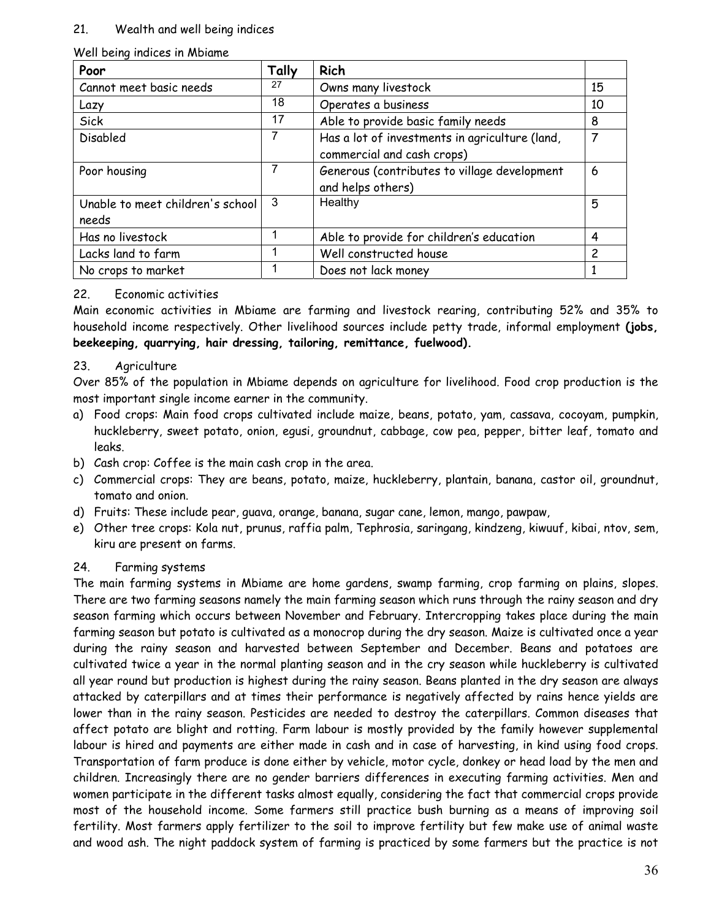### 21. Wealth and well being indices

### Well being indices in Mbiame

| Poor                             | Tally | Rich                                           |                |
|----------------------------------|-------|------------------------------------------------|----------------|
| Cannot meet basic needs          | 27    | Owns many livestock                            | 15             |
| Lazy                             | 18    | Operates a business                            | 10             |
| Sick                             | 17    | Able to provide basic family needs             | 8              |
| Disabled                         |       | Has a lot of investments in agriculture (land, | $\overline{7}$ |
|                                  |       | commercial and cash crops)                     |                |
| Poor housing                     | 7     | Generous (contributes to village development   | 6              |
|                                  |       | and helps others)                              |                |
| Unable to meet children's school | 3     | Healthy                                        | 5              |
| needs                            |       |                                                |                |
| Has no livestock                 |       | Able to provide for children's education       | 4              |
| Lacks land to farm               |       | Well constructed house                         | $\overline{c}$ |
| No crops to market               |       | Does not lack money                            |                |

#### 22. Economic activities

Main economic activities in Mbiame are farming and livestock rearing, contributing 52% and 35% to household income respectively. Other livelihood sources include petty trade, informal employment **(jobs, beekeeping, quarrying, hair dressing, tailoring, remittance, fuelwood).**

## 23. Agriculture

Over 85% of the population in Mbiame depends on agriculture for livelihood. Food crop production is the most important single income earner in the community.

- a) Food crops: Main food crops cultivated include maize, beans, potato, yam, cassava, cocoyam, pumpkin, huckleberry, sweet potato, onion, egusi, groundnut, cabbage, cow pea, pepper, bitter leaf, tomato and leaks.
- b) Cash crop: Coffee is the main cash crop in the area.
- c) Commercial crops: They are beans, potato, maize, huckleberry, plantain, banana, castor oil, groundnut, tomato and onion.
- d) Fruits: These include pear, guava, orange, banana, sugar cane, lemon, mango, pawpaw,
- e) Other tree crops: Kola nut, prunus, raffia palm, Tephrosia, saringang, kindzeng, kiwuuf, kibai, ntov, sem, kiru are present on farms.

#### 24. Farming systems

The main farming systems in Mbiame are home gardens, swamp farming, crop farming on plains, slopes. There are two farming seasons namely the main farming season which runs through the rainy season and dry season farming which occurs between November and February. Intercropping takes place during the main farming season but potato is cultivated as a monocrop during the dry season. Maize is cultivated once a year during the rainy season and harvested between September and December. Beans and potatoes are cultivated twice a year in the normal planting season and in the cry season while huckleberry is cultivated all year round but production is highest during the rainy season. Beans planted in the dry season are always attacked by caterpillars and at times their performance is negatively affected by rains hence yields are lower than in the rainy season. Pesticides are needed to destroy the caterpillars. Common diseases that affect potato are blight and rotting. Farm labour is mostly provided by the family however supplemental labour is hired and payments are either made in cash and in case of harvesting, in kind using food crops. Transportation of farm produce is done either by vehicle, motor cycle, donkey or head load by the men and children. Increasingly there are no gender barriers differences in executing farming activities. Men and women participate in the different tasks almost equally, considering the fact that commercial crops provide most of the household income. Some farmers still practice bush burning as a means of improving soil fertility. Most farmers apply fertilizer to the soil to improve fertility but few make use of animal waste and wood ash. The night paddock system of farming is practiced by some farmers but the practice is not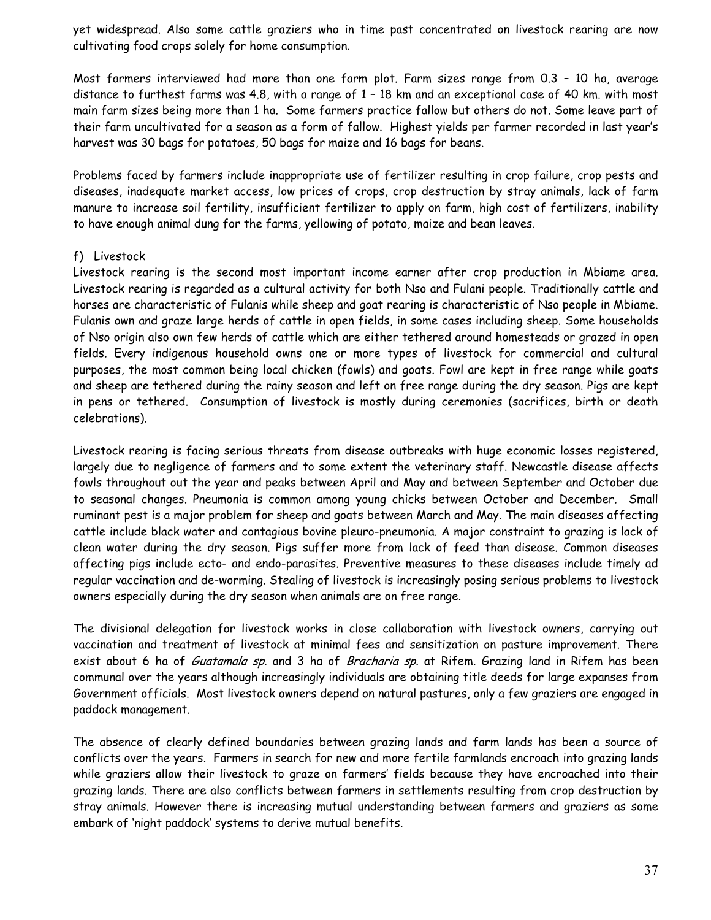yet widespread. Also some cattle graziers who in time past concentrated on livestock rearing are now cultivating food crops solely for home consumption.

Most farmers interviewed had more than one farm plot. Farm sizes range from 0.3 – 10 ha, average distance to furthest farms was 4.8, with a range of 1 – 18 km and an exceptional case of 40 km. with most main farm sizes being more than 1 ha. Some farmers practice fallow but others do not. Some leave part of their farm uncultivated for a season as a form of fallow. Highest yields per farmer recorded in last year's harvest was 30 bags for potatoes, 50 bags for maize and 16 bags for beans.

Problems faced by farmers include inappropriate use of fertilizer resulting in crop failure, crop pests and diseases, inadequate market access, low prices of crops, crop destruction by stray animals, lack of farm manure to increase soil fertility, insufficient fertilizer to apply on farm, high cost of fertilizers, inability to have enough animal dung for the farms, yellowing of potato, maize and bean leaves.

#### f) Livestock

Livestock rearing is the second most important income earner after crop production in Mbiame area. Livestock rearing is regarded as a cultural activity for both Nso and Fulani people. Traditionally cattle and horses are characteristic of Fulanis while sheep and goat rearing is characteristic of Nso people in Mbiame. Fulanis own and graze large herds of cattle in open fields, in some cases including sheep. Some households of Nso origin also own few herds of cattle which are either tethered around homesteads or grazed in open fields. Every indigenous household owns one or more types of livestock for commercial and cultural purposes, the most common being local chicken (fowls) and goats. Fowl are kept in free range while goats and sheep are tethered during the rainy season and left on free range during the dry season. Pigs are kept in pens or tethered. Consumption of livestock is mostly during ceremonies (sacrifices, birth or death celebrations).

Livestock rearing is facing serious threats from disease outbreaks with huge economic losses registered, largely due to negligence of farmers and to some extent the veterinary staff. Newcastle disease affects fowls throughout out the year and peaks between April and May and between September and October due to seasonal changes. Pneumonia is common among young chicks between October and December. Small ruminant pest is a major problem for sheep and goats between March and May. The main diseases affecting cattle include black water and contagious bovine pleuro-pneumonia. A major constraint to grazing is lack of clean water during the dry season. Pigs suffer more from lack of feed than disease. Common diseases affecting pigs include ecto- and endo-parasites. Preventive measures to these diseases include timely ad regular vaccination and de-worming. Stealing of livestock is increasingly posing serious problems to livestock owners especially during the dry season when animals are on free range.

The divisional delegation for livestock works in close collaboration with livestock owners, carrying out vaccination and treatment of livestock at minimal fees and sensitization on pasture improvement. There exist about 6 ha of *Guatamala sp.* and 3 ha of *Bracharia sp.* at Rifem. Grazing land in Rifem has been communal over the years although increasingly individuals are obtaining title deeds for large expanses from Government officials. Most livestock owners depend on natural pastures, only a few graziers are engaged in paddock management.

The absence of clearly defined boundaries between grazing lands and farm lands has been a source of conflicts over the years. Farmers in search for new and more fertile farmlands encroach into grazing lands while graziers allow their livestock to graze on farmers' fields because they have encroached into their grazing lands. There are also conflicts between farmers in settlements resulting from crop destruction by stray animals. However there is increasing mutual understanding between farmers and graziers as some embark of 'night paddock' systems to derive mutual benefits.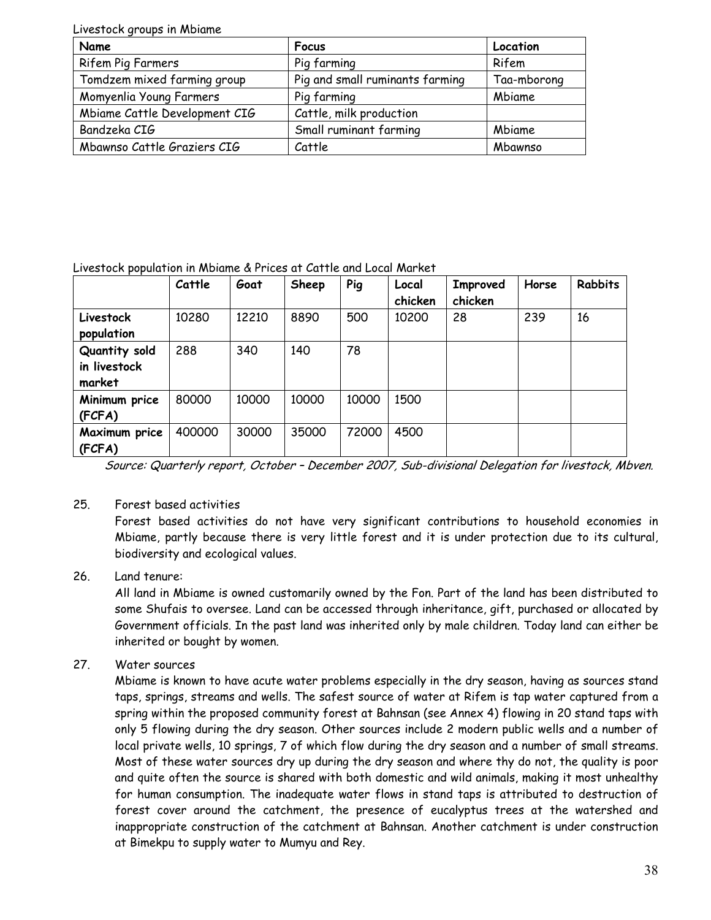| Livestock groups in Mbiame    |                                 |             |  |  |  |  |
|-------------------------------|---------------------------------|-------------|--|--|--|--|
| Name                          | <b>Focus</b>                    | Location    |  |  |  |  |
| Rifem Pig Farmers             | Pig farming                     | Rifem       |  |  |  |  |
| Tomdzem mixed farming group   | Pig and small ruminants farming | Taa-mborong |  |  |  |  |
| Momyenlia Young Farmers       | Pig farming                     | Mbiame      |  |  |  |  |
| Mbiame Cattle Development CIG | Cattle, milk production         |             |  |  |  |  |
| Bandzeka CIG                  | Small ruminant farming          | Mbiame      |  |  |  |  |
| Mbawnso Cattle Graziers CIG   | Cattle                          | Mbawnso     |  |  |  |  |

Livestock population in Mbiame & Prices at Cattle and Local Market

|               | Cattle | Goat  | Sheep | Pig   | Local<br>chicken | Improved<br>chicken | Horse | <b>Rabbits</b> |
|---------------|--------|-------|-------|-------|------------------|---------------------|-------|----------------|
| Livestock     | 10280  | 12210 | 8890  | 500   | 10200            | 28                  | 239   | 16             |
| population    |        |       |       |       |                  |                     |       |                |
| Quantity sold | 288    | 340   | 140   | 78    |                  |                     |       |                |
| in livestock  |        |       |       |       |                  |                     |       |                |
| market        |        |       |       |       |                  |                     |       |                |
| Minimum price | 80000  | 10000 | 10000 | 10000 | 1500             |                     |       |                |
| (FCFA)        |        |       |       |       |                  |                     |       |                |
| Maximum price | 400000 | 30000 | 35000 | 72000 | 4500             |                     |       |                |
| (FCFA)        |        |       |       |       |                  |                     |       |                |

Source: Quarterly report, October – December 2007, Sub-divisional Delegation for livestock, Mbven.

## 25. Forest based activities

Forest based activities do not have very significant contributions to household economies in Mbiame, partly because there is very little forest and it is under protection due to its cultural, biodiversity and ecological values.

## 26. Land tenure:

All land in Mbiame is owned customarily owned by the Fon. Part of the land has been distributed to some Shufais to oversee. Land can be accessed through inheritance, gift, purchased or allocated by Government officials. In the past land was inherited only by male children. Today land can either be inherited or bought by women.

## 27. Water sources

Mbiame is known to have acute water problems especially in the dry season, having as sources stand taps, springs, streams and wells. The safest source of water at Rifem is tap water captured from a spring within the proposed community forest at Bahnsan (see Annex 4) flowing in 20 stand taps with only 5 flowing during the dry season. Other sources include 2 modern public wells and a number of local private wells, 10 springs, 7 of which flow during the dry season and a number of small streams. Most of these water sources dry up during the dry season and where thy do not, the quality is poor and quite often the source is shared with both domestic and wild animals, making it most unhealthy for human consumption. The inadequate water flows in stand taps is attributed to destruction of forest cover around the catchment, the presence of eucalyptus trees at the watershed and inappropriate construction of the catchment at Bahnsan. Another catchment is under construction at Bimekpu to supply water to Mumyu and Rey.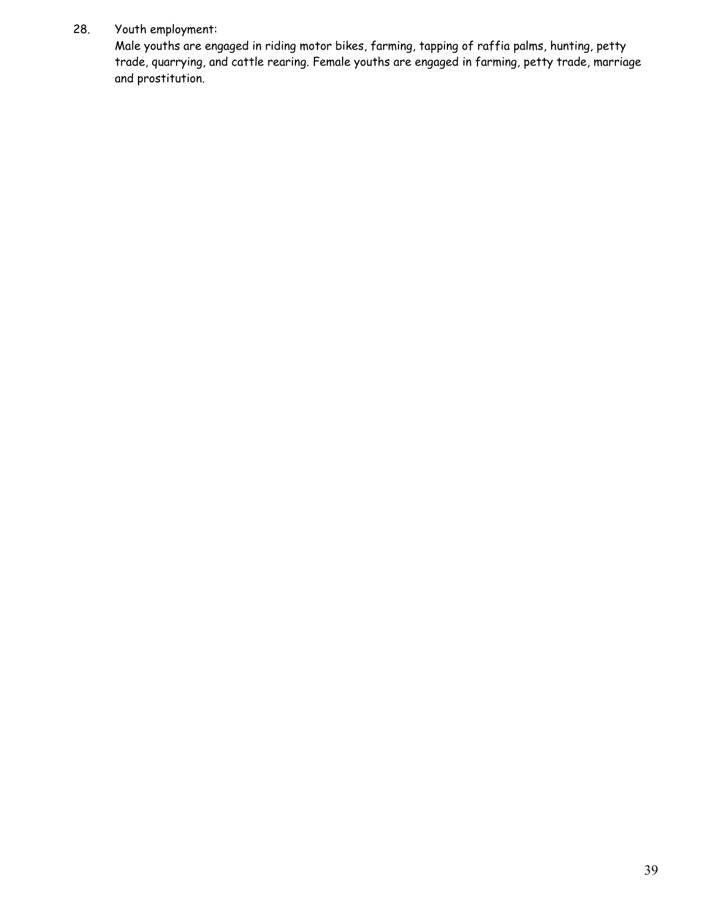## 28. Youth employment:

Male youths are engaged in riding motor bikes, farming, tapping of raffia palms, hunting, petty trade, quarrying, and cattle rearing. Female youths are engaged in farming, petty trade, marriage and prostitution.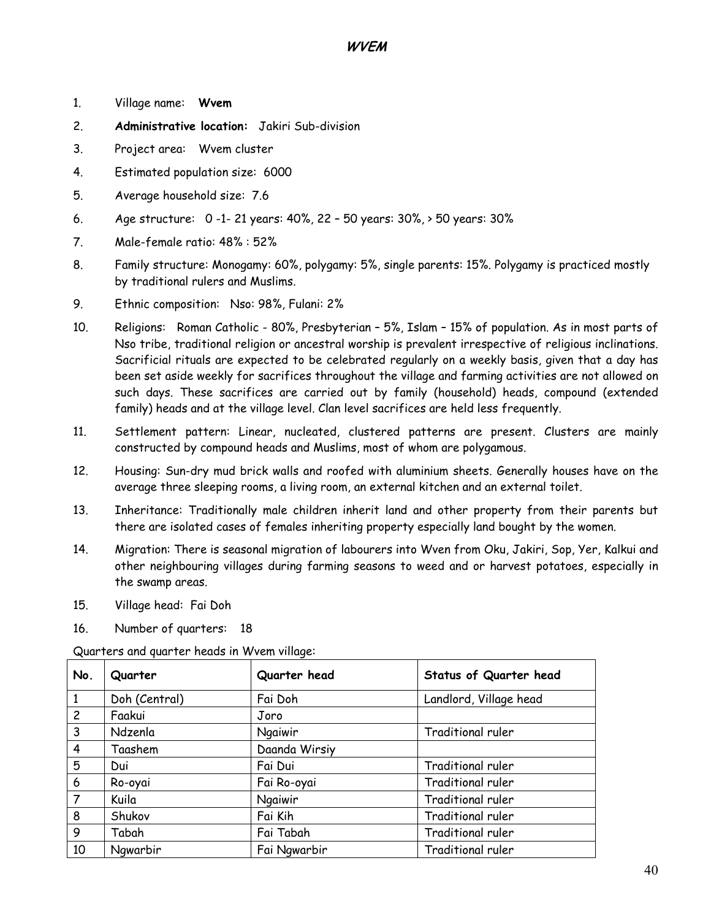- 1. Village name: **Wvem**
- 2. **Administrative location:** Jakiri Sub-division
- 3. Project area: Wvem cluster
- 4. Estimated population size: 6000
- 5. Average household size: 7.6
- 6. Age structure: 0 -1- 21 years: 40%, 22 50 years: 30%, > 50 years: 30%
- 7. Male-female ratio: 48% : 52%
- 8. Family structure: Monogamy: 60%, polygamy: 5%, single parents: 15%. Polygamy is practiced mostly by traditional rulers and Muslims.
- 9. Ethnic composition: Nso: 98%, Fulani: 2%
- 10. Religions: Roman Catholic 80%, Presbyterian 5%, Islam 15% of population. As in most parts of Nso tribe, traditional religion or ancestral worship is prevalent irrespective of religious inclinations. Sacrificial rituals are expected to be celebrated regularly on a weekly basis, given that a day has been set aside weekly for sacrifices throughout the village and farming activities are not allowed on such days. These sacrifices are carried out by family (household) heads, compound (extended family) heads and at the village level. Clan level sacrifices are held less frequently.
- 11. Settlement pattern: Linear, nucleated, clustered patterns are present. Clusters are mainly constructed by compound heads and Muslims, most of whom are polygamous.
- 12. Housing: Sun-dry mud brick walls and roofed with aluminium sheets. Generally houses have on the average three sleeping rooms, a living room, an external kitchen and an external toilet.
- 13. Inheritance: Traditionally male children inherit land and other property from their parents but there are isolated cases of females inheriting property especially land bought by the women.
- 14. Migration: There is seasonal migration of labourers into Wven from Oku, Jakiri, Sop, Yer, Kalkui and other neighbouring villages during farming seasons to weed and or harvest potatoes, especially in the swamp areas.
- 15. Village head: Fai Doh
- 16. Number of quarters: 18

Quarters and quarter heads in Wvem village:

| No.            | Quarter       | Quarter head  | Status of Quarter head |
|----------------|---------------|---------------|------------------------|
| 1              | Doh (Central) | Fai Doh       | Landlord, Village head |
| $\overline{c}$ | Faakui        | Joro          |                        |
| 3              | Ndzenla       | Ngaiwir       | Traditional ruler      |
| 4              | Taashem       | Daanda Wirsiy |                        |
| 5              | Dui           | Fai Dui       | Traditional ruler      |
| 6              | Ro-oyai       | Fai Ro-oyai   | Traditional ruler      |
| $\overline{7}$ | Kuila         | Ngaiwir       | Traditional ruler      |
| 8              | Shukov        | Fai Kih       | Traditional ruler      |
| 9              | Tabah         | Fai Tabah     | Traditional ruler      |
| 10             | Ngwarbir      | Fai Ngwarbir  | Traditional ruler      |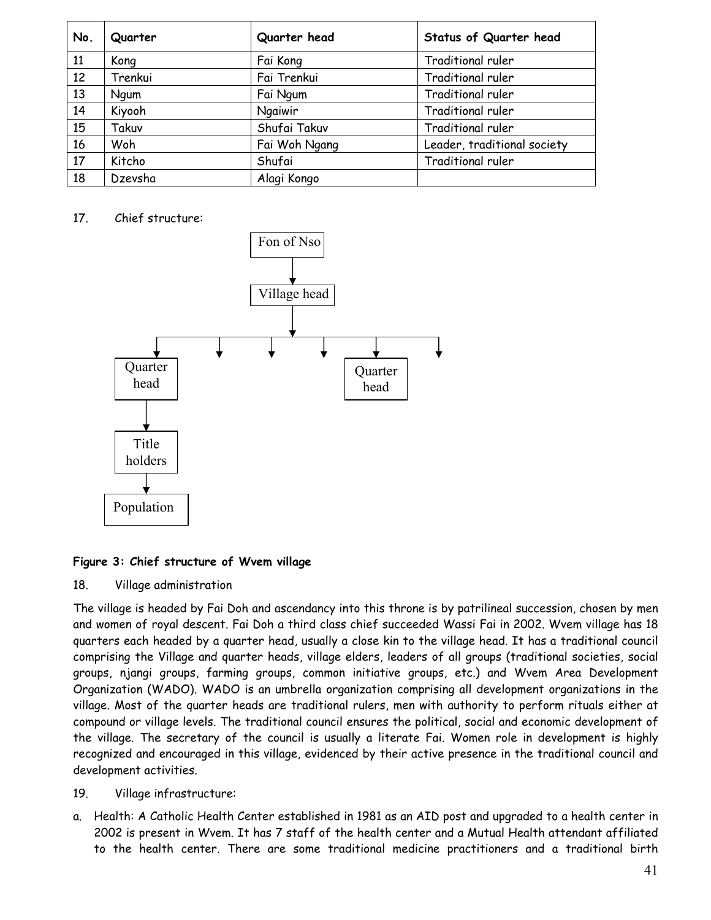| No. | Quarter | Quarter head  | Status of Quarter head      |
|-----|---------|---------------|-----------------------------|
| 11  | Kong    | Fai Kong      | <b>Traditional ruler</b>    |
| 12  | Trenkui | Fai Trenkui   | <b>Traditional ruler</b>    |
| 13  | Ngum    | Fai Ngum      | <b>Traditional ruler</b>    |
| 14  | Kiyooh  | Ngaiwir       | Traditional ruler           |
| 15  | Takuv   | Shufai Takuv  | Traditional ruler           |
| 16  | Woh     | Fai Woh Ngang | Leader, traditional society |
| 17  | Kitcho  | Shufai        | Traditional ruler           |
| 18  | Dzevsha | Alagi Kongo   |                             |

## 17. Chief structure:



## **Figure 3: Chief structure of Wvem village**

18. Village administration

The village is headed by Fai Doh and ascendancy into this throne is by patrilineal succession, chosen by men and women of royal descent. Fai Doh a third class chief succeeded Wassi Fai in 2002. Wvem village has 18 quarters each headed by a quarter head, usually a close kin to the village head. It has a traditional council comprising the Village and quarter heads, village elders, leaders of all groups (traditional societies, social groups, njangi groups, farming groups, common initiative groups, etc.) and Wvem Area Development Organization (WADO). WADO is an umbrella organization comprising all development organizations in the village. Most of the quarter heads are traditional rulers, men with authority to perform rituals either at compound or village levels. The traditional council ensures the political, social and economic development of the village. The secretary of the council is usually a literate Fai. Women role in development is highly recognized and encouraged in this village, evidenced by their active presence in the traditional council and development activities.

#### 19. Village infrastructure:

a. Health: A Catholic Health Center established in 1981 as an AID post and upgraded to a health center in 2002 is present in Wvem. It has 7 staff of the health center and a Mutual Health attendant affiliated to the health center. There are some traditional medicine practitioners and a traditional birth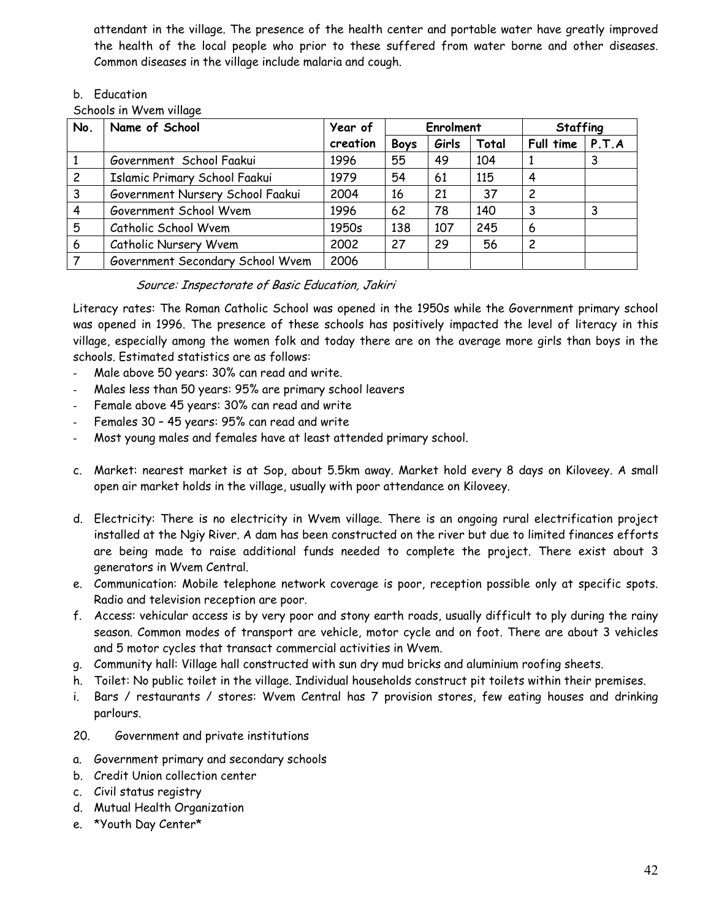attendant in the village. The presence of the health center and portable water have greatly improved the health of the local people who prior to these suffered from water borne and other diseases. Common diseases in the village include malaria and cough.

## b. Education

Schools in Wvem village

| No. | Name of School                   | Year of  | Enrolment   |       | <b>Staffing</b> |           |       |
|-----|----------------------------------|----------|-------------|-------|-----------------|-----------|-------|
|     |                                  | creation | <b>Boys</b> | Girls | Total           | Full time | P.T.A |
|     | Government School Faakui         | 1996     | 55          | 49    | 104             |           |       |
| 2   | Islamic Primary School Faakui    | 1979     | 54          | 61    | 115             | 4         |       |
| 3   | Government Nursery School Faakui | 2004     | 16          | 21    | 37              | 2         |       |
|     | Government School Wvem           | 1996     | 62          | 78    | 140             | 3         |       |
| 5   | Catholic School Wvem             | 1950s    | 138         | 107   | 245             | 6         |       |
| 6   | Catholic Nursery Wvem            | 2002     | 27          | 29    | 56              | 2         |       |
|     | Government Secondary School Wvem | 2006     |             |       |                 |           |       |

## Source: Inspectorate of Basic Education, Jakiri

Literacy rates: The Roman Catholic School was opened in the 1950s while the Government primary school was opened in 1996. The presence of these schools has positively impacted the level of literacy in this village, especially among the women folk and today there are on the average more girls than boys in the schools. Estimated statistics are as follows:

- Male above 50 years: 30% can read and write.
- Males less than 50 years: 95% are primary school leavers
- Female above 45 years: 30% can read and write
- Females 30 45 years: 95% can read and write
- Most young males and females have at least attended primary school.
- c. Market: nearest market is at Sop, about 5.5km away. Market hold every 8 days on Kiloveey. A small open air market holds in the village, usually with poor attendance on Kiloveey.
- d. Electricity: There is no electricity in Wvem village. There is an ongoing rural electrification project installed at the Ngiy River. A dam has been constructed on the river but due to limited finances efforts are being made to raise additional funds needed to complete the project. There exist about 3 generators in Wvem Central.
- e. Communication: Mobile telephone network coverage is poor, reception possible only at specific spots. Radio and television reception are poor.
- f. Access: vehicular access is by very poor and stony earth roads, usually difficult to ply during the rainy season. Common modes of transport are vehicle, motor cycle and on foot. There are about 3 vehicles and 5 motor cycles that transact commercial activities in Wvem.
- g. Community hall: Village hall constructed with sun dry mud bricks and aluminium roofing sheets.
- h. Toilet: No public toilet in the village. Individual households construct pit toilets within their premises.
- i. Bars / restaurants / stores: Wvem Central has 7 provision stores, few eating houses and drinking parlours.
- 20. Government and private institutions
- a. Government primary and secondary schools
- b. Credit Union collection center
- c. Civil status registry
- d. Mutual Health Organization
- e. \*Youth Day Center\*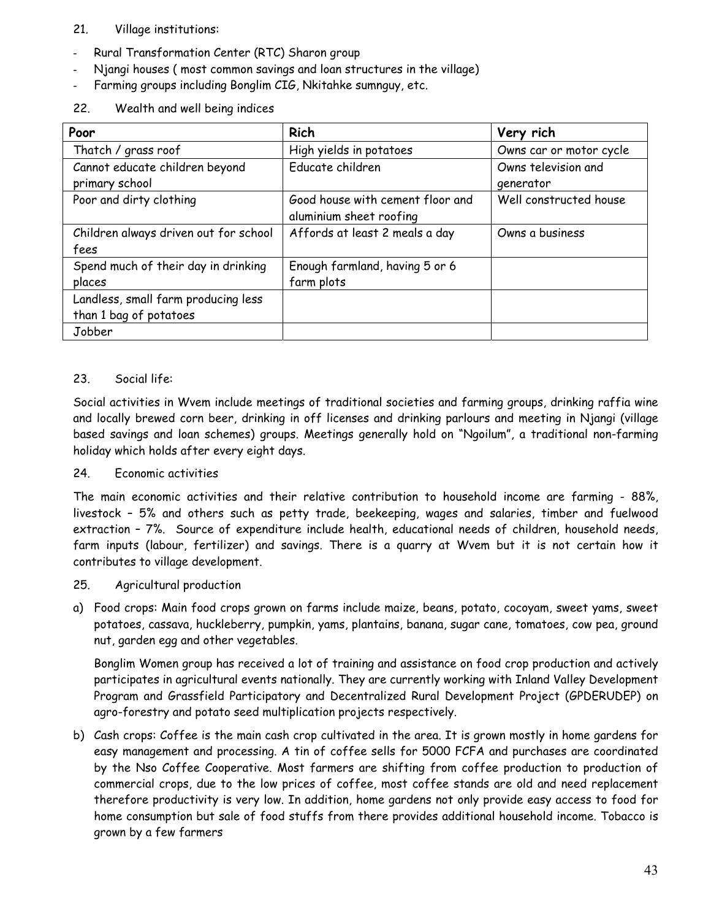## 21. Village institutions:

- Rural Transformation Center (RTC) Sharon group
- Njangi houses ( most common savings and loan structures in the village)
- Farming groups including Bonglim CIG, Nkitahke sumnguy, etc.
- 22. Wealth and well being indices

| Poor                                  | <b>Rich</b>                      | Very rich               |
|---------------------------------------|----------------------------------|-------------------------|
| Thatch / grass roof                   | High yields in potatoes          | Owns car or motor cycle |
| Cannot educate children beyond        | Educate children                 | Owns television and     |
| primary school                        |                                  | generator               |
| Poor and dirty clothing               | Good house with cement floor and | Well constructed house  |
|                                       | aluminium sheet roofing          |                         |
| Children always driven out for school | Affords at least 2 meals a day   | Owns a business         |
| fees                                  |                                  |                         |
| Spend much of their day in drinking   | Enough farmland, having 5 or 6   |                         |
| places                                | farm plots                       |                         |
| Landless, small farm producing less   |                                  |                         |
| than 1 bag of potatoes                |                                  |                         |
| Jobber                                |                                  |                         |

## 23. Social life:

Social activities in Wvem include meetings of traditional societies and farming groups, drinking raffia wine and locally brewed corn beer, drinking in off licenses and drinking parlours and meeting in Njangi (village based savings and loan schemes) groups. Meetings generally hold on "Ngoilum", a traditional non-farming holiday which holds after every eight days.

## 24. Economic activities

The main economic activities and their relative contribution to household income are farming - 88%, livestock – 5% and others such as petty trade, beekeeping, wages and salaries, timber and fuelwood extraction – 7%. Source of expenditure include health, educational needs of children, household needs, farm inputs (labour, fertilizer) and savings. There is a quarry at Wvem but it is not certain how it contributes to village development.

## 25. Agricultural production

a) Food crops: Main food crops grown on farms include maize, beans, potato, cocoyam, sweet yams, sweet potatoes, cassava, huckleberry, pumpkin, yams, plantains, banana, sugar cane, tomatoes, cow pea, ground nut, garden egg and other vegetables.

Bonglim Women group has received a lot of training and assistance on food crop production and actively participates in agricultural events nationally. They are currently working with Inland Valley Development Program and Grassfield Participatory and Decentralized Rural Development Project (GPDERUDEP) on agro-forestry and potato seed multiplication projects respectively.

b) Cash crops: Coffee is the main cash crop cultivated in the area. It is grown mostly in home gardens for easy management and processing. A tin of coffee sells for 5000 FCFA and purchases are coordinated by the Nso Coffee Cooperative. Most farmers are shifting from coffee production to production of commercial crops, due to the low prices of coffee, most coffee stands are old and need replacement therefore productivity is very low. In addition, home gardens not only provide easy access to food for home consumption but sale of food stuffs from there provides additional household income. Tobacco is grown by a few farmers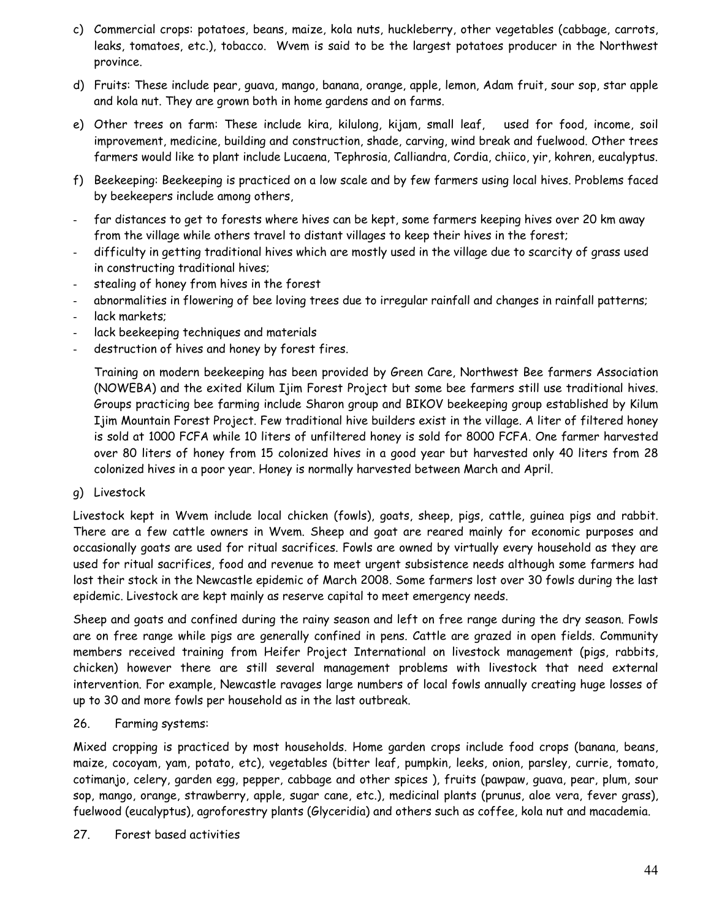- c) Commercial crops: potatoes, beans, maize, kola nuts, huckleberry, other vegetables (cabbage, carrots, leaks, tomatoes, etc.), tobacco. Wvem is said to be the largest potatoes producer in the Northwest province.
- d) Fruits: These include pear, guava, mango, banana, orange, apple, lemon, Adam fruit, sour sop, star apple and kola nut. They are grown both in home gardens and on farms.
- e) Other trees on farm: These include kira, kilulong, kijam, small leaf, used for food, income, soil improvement, medicine, building and construction, shade, carving, wind break and fuelwood. Other trees farmers would like to plant include Lucaena, Tephrosia, Calliandra, Cordia, chiico, yir, kohren, eucalyptus.
- f) Beekeeping: Beekeeping is practiced on a low scale and by few farmers using local hives. Problems faced by beekeepers include among others,
- far distances to get to forests where hives can be kept, some farmers keeping hives over 20 km away from the village while others travel to distant villages to keep their hives in the forest;
- difficulty in getting traditional hives which are mostly used in the village due to scarcity of grass used in constructing traditional hives;
- stealing of honey from hives in the forest
- abnormalities in flowering of bee loving trees due to irregular rainfall and changes in rainfall patterns;
- lack markets;
- lack beekeeping techniques and materials
- destruction of hives and honey by forest fires.

Training on modern beekeeping has been provided by Green Care, Northwest Bee farmers Association (NOWEBA) and the exited Kilum Ijim Forest Project but some bee farmers still use traditional hives. Groups practicing bee farming include Sharon group and BIKOV beekeeping group established by Kilum Ijim Mountain Forest Project. Few traditional hive builders exist in the village. A liter of filtered honey is sold at 1000 FCFA while 10 liters of unfiltered honey is sold for 8000 FCFA. One farmer harvested over 80 liters of honey from 15 colonized hives in a good year but harvested only 40 liters from 28 colonized hives in a poor year. Honey is normally harvested between March and April.

g) Livestock

Livestock kept in Wvem include local chicken (fowls), goats, sheep, pigs, cattle, guinea pigs and rabbit. There are a few cattle owners in Wvem. Sheep and goat are reared mainly for economic purposes and occasionally goats are used for ritual sacrifices. Fowls are owned by virtually every household as they are used for ritual sacrifices, food and revenue to meet urgent subsistence needs although some farmers had lost their stock in the Newcastle epidemic of March 2008. Some farmers lost over 30 fowls during the last epidemic. Livestock are kept mainly as reserve capital to meet emergency needs.

Sheep and goats and confined during the rainy season and left on free range during the dry season. Fowls are on free range while pigs are generally confined in pens. Cattle are grazed in open fields. Community members received training from Heifer Project International on livestock management (pigs, rabbits, chicken) however there are still several management problems with livestock that need external intervention. For example, Newcastle ravages large numbers of local fowls annually creating huge losses of up to 30 and more fowls per household as in the last outbreak.

26. Farming systems:

Mixed cropping is practiced by most households. Home garden crops include food crops (banana, beans, maize, cocoyam, yam, potato, etc), vegetables (bitter leaf, pumpkin, leeks, onion, parsley, currie, tomato, cotimanjo, celery, garden egg, pepper, cabbage and other spices ), fruits (pawpaw, guava, pear, plum, sour sop, mango, orange, strawberry, apple, sugar cane, etc.), medicinal plants (prunus, aloe vera, fever grass), fuelwood (eucalyptus), agroforestry plants (Glyceridia) and others such as coffee, kola nut and macademia.

27. Forest based activities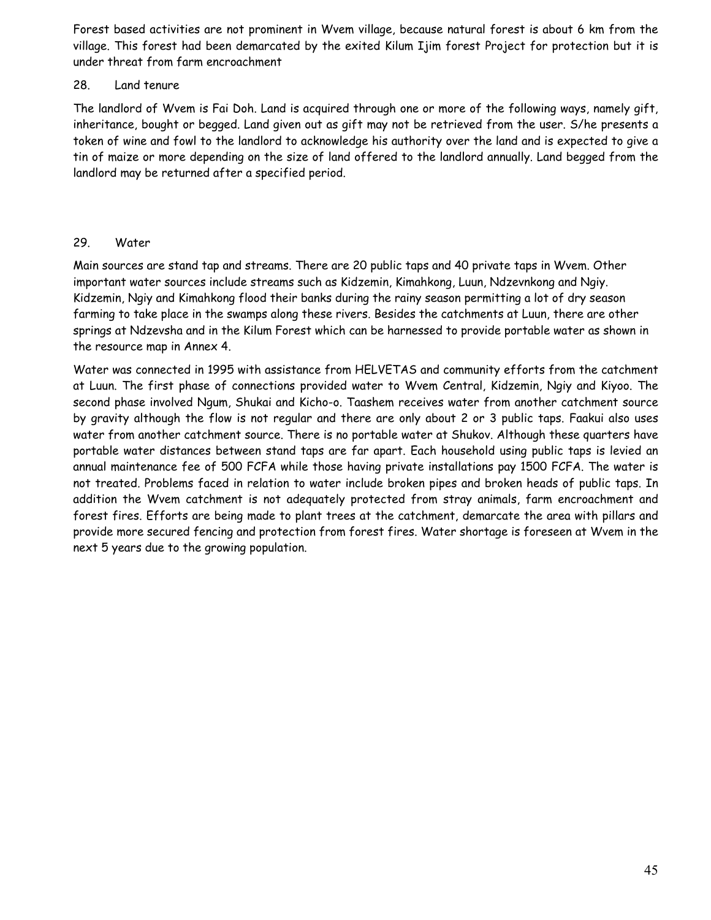Forest based activities are not prominent in Wvem village, because natural forest is about 6 km from the village. This forest had been demarcated by the exited Kilum Ijim forest Project for protection but it is under threat from farm encroachment

#### 28. Land tenure

The landlord of Wvem is Fai Doh. Land is acquired through one or more of the following ways, namely gift, inheritance, bought or begged. Land given out as gift may not be retrieved from the user. S/he presents a token of wine and fowl to the landlord to acknowledge his authority over the land and is expected to give a tin of maize or more depending on the size of land offered to the landlord annually. Land begged from the landlord may be returned after a specified period.

## 29. Water

Main sources are stand tap and streams. There are 20 public taps and 40 private taps in Wvem. Other important water sources include streams such as Kidzemin, Kimahkong, Luun, Ndzevnkong and Ngiy. Kidzemin, Ngiy and Kimahkong flood their banks during the rainy season permitting a lot of dry season farming to take place in the swamps along these rivers. Besides the catchments at Luun, there are other springs at Ndzevsha and in the Kilum Forest which can be harnessed to provide portable water as shown in the resource map in Annex 4.

Water was connected in 1995 with assistance from HELVETAS and community efforts from the catchment at Luun. The first phase of connections provided water to Wvem Central, Kidzemin, Ngiy and Kiyoo. The second phase involved Ngum, Shukai and Kicho-o. Taashem receives water from another catchment source by gravity although the flow is not regular and there are only about 2 or 3 public taps. Faakui also uses water from another catchment source. There is no portable water at Shukov. Although these quarters have portable water distances between stand taps are far apart. Each household using public taps is levied an annual maintenance fee of 500 FCFA while those having private installations pay 1500 FCFA. The water is not treated. Problems faced in relation to water include broken pipes and broken heads of public taps. In addition the Wvem catchment is not adequately protected from stray animals, farm encroachment and forest fires. Efforts are being made to plant trees at the catchment, demarcate the area with pillars and provide more secured fencing and protection from forest fires. Water shortage is foreseen at Wvem in the next 5 years due to the growing population.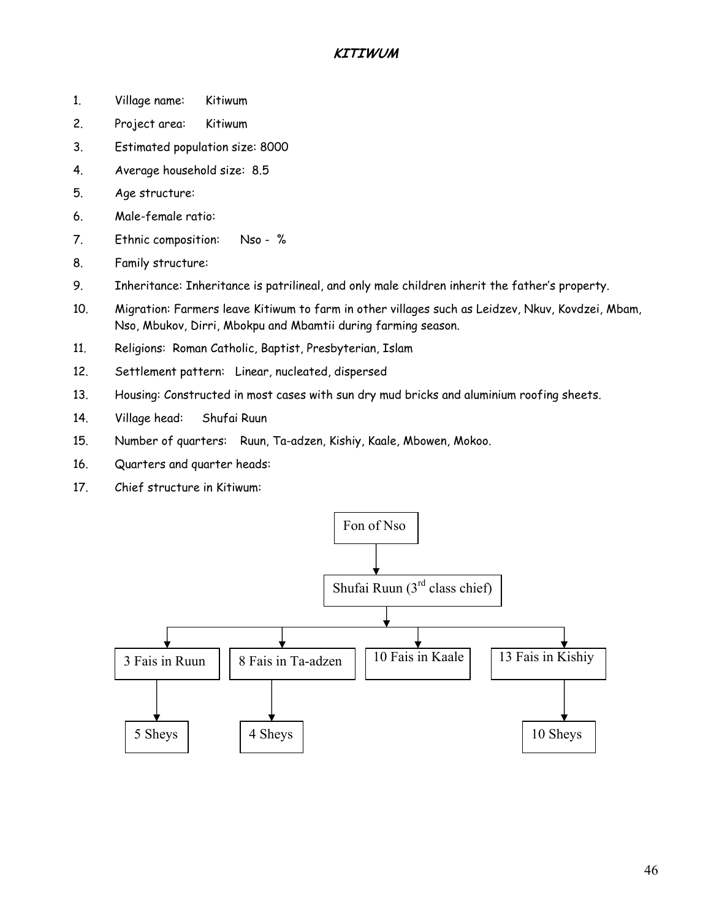## **KITIWUM**

- 1. Village name: Kitiwum
- 2. Project area: Kitiwum
- 3. Estimated population size: 8000
- 4. Average household size: 8.5
- 5. Age structure:
- 6. Male-female ratio:
- 7. Ethnic composition: Nso %
- 8. Family structure:
- 9. Inheritance: Inheritance is patrilineal, and only male children inherit the father's property.
- 10. Migration: Farmers leave Kitiwum to farm in other villages such as Leidzev, Nkuv, Kovdzei, Mbam, Nso, Mbukov, Dirri, Mbokpu and Mbamtii during farming season.
- 11. Religions: Roman Catholic, Baptist, Presbyterian, Islam
- 12. Settlement pattern: Linear, nucleated, dispersed
- 13. Housing: Constructed in most cases with sun dry mud bricks and aluminium roofing sheets.
- 14. Village head: Shufai Ruun
- 15. Number of quarters: Ruun, Ta-adzen, Kishiy, Kaale, Mbowen, Mokoo.
- 16. Quarters and quarter heads:
- 17. Chief structure in Kitiwum:

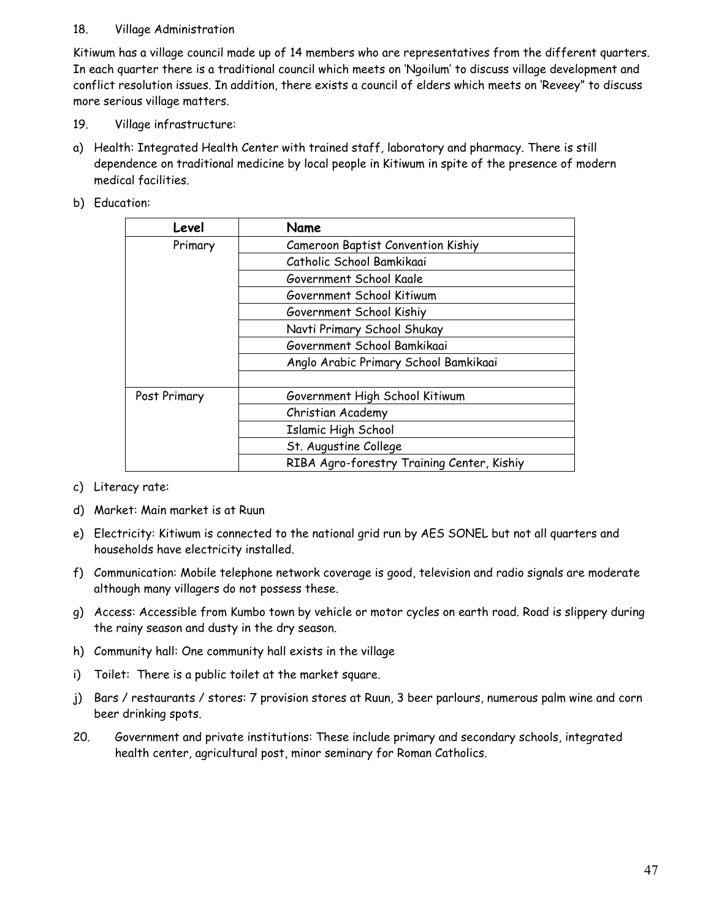## 18. Village Administration

Kitiwum has a village council made up of 14 members who are representatives from the different quarters. In each quarter there is a traditional council which meets on 'Ngoilum' to discuss village development and conflict resolution issues. In addition, there exists a council of elders which meets on 'Reveey" to discuss more serious village matters.

- 19. Village infrastructure:
- a) Health: Integrated Health Center with trained staff, laboratory and pharmacy. There is still dependence on traditional medicine by local people in Kitiwum in spite of the presence of modern medical facilities.
- b) Education:

| Level        | Name                                       |
|--------------|--------------------------------------------|
| Primary      | Cameroon Baptist Convention Kishiy         |
|              | Catholic School Bamkikaai                  |
|              | Government School Kaale                    |
|              | Government School Kitiwum                  |
|              | Government School Kishiy                   |
|              | Navti Primary School Shukay                |
|              | Government School Bamkikaai                |
|              | Anglo Arabic Primary School Bamkikaai      |
|              |                                            |
| Post Primary | Government High School Kitiwum             |
|              | Christian Academy                          |
|              | Islamic High School                        |
|              | St. Augustine College                      |
|              | RIBA Agro-forestry Training Center, Kishiy |

c) Literacy rate:

- d) Market: Main market is at Ruun
- e) Electricity: Kitiwum is connected to the national grid run by AES SONEL but not all quarters and households have electricity installed.
- f) Communication: Mobile telephone network coverage is good, television and radio signals are moderate although many villagers do not possess these.
- g) Access: Accessible from Kumbo town by vehicle or motor cycles on earth road. Road is slippery during the rainy season and dusty in the dry season.
- h) Community hall: One community hall exists in the village
- i) Toilet: There is a public toilet at the market square.
- j) Bars / restaurants / stores: 7 provision stores at Ruun, 3 beer parlours, numerous palm wine and corn beer drinking spots.
- 20. Government and private institutions: These include primary and secondary schools, integrated health center, agricultural post, minor seminary for Roman Catholics.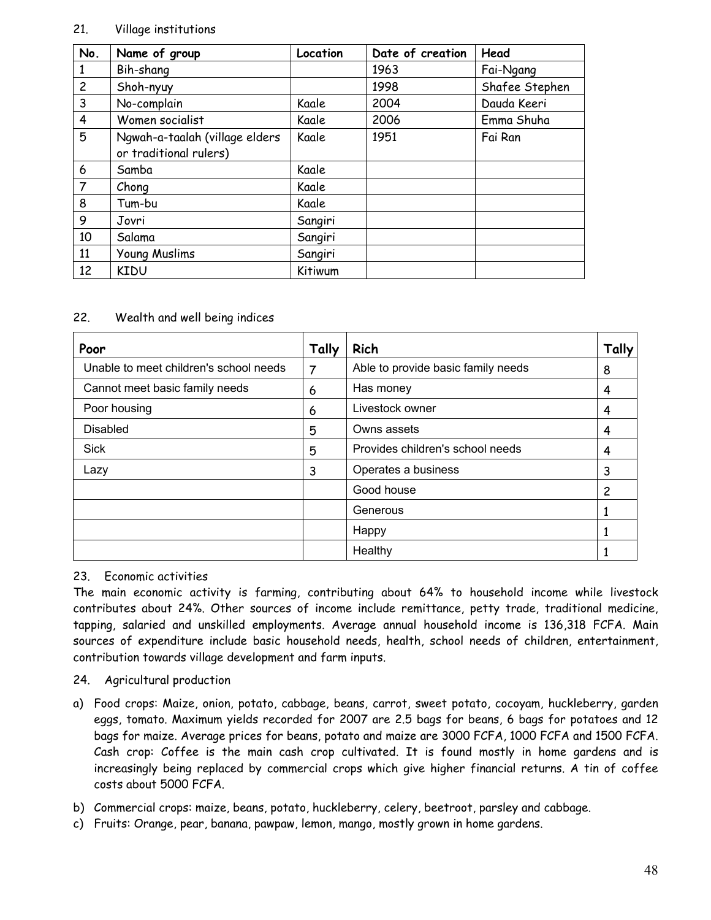### 21. Village institutions

| No.            | Name of group                                            | Location | Date of creation | Head           |
|----------------|----------------------------------------------------------|----------|------------------|----------------|
|                | Bih-shang                                                |          | 1963             | Fai-Ngang      |
| $\overline{2}$ | Shoh-nyuy                                                |          | 1998             | Shafee Stephen |
| 3              | No-complain                                              | Kaale    | 2004             | Dauda Keeri    |
| $\overline{4}$ | Women socialist                                          | Kaale    | 2006             | Emma Shuha     |
| 5              | Ngwah-a-taalah (village elders<br>or traditional rulers) | Kaale    | 1951             | Fai Ran        |
| 6              | Samba                                                    | Kaale    |                  |                |
| $\overline{7}$ | Chong                                                    | Kaale    |                  |                |
| 8              | Tum-bu                                                   | Kaale    |                  |                |
| 9              | Jovri                                                    | Sangiri  |                  |                |
| 10             | Salama                                                   | Sangiri  |                  |                |
| 11             | Young Muslims                                            | Sangiri  |                  |                |
| 12             | <b>KIDU</b>                                              | Kitiwum  |                  |                |

#### 22. Wealth and well being indices

| Poor                                   | Tally | Rich                               | Tally |
|----------------------------------------|-------|------------------------------------|-------|
| Unable to meet children's school needs | 7     | Able to provide basic family needs | 8     |
| Cannot meet basic family needs         | 6     | Has money                          | 4     |
| Poor housing                           | 6     | Livestock owner                    | 4     |
| <b>Disabled</b>                        | 5     | Owns assets                        | 4     |
| <b>Sick</b>                            | 5     | Provides children's school needs   | 4     |
| Lazy                                   | 3     | Operates a business                | 3     |
|                                        |       | Good house                         | 2     |
|                                        |       | Generous                           |       |
|                                        |       | Happy                              |       |
|                                        |       | Healthy                            |       |

## 23. Economic activities

The main economic activity is farming, contributing about 64% to household income while livestock contributes about 24%. Other sources of income include remittance, petty trade, traditional medicine, tapping, salaried and unskilled employments. Average annual household income is 136,318 FCFA. Main sources of expenditure include basic household needs, health, school needs of children, entertainment, contribution towards village development and farm inputs.

## 24. Agricultural production

- a) Food crops: Maize, onion, potato, cabbage, beans, carrot, sweet potato, cocoyam, huckleberry, garden eggs, tomato. Maximum yields recorded for 2007 are 2.5 bags for beans, 6 bags for potatoes and 12 bags for maize. Average prices for beans, potato and maize are 3000 FCFA, 1000 FCFA and 1500 FCFA. Cash crop: Coffee is the main cash crop cultivated. It is found mostly in home gardens and is increasingly being replaced by commercial crops which give higher financial returns. A tin of coffee costs about 5000 FCFA.
- b) Commercial crops: maize, beans, potato, huckleberry, celery, beetroot, parsley and cabbage.
- c) Fruits: Orange, pear, banana, pawpaw, lemon, mango, mostly grown in home gardens.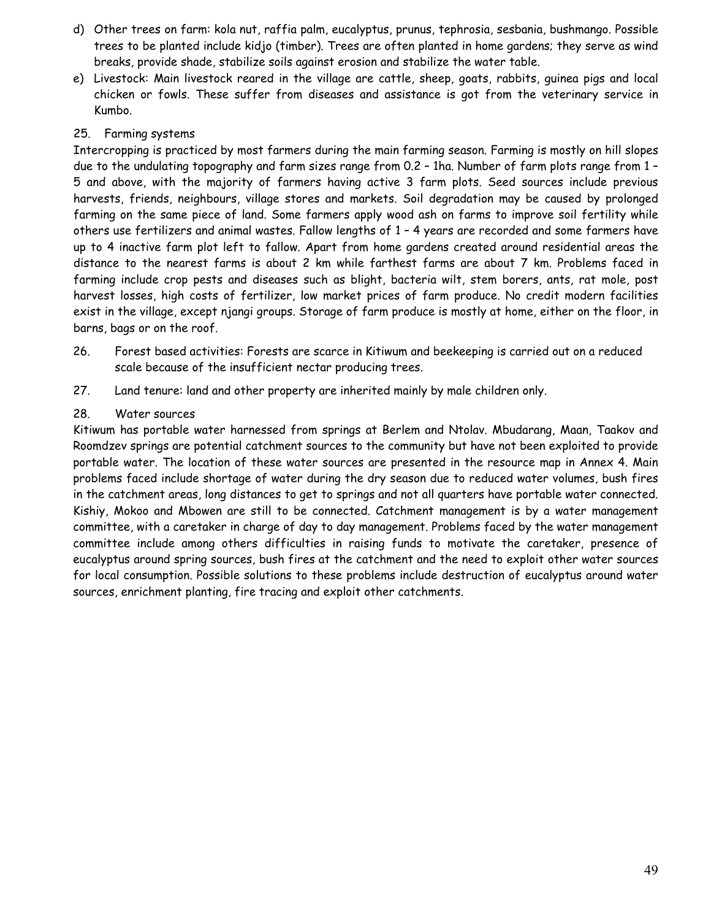- d) Other trees on farm: kola nut, raffia palm, eucalyptus, prunus, tephrosia, sesbania, bushmango. Possible trees to be planted include kidjo (timber). Trees are often planted in home gardens; they serve as wind breaks, provide shade, stabilize soils against erosion and stabilize the water table.
- e) Livestock: Main livestock reared in the village are cattle, sheep, goats, rabbits, guinea pigs and local chicken or fowls. These suffer from diseases and assistance is got from the veterinary service in Kumbo.

## 25. Farming systems

Intercropping is practiced by most farmers during the main farming season. Farming is mostly on hill slopes due to the undulating topography and farm sizes range from 0.2 – 1ha. Number of farm plots range from 1 – 5 and above, with the majority of farmers having active 3 farm plots. Seed sources include previous harvests, friends, neighbours, village stores and markets. Soil degradation may be caused by prolonged farming on the same piece of land. Some farmers apply wood ash on farms to improve soil fertility while others use fertilizers and animal wastes. Fallow lengths of 1 – 4 years are recorded and some farmers have up to 4 inactive farm plot left to fallow. Apart from home gardens created around residential areas the distance to the nearest farms is about 2 km while farthest farms are about 7 km. Problems faced in farming include crop pests and diseases such as blight, bacteria wilt, stem borers, ants, rat mole, post harvest losses, high costs of fertilizer, low market prices of farm produce. No credit modern facilities exist in the village, except njangi groups. Storage of farm produce is mostly at home, either on the floor, in barns, bags or on the roof.

- 26. Forest based activities: Forests are scarce in Kitiwum and beekeeping is carried out on a reduced scale because of the insufficient nectar producing trees.
- 27. Land tenure: land and other property are inherited mainly by male children only.

## 28. Water sources

Kitiwum has portable water harnessed from springs at Berlem and Ntolav. Mbudarang, Maan, Taakov and Roomdzev springs are potential catchment sources to the community but have not been exploited to provide portable water. The location of these water sources are presented in the resource map in Annex 4. Main problems faced include shortage of water during the dry season due to reduced water volumes, bush fires in the catchment areas, long distances to get to springs and not all quarters have portable water connected. Kishiy, Mokoo and Mbowen are still to be connected. Catchment management is by a water management committee, with a caretaker in charge of day to day management. Problems faced by the water management committee include among others difficulties in raising funds to motivate the caretaker, presence of eucalyptus around spring sources, bush fires at the catchment and the need to exploit other water sources for local consumption. Possible solutions to these problems include destruction of eucalyptus around water sources, enrichment planting, fire tracing and exploit other catchments.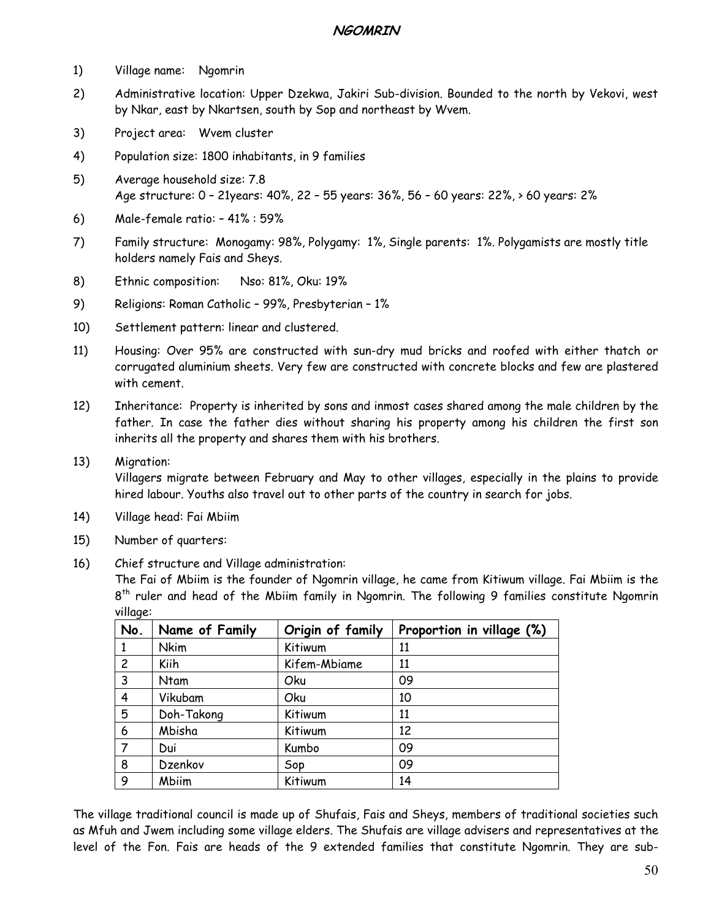## **NGOMRIN**

- 1) Village name: Ngomrin
- 2) Administrative location: Upper Dzekwa, Jakiri Sub-division. Bounded to the north by Vekovi, west by Nkar, east by Nkartsen, south by Sop and northeast by Wvem.
- 3) Project area: Wvem cluster
- 4) Population size: 1800 inhabitants, in 9 families
- 5) Average household size: 7.8 Age structure: 0 – 21years: 40%, 22 – 55 years: 36%, 56 – 60 years: 22%, > 60 years: 2%
- 6) Male-female ratio: 41% : 59%
- 7) Family structure: Monogamy: 98%, Polygamy: 1%, Single parents: 1%. Polygamists are mostly title holders namely Fais and Sheys.
- 8) Ethnic composition: Nso: 81%, Oku: 19%
- 9) Religions: Roman Catholic 99%, Presbyterian 1%
- 10) Settlement pattern: linear and clustered.
- 11) Housing: Over 95% are constructed with sun-dry mud bricks and roofed with either thatch or corrugated aluminium sheets. Very few are constructed with concrete blocks and few are plastered with cement.
- 12) Inheritance: Property is inherited by sons and inmost cases shared among the male children by the father. In case the father dies without sharing his property among his children the first son inherits all the property and shares them with his brothers.
- 13) Migration: Villagers migrate between February and May to other villages, especially in the plains to provide hired labour. Youths also travel out to other parts of the country in search for jobs.
- 14) Village head: Fai Mbiim
- 15) Number of quarters:
- 16) Chief structure and Village administration:

The Fai of Mbiim is the founder of Ngomrin village, he came from Kitiwum village. Fai Mbiim is the 8<sup>th</sup> ruler and head of the Mbiim family in Ngomrin. The following 9 families constitute Ngomrin village:

| No.            | Name of Family | Origin of family | Proportion in village (%) |
|----------------|----------------|------------------|---------------------------|
| 1              | <b>Nkim</b>    | Kitiwum          | 11                        |
| $\overline{c}$ | Kiih           | Kifem-Mbiame     | 11                        |
| 3              | Ntam           | Oku              | 09                        |
| 4              | Vikubam        | Oku              | 10                        |
| 5              | Doh-Takong     | Kitiwum          | 11                        |
| 6              | Mbisha         | Kitiwum          | 12                        |
|                | Dui            | Kumbo            | 09                        |
| 8              | Dzenkov        | Sop              | 09                        |
| 9              | Mbiim          | Kitiwum          | 14                        |

The village traditional council is made up of Shufais, Fais and Sheys, members of traditional societies such as Mfuh and Jwem including some village elders. The Shufais are village advisers and representatives at the level of the Fon. Fais are heads of the 9 extended families that constitute Ngomrin. They are sub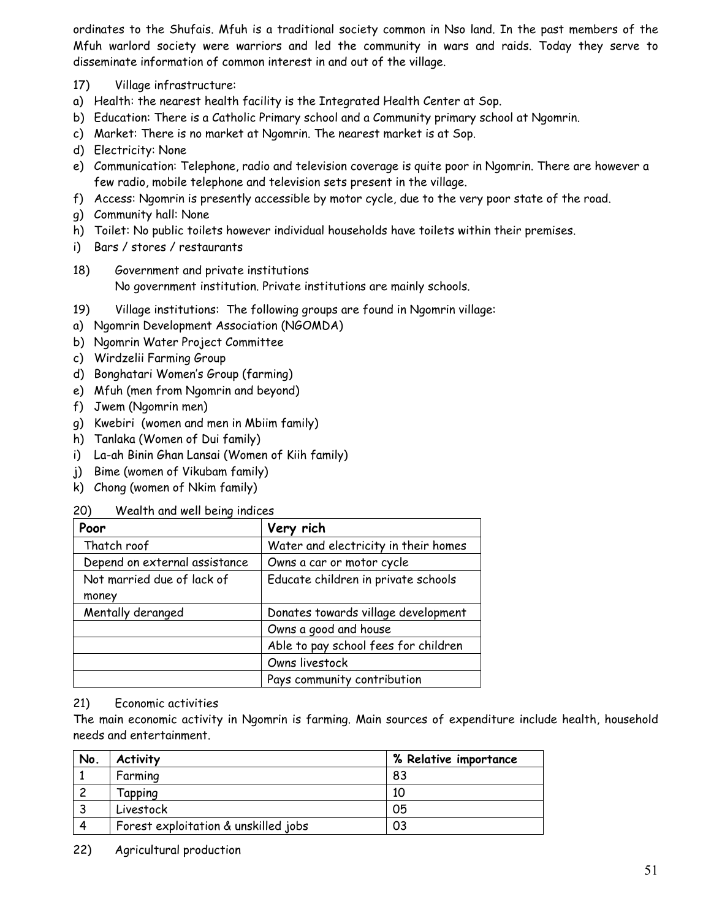ordinates to the Shufais. Mfuh is a traditional society common in Nso land. In the past members of the Mfuh warlord society were warriors and led the community in wars and raids. Today they serve to disseminate information of common interest in and out of the village.

- 17) Village infrastructure:
- a) Health: the nearest health facility is the Integrated Health Center at Sop.
- b) Education: There is a Catholic Primary school and a Community primary school at Ngomrin.
- c) Market: There is no market at Ngomrin. The nearest market is at Sop.
- d) Electricity: None
- e) Communication: Telephone, radio and television coverage is quite poor in Ngomrin. There are however a few radio, mobile telephone and television sets present in the village.
- f) Access: Ngomrin is presently accessible by motor cycle, due to the very poor state of the road.
- g) Community hall: None
- h) Toilet: No public toilets however individual households have toilets within their premises.
- i) Bars / stores / restaurants
- 18) Government and private institutions No government institution. Private institutions are mainly schools.
- 19) Village institutions: The following groups are found in Ngomrin village:
- a) Ngomrin Development Association (NGOMDA)
- b) Ngomrin Water Project Committee
- c) Wirdzelii Farming Group
- d) Bonghatari Women's Group (farming)
- e) Mfuh (men from Ngomrin and beyond)
- f) Jwem (Ngomrin men)
- g) Kwebiri (women and men in Mbiim family)
- h) Tanlaka (Women of Dui family)
- i) La-ah Binin Ghan Lansai (Women of Kiih family)
- j) Bime (women of Vikubam family)
- k) Chong (women of Nkim family)
- 20) Wealth and well being indices

| Poor                          | Very rich                            |
|-------------------------------|--------------------------------------|
| Thatch roof                   | Water and electricity in their homes |
| Depend on external assistance | Owns a car or motor cycle            |
| Not married due of lack of    | Educate children in private schools  |
| money                         |                                      |
| Mentally deranged             | Donates towards village development  |
|                               | Owns a good and house                |
|                               | Able to pay school fees for children |
|                               | Owns livestock                       |
|                               | Pays community contribution          |

#### 21) Economic activities

The main economic activity in Ngomrin is farming. Main sources of expenditure include health, household needs and entertainment.

| No. | <b>Activity</b>                      | % Relative importance |
|-----|--------------------------------------|-----------------------|
|     | Farming                              | 83                    |
|     | Tapping                              | 10                    |
|     | Livestock                            | 05                    |
|     | Forest exploitation & unskilled jobs | 03                    |

22) Agricultural production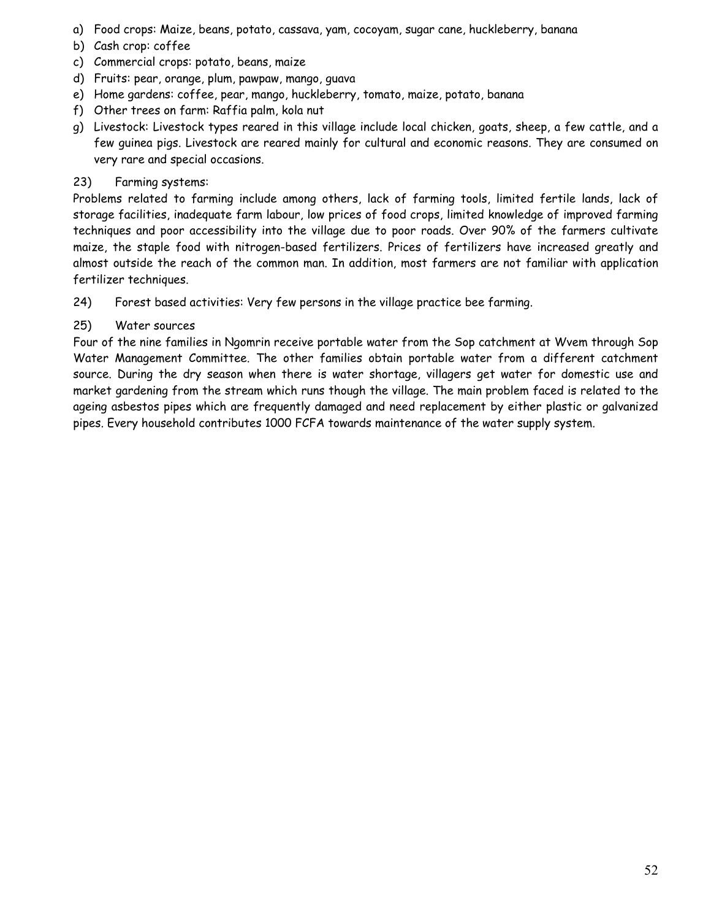- a) Food crops: Maize, beans, potato, cassava, yam, cocoyam, sugar cane, huckleberry, banana
- b) Cash crop: coffee
- c) Commercial crops: potato, beans, maize
- d) Fruits: pear, orange, plum, pawpaw, mango, guava
- e) Home gardens: coffee, pear, mango, huckleberry, tomato, maize, potato, banana
- f) Other trees on farm: Raffia palm, kola nut
- g) Livestock: Livestock types reared in this village include local chicken, goats, sheep, a few cattle, and a few guinea pigs. Livestock are reared mainly for cultural and economic reasons. They are consumed on very rare and special occasions.

## 23) Farming systems:

Problems related to farming include among others, lack of farming tools, limited fertile lands, lack of storage facilities, inadequate farm labour, low prices of food crops, limited knowledge of improved farming techniques and poor accessibility into the village due to poor roads. Over 90% of the farmers cultivate maize, the staple food with nitrogen-based fertilizers. Prices of fertilizers have increased greatly and almost outside the reach of the common man. In addition, most farmers are not familiar with application fertilizer techniques.

24) Forest based activities: Very few persons in the village practice bee farming.

## 25) Water sources

Four of the nine families in Ngomrin receive portable water from the Sop catchment at Wvem through Sop Water Management Committee. The other families obtain portable water from a different catchment source. During the dry season when there is water shortage, villagers get water for domestic use and market gardening from the stream which runs though the village. The main problem faced is related to the ageing asbestos pipes which are frequently damaged and need replacement by either plastic or galvanized pipes. Every household contributes 1000 FCFA towards maintenance of the water supply system.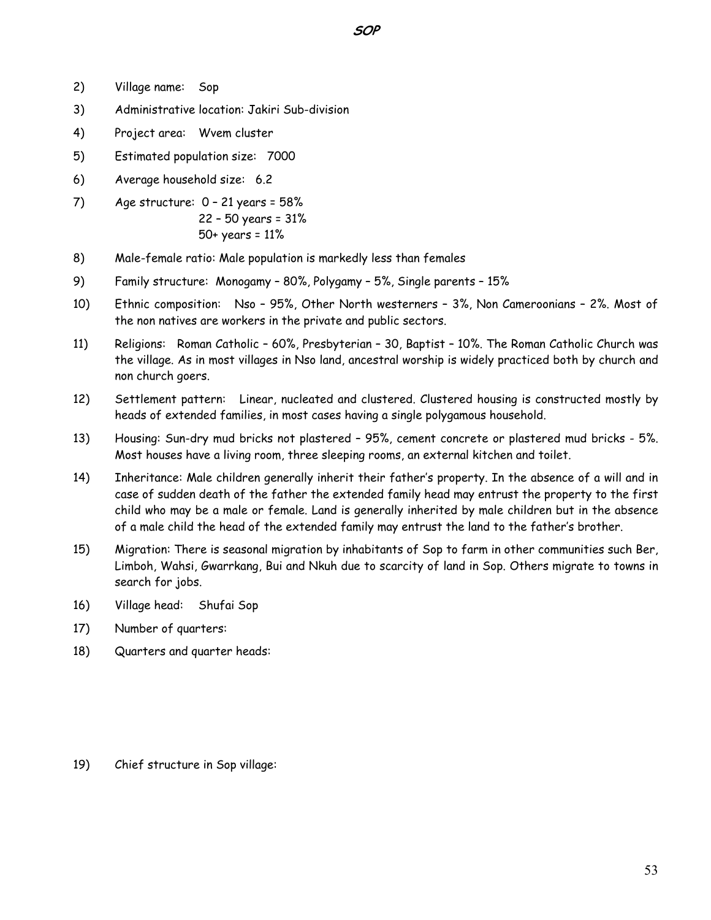- 2) Village name: Sop
- 3) Administrative location: Jakiri Sub-division
- 4) Project area: Wvem cluster
- 5) Estimated population size: 7000
- 6) Average household size: 6.2
- 7) Age structure: 0 21 years = 58% 22 – 50 years = 31% 50+ years = 11%
- 8) Male-female ratio: Male population is markedly less than females
- 9) Family structure: Monogamy 80%, Polygamy 5%, Single parents 15%
- 10) Ethnic composition: Nso 95%, Other North westerners 3%, Non Cameroonians 2%. Most of the non natives are workers in the private and public sectors.
- 11) Religions: Roman Catholic 60%, Presbyterian 30, Baptist 10%. The Roman Catholic Church was the village. As in most villages in Nso land, ancestral worship is widely practiced both by church and non church goers.
- 12) Settlement pattern: Linear, nucleated and clustered. Clustered housing is constructed mostly by heads of extended families, in most cases having a single polygamous household.
- 13) Housing: Sun-dry mud bricks not plastered 95%, cement concrete or plastered mud bricks 5%. Most houses have a living room, three sleeping rooms, an external kitchen and toilet.
- 14) Inheritance: Male children generally inherit their father's property. In the absence of a will and in case of sudden death of the father the extended family head may entrust the property to the first child who may be a male or female. Land is generally inherited by male children but in the absence of a male child the head of the extended family may entrust the land to the father's brother.
- 15) Migration: There is seasonal migration by inhabitants of Sop to farm in other communities such Ber, Limboh, Wahsi, Gwarrkang, Bui and Nkuh due to scarcity of land in Sop. Others migrate to towns in search for jobs.
- 16) Village head: Shufai Sop
- 17) Number of quarters:
- 18) Quarters and quarter heads:

19) Chief structure in Sop village: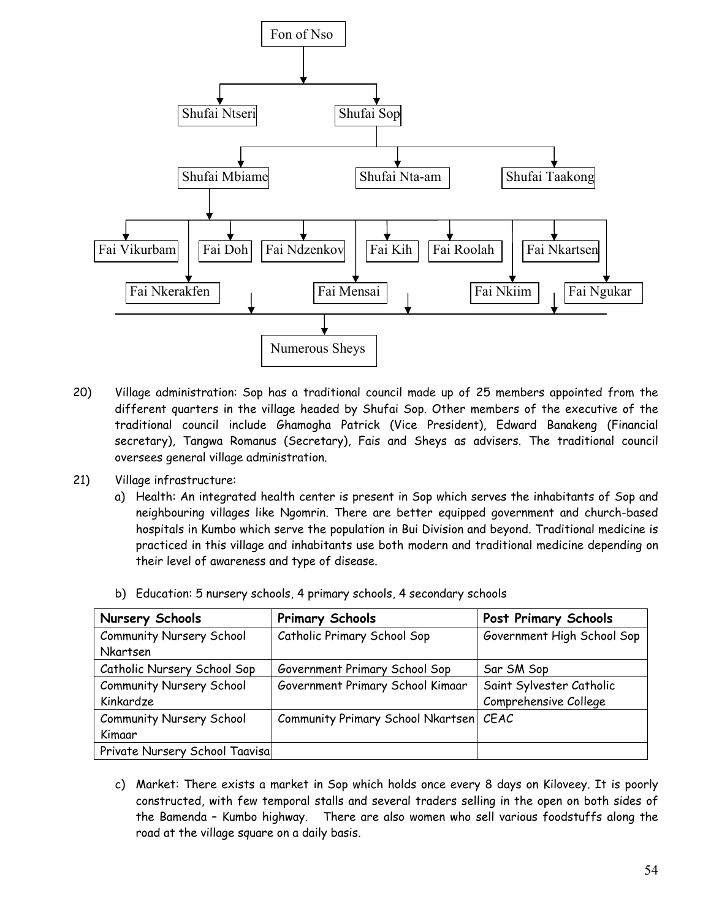

- 20) Village administration: Sop has a traditional council made up of 25 members appointed from the different quarters in the village headed by Shufai Sop. Other members of the executive of the traditional council include Ghamogha Patrick (Vice President), Edward Banakeng (Financial secretary), Tangwa Romanus (Secretary), Fais and Sheys as advisers. The traditional council oversees general village administration.
- 21) Village infrastructure:
	- a) Health: An integrated health center is present in Sop which serves the inhabitants of Sop and neighbouring villages like Ngomrin. There are better equipped government and church-based hospitals in Kumbo which serve the population in Bui Division and beyond. Traditional medicine is practiced in this village and inhabitants use both modern and traditional medicine depending on their level of awareness and type of disease.

| <b>Nursery Schools</b>          | <b>Primary Schools</b>                 | <b>Post Primary Schools</b> |
|---------------------------------|----------------------------------------|-----------------------------|
| Community Nursery School        | Catholic Primary School Sop            | Government High School Sop  |
| <b>Nkartsen</b>                 |                                        |                             |
| Catholic Nursery School Sop     | Government Primary School Sop          | Sar SM Sop                  |
| <b>Community Nursery School</b> | Government Primary School Kimaar       | Saint Sylvester Catholic    |
| Kinkardze                       |                                        | Comprehensive College       |
| <b>Community Nursery School</b> | Community Primary School Nkartsen CEAC |                             |
| Kimaar                          |                                        |                             |
| Private Nursery School Taavisa  |                                        |                             |

b) Education: 5 nursery schools, 4 primary schools, 4 secondary schools

c) Market: There exists a market in Sop which holds once every 8 days on Kiloveey. It is poorly constructed, with few temporal stalls and several traders selling in the open on both sides of the Bamenda – Kumbo highway. There are also women who sell various foodstuffs along the road at the village square on a daily basis.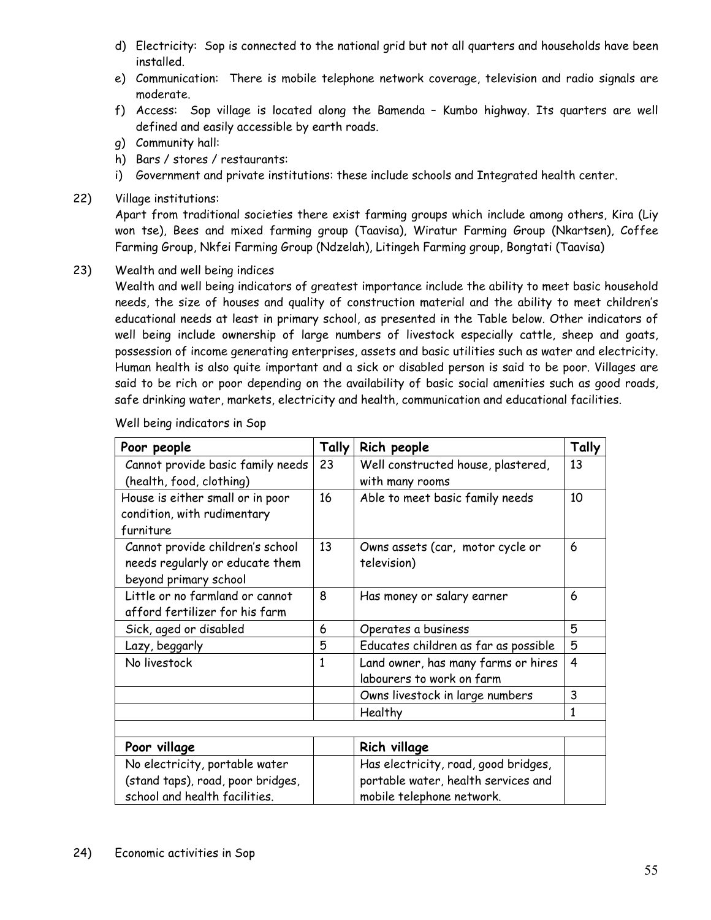- d) Electricity: Sop is connected to the national grid but not all quarters and households have been installed.
- e) Communication: There is mobile telephone network coverage, television and radio signals are moderate.
- f) Access: Sop village is located along the Bamenda Kumbo highway. Its quarters are well defined and easily accessible by earth roads.
- g) Community hall:
- h) Bars / stores / restaurants:
- i) Government and private institutions: these include schools and Integrated health center.
- 22) Village institutions:

Apart from traditional societies there exist farming groups which include among others, Kira (Liy won tse), Bees and mixed farming group (Taavisa), Wiratur Farming Group (Nkartsen), Coffee Farming Group, Nkfei Farming Group (Ndzelah), Litingeh Farming group, Bongtati (Taavisa)

23) Wealth and well being indices

Wealth and well being indicators of greatest importance include the ability to meet basic household needs, the size of houses and quality of construction material and the ability to meet children's educational needs at least in primary school, as presented in the Table below. Other indicators of well being include ownership of large numbers of livestock especially cattle, sheep and goats, possession of income generating enterprises, assets and basic utilities such as water and electricity. Human health is also quite important and a sick or disabled person is said to be poor. Villages are said to be rich or poor depending on the availability of basic social amenities such as good roads, safe drinking water, markets, electricity and health, communication and educational facilities.

| Poor people                       | Tally | Rich people                              | Tally          |
|-----------------------------------|-------|------------------------------------------|----------------|
| Cannot provide basic family needs | 23    | Well constructed house, plastered,<br>13 |                |
| (health, food, clothing)          |       | with many rooms                          |                |
| House is either small or in poor  | 16    | Able to meet basic family needs          | 10             |
| condition, with rudimentary       |       |                                          |                |
| furniture                         |       |                                          |                |
| Cannot provide children's school  | 13    | Owns assets (car, motor cycle or         | 6              |
| needs regularly or educate them   |       | television)                              |                |
| beyond primary school             |       |                                          |                |
| Little or no farmland or cannot   | 8     | Has money or salary earner               | 6              |
| afford fertilizer for his farm    |       |                                          |                |
| Sick, aged or disabled            | 6     | Operates a business                      | 5              |
| Lazy, beggarly                    | 5     | Educates children as far as possible     | 5              |
| No livestock                      | 1     | Land owner, has many farms or hires      | $\overline{4}$ |
|                                   |       | labourers to work on farm                |                |
|                                   |       | Owns livestock in large numbers          | 3              |
|                                   |       | Healthy                                  | $\mathbf{1}$   |
|                                   |       |                                          |                |
| Poor village                      |       | <b>Rich village</b>                      |                |
| No electricity, portable water    |       | Has electricity, road, good bridges,     |                |
| (stand taps), road, poor bridges, |       | portable water, health services and      |                |
| school and health facilities.     |       | mobile telephone network.                |                |

Well being indicators in Sop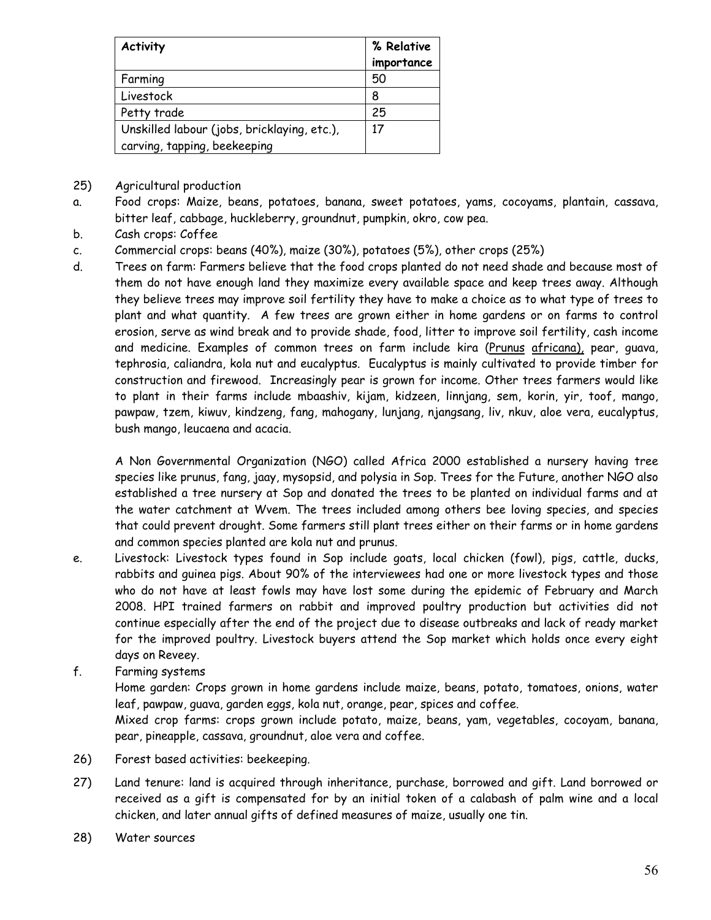| % Relative |
|------------|
| importance |
| 50         |
| 8          |
| 25         |
| 17         |
|            |

- 25) Agricultural production
- a. Food crops: Maize, beans, potatoes, banana, sweet potatoes, yams, cocoyams, plantain, cassava, bitter leaf, cabbage, huckleberry, groundnut, pumpkin, okro, cow pea.
- b. Cash crops: Coffee
- c. Commercial crops: beans (40%), maize (30%), potatoes (5%), other crops (25%)
- d. Trees on farm: Farmers believe that the food crops planted do not need shade and because most of them do not have enough land they maximize every available space and keep trees away. Although they believe trees may improve soil fertility they have to make a choice as to what type of trees to plant and what quantity. A few trees are grown either in home gardens or on farms to control erosion, serve as wind break and to provide shade, food, litter to improve soil fertility, cash income and medicine. Examples of common trees on farm include kira (Prunus africana), pear, guava, tephrosia, caliandra, kola nut and eucalyptus. Eucalyptus is mainly cultivated to provide timber for construction and firewood. Increasingly pear is grown for income. Other trees farmers would like to plant in their farms include mbaashiv, kijam, kidzeen, linnjang, sem, korin, yir, toof, mango, pawpaw, tzem, kiwuv, kindzeng, fang, mahogany, lunjang, njangsang, liv, nkuv, aloe vera, eucalyptus, bush mango, leucaena and acacia.

 A Non Governmental Organization (NGO) called Africa 2000 established a nursery having tree species like prunus, fang, jaay, mysopsid, and polysia in Sop. Trees for the Future, another NGO also established a tree nursery at Sop and donated the trees to be planted on individual farms and at the water catchment at Wvem. The trees included among others bee loving species, and species that could prevent drought. Some farmers still plant trees either on their farms or in home gardens and common species planted are kola nut and prunus.

- e. Livestock: Livestock types found in Sop include goats, local chicken (fowl), pigs, cattle, ducks, rabbits and guinea pigs. About 90% of the interviewees had one or more livestock types and those who do not have at least fowls may have lost some during the epidemic of February and March 2008. HPI trained farmers on rabbit and improved poultry production but activities did not continue especially after the end of the project due to disease outbreaks and lack of ready market for the improved poultry. Livestock buyers attend the Sop market which holds once every eight days on Reveey.
- f. Farming systems

Home garden: Crops grown in home gardens include maize, beans, potato, tomatoes, onions, water leaf, pawpaw, guava, garden eggs, kola nut, orange, pear, spices and coffee.

Mixed crop farms: crops grown include potato, maize, beans, yam, vegetables, cocoyam, banana, pear, pineapple, cassava, groundnut, aloe vera and coffee.

- 26) Forest based activities: beekeeping.
- 27) Land tenure: land is acquired through inheritance, purchase, borrowed and gift. Land borrowed or received as a gift is compensated for by an initial token of a calabash of palm wine and a local chicken, and later annual gifts of defined measures of maize, usually one tin.
- 28) Water sources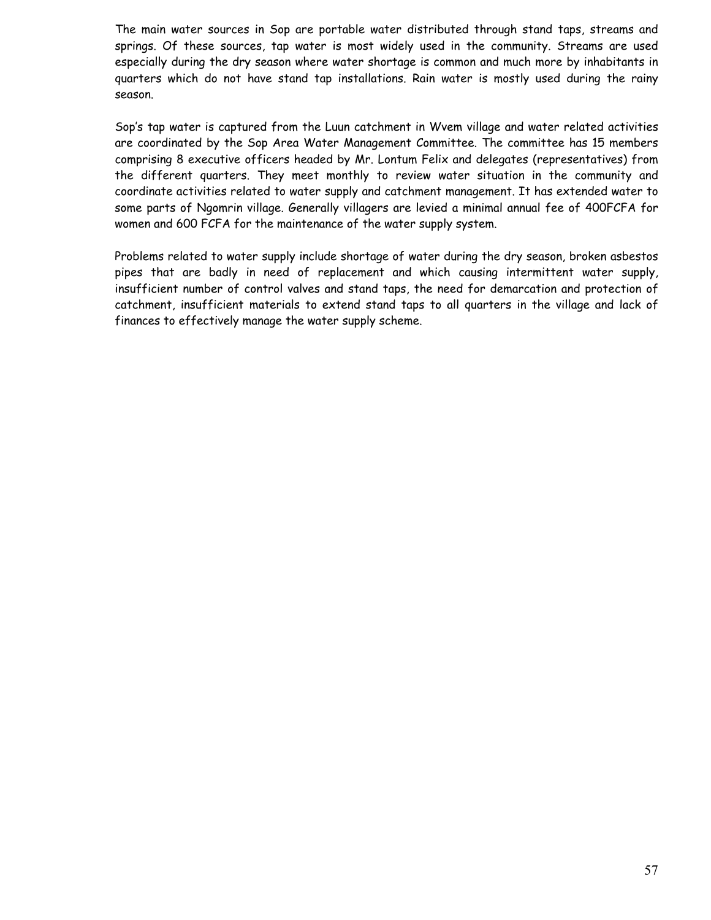The main water sources in Sop are portable water distributed through stand taps, streams and springs. Of these sources, tap water is most widely used in the community. Streams are used especially during the dry season where water shortage is common and much more by inhabitants in quarters which do not have stand tap installations. Rain water is mostly used during the rainy season.

Sop's tap water is captured from the Luun catchment in Wvem village and water related activities are coordinated by the Sop Area Water Management Committee. The committee has 15 members comprising 8 executive officers headed by Mr. Lontum Felix and delegates (representatives) from the different quarters. They meet monthly to review water situation in the community and coordinate activities related to water supply and catchment management. It has extended water to some parts of Ngomrin village. Generally villagers are levied a minimal annual fee of 400FCFA for women and 600 FCFA for the maintenance of the water supply system.

Problems related to water supply include shortage of water during the dry season, broken asbestos pipes that are badly in need of replacement and which causing intermittent water supply, insufficient number of control valves and stand taps, the need for demarcation and protection of catchment, insufficient materials to extend stand taps to all quarters in the village and lack of finances to effectively manage the water supply scheme.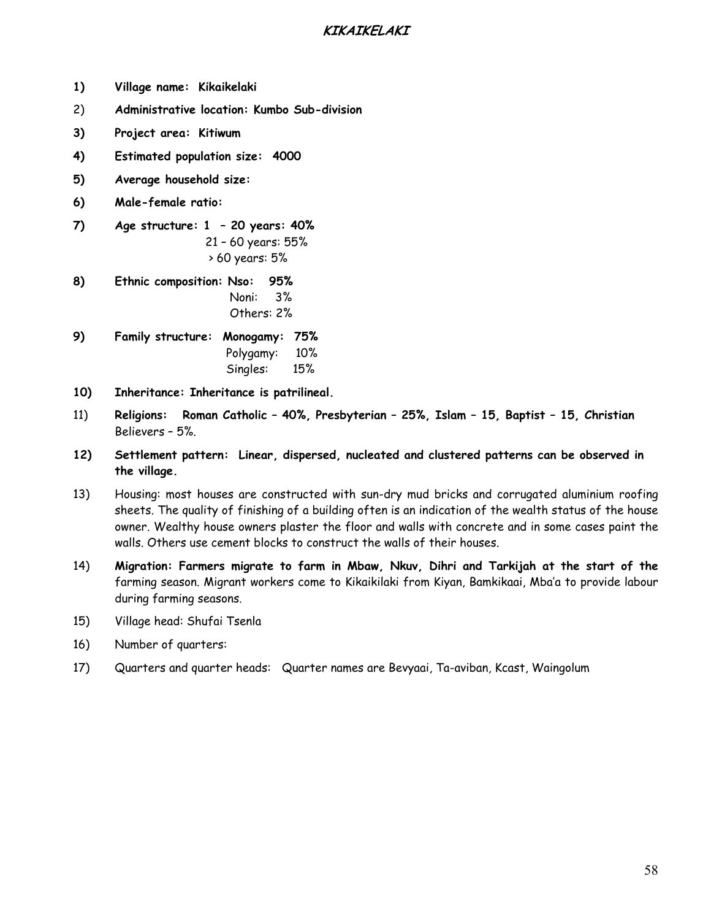## **KIKAIKELAKI**

- **1) Village name: Kikaikelaki**
- 2) **Administrative location: Kumbo Sub-division**
- **3) Project area: Kitiwum**
- **4) Estimated population size: 4000**
- **5) Average household size:**
- **6) Male-female ratio:**
- **7) Age structure:1 20 years: 40%**  21 – 60 years: 55% > 60 years: 5%
- **8) Ethnic composition: Nso: 95%**  Noni: 3% Others: 2%
- **9) Family structure: Monogamy: 75%**  Polygamy: 10% Singles: 15%
- **10) Inheritance: Inheritance is patrilineal.**
- 11) **Religions: Roman Catholic 40%, Presbyterian 25%, Islam 15, Baptist 15, Christian** Believers – 5%.
- **12) Settlement pattern: Linear, dispersed, nucleated and clustered patterns can be observed in the village.**
- 13) Housing: most houses are constructed with sun-dry mud bricks and corrugated aluminium roofing sheets. The quality of finishing of a building often is an indication of the wealth status of the house owner. Wealthy house owners plaster the floor and walls with concrete and in some cases paint the walls. Others use cement blocks to construct the walls of their houses.
- 14) **Migration: Farmers migrate to farm in Mbaw, Nkuv, Dihri and Tarkijah at the start of the** farming season. Migrant workers come to Kikaikilaki from Kiyan, Bamkikaai, Mba'a to provide labour during farming seasons.
- 15) Village head: Shufai Tsenla
- 16) Number of quarters:
- 17) Quarters and quarter heads: Quarter names are Bevyaai, Ta-aviban, Kcast, Waingolum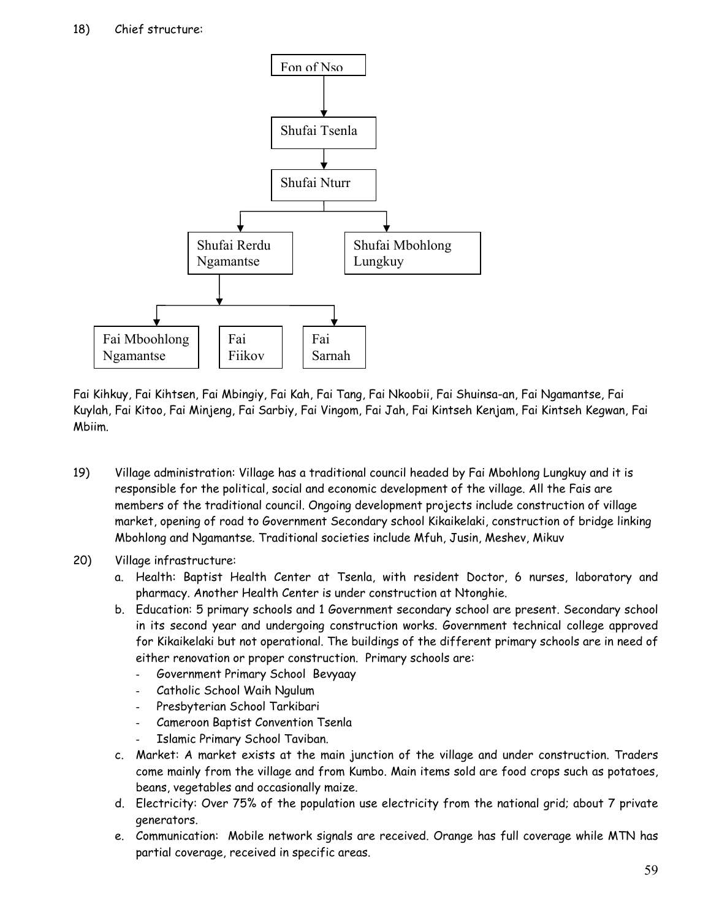

Fai Kihkuy, Fai Kihtsen, Fai Mbingiy, Fai Kah, Fai Tang, Fai Nkoobii, Fai Shuinsa-an, Fai Ngamantse, Fai Kuylah, Fai Kitoo, Fai Minjeng, Fai Sarbiy, Fai Vingom, Fai Jah, Fai Kintseh Kenjam, Fai Kintseh Kegwan, Fai Mbiim.

- 19) Village administration: Village has a traditional council headed by Fai Mbohlong Lungkuy and it is responsible for the political, social and economic development of the village. All the Fais are members of the traditional council. Ongoing development projects include construction of village market, opening of road to Government Secondary school Kikaikelaki, construction of bridge linking Mbohlong and Ngamantse. Traditional societies include Mfuh, Jusin, Meshev, Mikuv
- 20) Village infrastructure:
	- a. Health: Baptist Health Center at Tsenla, with resident Doctor, 6 nurses, laboratory and pharmacy. Another Health Center is under construction at Ntonghie.
	- b. Education: 5 primary schools and 1 Government secondary school are present. Secondary school in its second year and undergoing construction works. Government technical college approved for Kikaikelaki but not operational. The buildings of the different primary schools are in need of either renovation or proper construction. Primary schools are:
		- Government Primary School Bevyaay
		- Catholic School Waih Ngulum
		- Presbyterian School Tarkibari
		- Cameroon Baptist Convention Tsenla
		- Islamic Primary School Taviban.
	- c. Market: A market exists at the main junction of the village and under construction. Traders come mainly from the village and from Kumbo. Main items sold are food crops such as potatoes, beans, vegetables and occasionally maize.
	- d. Electricity: Over 75% of the population use electricity from the national grid; about 7 private generators.
	- e. Communication: Mobile network signals are received. Orange has full coverage while MTN has partial coverage, received in specific areas.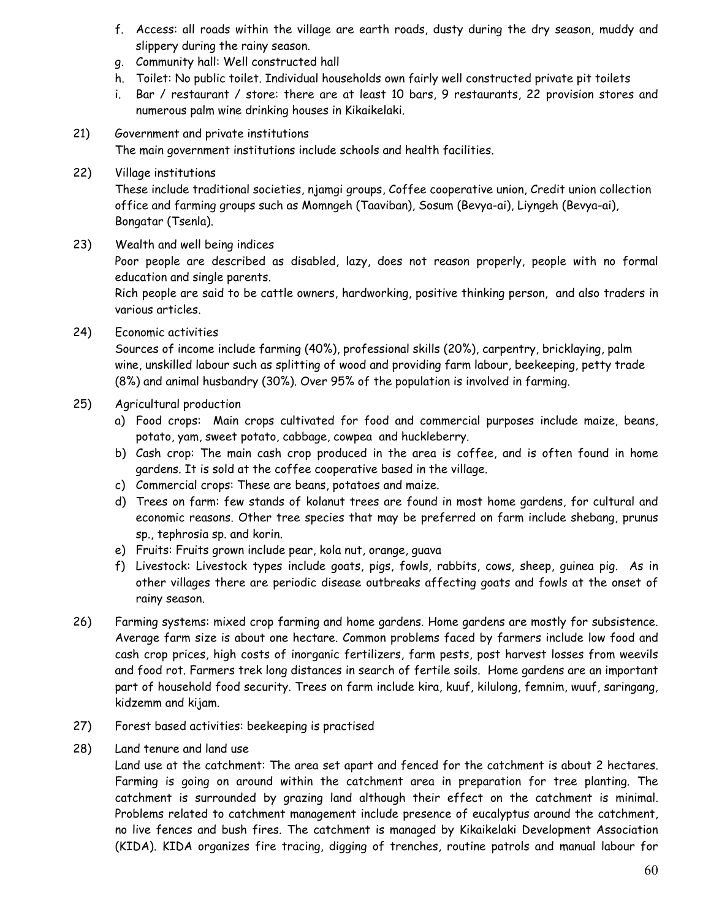- f. Access: all roads within the village are earth roads, dusty during the dry season, muddy and slippery during the rainy season.
- g. Community hall: Well constructed hall
- h. Toilet: No public toilet. Individual households own fairly well constructed private pit toilets
- i. Bar / restaurant / store: there are at least 10 bars, 9 restaurants, 22 provision stores and numerous palm wine drinking houses in Kikaikelaki.
- 21) Government and private institutions The main government institutions include schools and health facilities.
- 22) Village institutions

These include traditional societies, njamgi groups, Coffee cooperative union, Credit union collection office and farming groups such as Momngeh (Taaviban), Sosum (Bevya-ai), Liyngeh (Bevya-ai), Bongatar (Tsenla).

23) Wealth and well being indices

Poor people are described as disabled, lazy, does not reason properly, people with no formal education and single parents.

Rich people are said to be cattle owners, hardworking, positive thinking person, and also traders in various articles.

24) Economic activities

Sources of income include farming (40%), professional skills (20%), carpentry, bricklaying, palm wine, unskilled labour such as splitting of wood and providing farm labour, beekeeping, petty trade (8%) and animal husbandry (30%). Over 95% of the population is involved in farming.

- 25) Agricultural production
	- a) Food crops: Main crops cultivated for food and commercial purposes include maize, beans, potato, yam, sweet potato, cabbage, cowpea and huckleberry.
	- b) Cash crop: The main cash crop produced in the area is coffee, and is often found in home gardens. It is sold at the coffee cooperative based in the village.
	- c) Commercial crops: These are beans, potatoes and maize.
	- d) Trees on farm: few stands of kolanut trees are found in most home gardens, for cultural and economic reasons. Other tree species that may be preferred on farm include shebang, prunus sp., tephrosia sp. and korin.
	- e) Fruits: Fruits grown include pear, kola nut, orange, guava
	- f) Livestock: Livestock types include goats, pigs, fowls, rabbits, cows, sheep, guinea pig. As in other villages there are periodic disease outbreaks affecting goats and fowls at the onset of rainy season.
- 26) Farming systems: mixed crop farming and home gardens. Home gardens are mostly for subsistence. Average farm size is about one hectare. Common problems faced by farmers include low food and cash crop prices, high costs of inorganic fertilizers, farm pests, post harvest losses from weevils and food rot. Farmers trek long distances in search of fertile soils. Home gardens are an important part of household food security. Trees on farm include kira, kuuf, kilulong, femnim, wuuf, saringang, kidzemm and kijam.
- 27) Forest based activities: beekeeping is practised
- 28) Land tenure and land use

Land use at the catchment: The area set apart and fenced for the catchment is about 2 hectares. Farming is going on around within the catchment area in preparation for tree planting. The catchment is surrounded by grazing land although their effect on the catchment is minimal. Problems related to catchment management include presence of eucalyptus around the catchment, no live fences and bush fires. The catchment is managed by Kikaikelaki Development Association (KIDA). KIDA organizes fire tracing, digging of trenches, routine patrols and manual labour for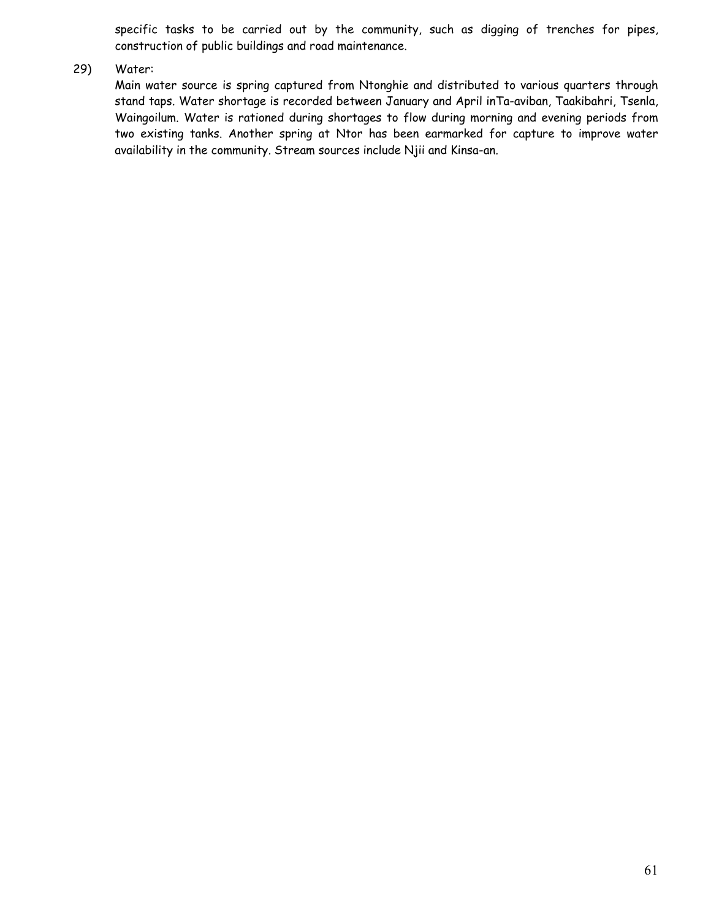specific tasks to be carried out by the community, such as digging of trenches for pipes, construction of public buildings and road maintenance.

### 29) Water:

Main water source is spring captured from Ntonghie and distributed to various quarters through stand taps. Water shortage is recorded between January and April inTa-aviban, Taakibahri, Tsenla, Waingoilum. Water is rationed during shortages to flow during morning and evening periods from two existing tanks. Another spring at Ntor has been earmarked for capture to improve water availability in the community. Stream sources include Njii and Kinsa-an.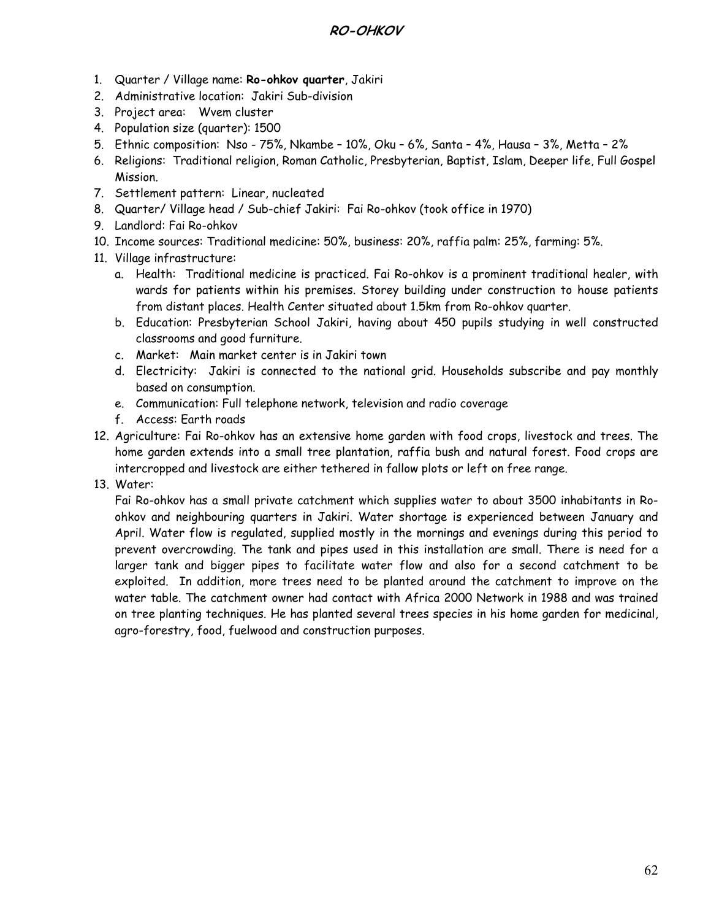## **RO-OHKOV**

- 1. Quarter / Village name: **Ro-ohkov quarter**, Jakiri
- 2. Administrative location: Jakiri Sub-division
- 3. Project area: Wvem cluster
- 4. Population size (quarter): 1500
- 5. Ethnic composition: Nso 75%, Nkambe 10%, Oku 6%, Santa 4%, Hausa 3%, Metta 2%
- 6. Religions: Traditional religion, Roman Catholic, Presbyterian, Baptist, Islam, Deeper life, Full Gospel Mission.
- 7. Settlement pattern: Linear, nucleated
- 8. Quarter/ Village head / Sub-chief Jakiri: Fai Ro-ohkov (took office in 1970)
- 9. Landlord: Fai Ro-ohkov
- 10. Income sources: Traditional medicine: 50%, business: 20%, raffia palm: 25%, farming: 5%.
- 11. Village infrastructure:
	- a. Health: Traditional medicine is practiced. Fai Ro-ohkov is a prominent traditional healer, with wards for patients within his premises. Storey building under construction to house patients from distant places. Health Center situated about 1.5km from Ro-ohkov quarter.
	- b. Education: Presbyterian School Jakiri, having about 450 pupils studying in well constructed classrooms and good furniture.
	- c. Market: Main market center is in Jakiri town
	- d. Electricity: Jakiri is connected to the national grid. Households subscribe and pay monthly based on consumption.
	- e. Communication: Full telephone network, television and radio coverage
	- f. Access: Earth roads
- 12. Agriculture: Fai Ro-ohkov has an extensive home garden with food crops, livestock and trees. The home garden extends into a small tree plantation, raffia bush and natural forest. Food crops are intercropped and livestock are either tethered in fallow plots or left on free range.
- 13. Water:

Fai Ro-ohkov has a small private catchment which supplies water to about 3500 inhabitants in Roohkov and neighbouring quarters in Jakiri. Water shortage is experienced between January and April. Water flow is regulated, supplied mostly in the mornings and evenings during this period to prevent overcrowding. The tank and pipes used in this installation are small. There is need for a larger tank and bigger pipes to facilitate water flow and also for a second catchment to be exploited. In addition, more trees need to be planted around the catchment to improve on the water table. The catchment owner had contact with Africa 2000 Network in 1988 and was trained on tree planting techniques. He has planted several trees species in his home garden for medicinal, agro-forestry, food, fuelwood and construction purposes.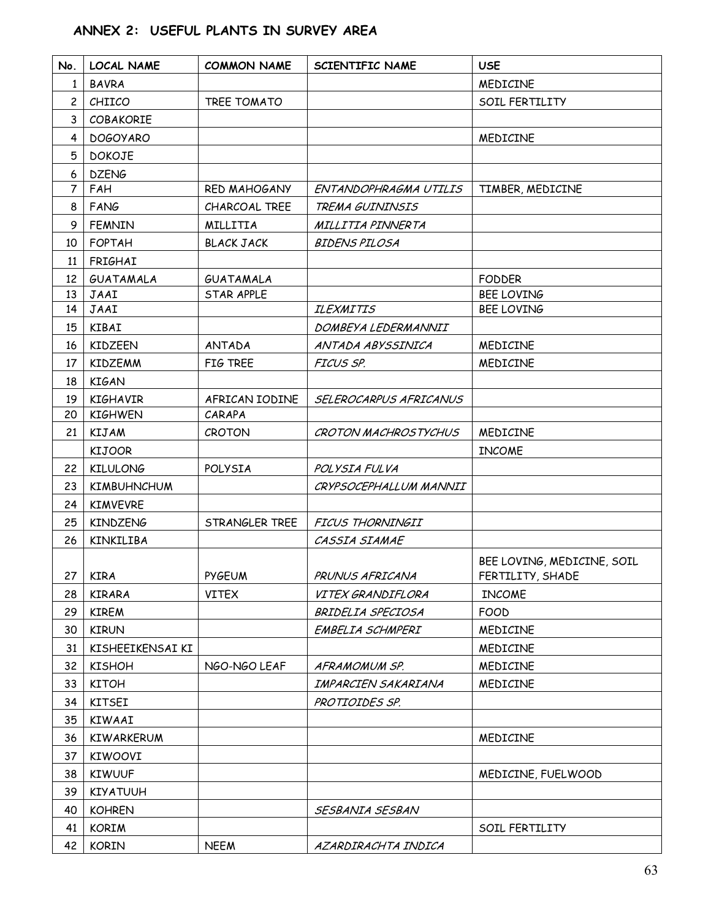# **ANNEX 2: USEFUL PLANTS IN SURVEY AREA**

| No.                                                                        | <b>LOCAL NAME</b>                                                                                                                                                                                                 | <b>COMMON NAME</b>          | <b>SCIENTIFIC NAME</b>                                                          | <b>USE</b>                                                                                                         |
|----------------------------------------------------------------------------|-------------------------------------------------------------------------------------------------------------------------------------------------------------------------------------------------------------------|-----------------------------|---------------------------------------------------------------------------------|--------------------------------------------------------------------------------------------------------------------|
| 1                                                                          | <b>BAVRA</b>                                                                                                                                                                                                      |                             |                                                                                 | MEDICINE                                                                                                           |
| $\overline{c}$                                                             | CHIICO                                                                                                                                                                                                            | TREE TOMATO                 |                                                                                 | SOIL FERTILITY                                                                                                     |
| 3                                                                          | COBAKORIE                                                                                                                                                                                                         |                             |                                                                                 |                                                                                                                    |
| $\overline{4}$                                                             | <b>DOGOYARO</b>                                                                                                                                                                                                   |                             |                                                                                 | MEDICINE                                                                                                           |
| 5                                                                          | <b>DOKOJE</b>                                                                                                                                                                                                     |                             |                                                                                 |                                                                                                                    |
| 6                                                                          | <b>DZENG</b>                                                                                                                                                                                                      |                             |                                                                                 |                                                                                                                    |
| 7                                                                          | FAH                                                                                                                                                                                                               | <b>RED MAHOGANY</b>         | ENTANDOPHRAGMA UTILIS                                                           | TIMBER, MEDICINE                                                                                                   |
| 8                                                                          | FANG                                                                                                                                                                                                              | CHARCOAL TREE               | TREMA GUININSIS                                                                 |                                                                                                                    |
| 9                                                                          | <b>FEMNIN</b>                                                                                                                                                                                                     | MILLITIA                    | MILLITIA PINNERTA                                                               |                                                                                                                    |
| 10                                                                         | <b>FOPTAH</b>                                                                                                                                                                                                     | <b>BLACK JACK</b>           | <b>BIDENS PILOSA</b>                                                            |                                                                                                                    |
| 11                                                                         | FRIGHAI                                                                                                                                                                                                           |                             |                                                                                 |                                                                                                                    |
| 12                                                                         | GUATAMALA                                                                                                                                                                                                         | GUATAMALA                   |                                                                                 | <b>FODDER</b>                                                                                                      |
| 13                                                                         | JAAI                                                                                                                                                                                                              | STAR APPLE                  |                                                                                 | <b>BEE LOVING</b>                                                                                                  |
| 14                                                                         | JAAI                                                                                                                                                                                                              |                             | <b>ILEXMITIS</b>                                                                | <b>BEE LOVING</b>                                                                                                  |
| 15                                                                         | KIBAI                                                                                                                                                                                                             |                             | DOMBEYA LEDERMANNII                                                             |                                                                                                                    |
| 16                                                                         | <b>KIDZEEN</b>                                                                                                                                                                                                    | <b>ANTADA</b>               | ANTADA ABYSSINICA                                                               | MEDICINE                                                                                                           |
| 17                                                                         | <b>KIDZEMM</b>                                                                                                                                                                                                    | FIG TREE                    | FICUS SP.                                                                       | MEDICINE                                                                                                           |
| 18                                                                         | <b>KIGAN</b>                                                                                                                                                                                                      |                             |                                                                                 |                                                                                                                    |
| 19                                                                         | <b>KIGHAVIR</b>                                                                                                                                                                                                   | AFRICAN IODINE              | SELEROCARPUS AFRICANUS                                                          |                                                                                                                    |
| 20                                                                         | <b>KIGHWEN</b>                                                                                                                                                                                                    | CARAPA                      |                                                                                 |                                                                                                                    |
| 21                                                                         | <b>KIJAM</b>                                                                                                                                                                                                      | CROTON                      | <b>CROTON MACHROSTYCHUS</b>                                                     | MEDICINE                                                                                                           |
|                                                                            | <b>KIJOOR</b>                                                                                                                                                                                                     |                             |                                                                                 | <b>INCOME</b>                                                                                                      |
| 22                                                                         | <b>KILULONG</b>                                                                                                                                                                                                   | POLYSIA                     | POLYSIA FULVA                                                                   |                                                                                                                    |
| 23                                                                         | <b>KIMBUHNCHUM</b>                                                                                                                                                                                                |                             | CRYPSOCEPHALLUM MANNII                                                          |                                                                                                                    |
| 24                                                                         | <b>KIMVEVRE</b>                                                                                                                                                                                                   |                             |                                                                                 |                                                                                                                    |
| 25                                                                         | <b>KINDZENG</b>                                                                                                                                                                                                   | STRANGLER TREE              | FICUS THORNINGII                                                                |                                                                                                                    |
| 26                                                                         | <b>KINKILIBA</b>                                                                                                                                                                                                  |                             | CASSIA SIAMAE                                                                   |                                                                                                                    |
|                                                                            |                                                                                                                                                                                                                   |                             |                                                                                 |                                                                                                                    |
|                                                                            | $27$ KIRA                                                                                                                                                                                                         | <b>PYGEUM</b>               | PRUNUS AFRICANA                                                                 | FERTILITY, SHADE                                                                                                   |
| 28                                                                         | <b>KIRARA</b>                                                                                                                                                                                                     | <b>VITEX</b>                | VITEX GRANDIFLORA                                                               | <b>INCOME</b>                                                                                                      |
| 29                                                                         | <b>KIREM</b>                                                                                                                                                                                                      |                             | BRIDELIA SPECIOSA                                                               | <b>FOOD</b>                                                                                                        |
|                                                                            |                                                                                                                                                                                                                   |                             | EMBELIA SCHMPERI                                                                | MEDICINE                                                                                                           |
|                                                                            |                                                                                                                                                                                                                   |                             |                                                                                 |                                                                                                                    |
|                                                                            |                                                                                                                                                                                                                   |                             | AFRAMOMUM SP.                                                                   |                                                                                                                    |
|                                                                            |                                                                                                                                                                                                                   |                             |                                                                                 |                                                                                                                    |
|                                                                            |                                                                                                                                                                                                                   |                             |                                                                                 |                                                                                                                    |
|                                                                            |                                                                                                                                                                                                                   |                             |                                                                                 |                                                                                                                    |
|                                                                            |                                                                                                                                                                                                                   |                             |                                                                                 |                                                                                                                    |
|                                                                            |                                                                                                                                                                                                                   |                             |                                                                                 |                                                                                                                    |
|                                                                            |                                                                                                                                                                                                                   |                             |                                                                                 |                                                                                                                    |
|                                                                            |                                                                                                                                                                                                                   |                             |                                                                                 |                                                                                                                    |
|                                                                            |                                                                                                                                                                                                                   |                             |                                                                                 |                                                                                                                    |
|                                                                            |                                                                                                                                                                                                                   |                             |                                                                                 |                                                                                                                    |
|                                                                            |                                                                                                                                                                                                                   |                             |                                                                                 |                                                                                                                    |
| 30<br>31<br>32<br>33<br>34<br>35<br>36<br>37<br>38<br>39<br>40<br>41<br>42 | <b>KIRUN</b><br>KISHEEIKENSAI KI<br><b>KISHOH</b><br><b>KITOH</b><br><b>KITSEI</b><br><b>KIWAAI</b><br>KIWARKERUM<br>KIWOOVI<br><b>KIWUUF</b><br><b>KIYATUUH</b><br><b>KOHREN</b><br><b>KORIM</b><br><b>KORIN</b> | NGO-NGO LEAF<br><b>NEEM</b> | IMPARCIEN SAKARIANA<br>PROTIOIDES SP.<br>SESBANIA SESBAN<br>AZARDIRACHTA INDICA | BEE LOVING, MEDICINE, SOIL<br>MEDICINE<br>MEDICINE<br>MEDICINE<br>MEDICINE<br>MEDICINE, FUELWOOD<br>SOIL FERTILITY |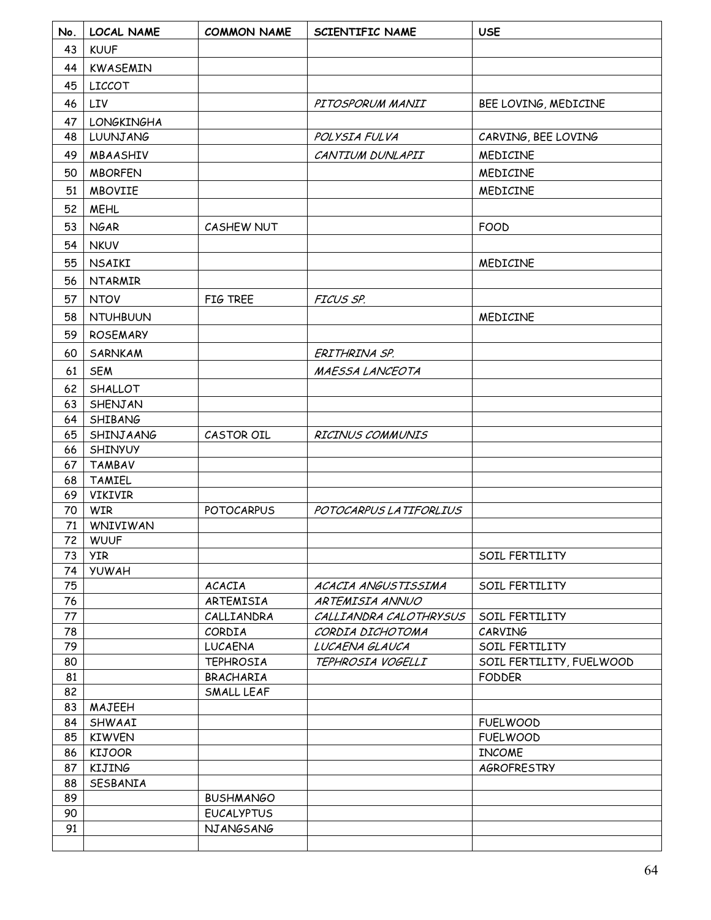| No.      | <b>LOCAL NAME</b>         | <b>COMMON NAME</b> | SCIENTIFIC NAME         | <b>USE</b>               |
|----------|---------------------------|--------------------|-------------------------|--------------------------|
| 43       | <b>KUUF</b>               |                    |                         |                          |
| 44       | KWASEMIN                  |                    |                         |                          |
| 45       | <b>LICCOT</b>             |                    |                         |                          |
| 46       | LIV                       |                    | PITOSPORUM MANII        | BEE LOVING, MEDICINE     |
| 47       | <b>LONGKINGHA</b>         |                    |                         |                          |
| 48       | LUUNJANG                  |                    | POLYSIA FULVA           | CARVING, BEE LOVING      |
| 49       | MBAASHIV                  |                    | CANTIUM DUNLAPII        | MEDICINE                 |
| 50       |                           |                    |                         | MEDICINE                 |
|          | <b>MBORFEN</b>            |                    |                         |                          |
| 51       | <b>MBOVIIE</b>            |                    |                         | MEDICINE                 |
| 52       | <b>MEHL</b>               |                    |                         |                          |
| 53       | <b>NGAR</b>               | CASHEW NUT         |                         | <b>FOOD</b>              |
| 54       | <b>NKUV</b>               |                    |                         |                          |
| 55       | <b>NSAIKI</b>             |                    |                         | MEDICINE                 |
| 56       | <b>NTARMIR</b>            |                    |                         |                          |
| 57       | <b>NTOV</b>               | FIG TREE           | FICUS SP.               |                          |
| 58       | <b>NTUHBUUN</b>           |                    |                         | MEDICINE                 |
| 59       | <b>ROSEMARY</b>           |                    |                         |                          |
| 60       | SARNKAM                   |                    | ERITHRINA SP.           |                          |
| 61       | <b>SEM</b>                |                    | MAESSA LANCEOTA         |                          |
| 62       | SHALLOT                   |                    |                         |                          |
| 63       | SHENJAN                   |                    |                         |                          |
| 64       | SHIBANG                   |                    |                         |                          |
| 65       | SHINJAANG                 | CASTOR OIL         | <b>RICINUS COMMUNIS</b> |                          |
| 66       | SHINYUY                   |                    |                         |                          |
| 67       | <b>TAMBAV</b>             |                    |                         |                          |
| 68       | <b>TAMIEL</b>             |                    |                         |                          |
| 69       | VIKIVIR                   |                    |                         |                          |
| 70       | <b>WIR</b>                | <b>POTOCARPUS</b>  | POTOCARPUS LA TIFORLIUS |                          |
| 71       | WNIVIWAN                  |                    |                         |                          |
| 72<br>73 | <b>WUUF</b><br><b>YIR</b> |                    |                         | SOIL FERTILITY           |
| 74       | <b>YUWAH</b>              |                    |                         |                          |
| 75       |                           | <b>ACACIA</b>      | ACACIA ANGUSTISSIMA     | SOIL FERTILITY           |
| 76       |                           | ARTEMISIA          | ARTEMISIA ANNUO         |                          |
| 77       |                           | CALLIANDRA         | CALLIANDRA CALOTHRYSUS  | SOIL FERTILITY           |
| 78       |                           | CORDIA             | CORDIA DICHOTOMA        | CARVING                  |
| 79       |                           | <b>LUCAENA</b>     | LUCAENA GLAUCA          | SOIL FERTILITY           |
| 80       |                           | <b>TEPHROSIA</b>   | TEPHROSIA VOGELLI       | SOIL FERTILITY, FUELWOOD |
| 81       |                           | BRACHARIA          |                         | <b>FODDER</b>            |
| 82       |                           | SMALL LEAF         |                         |                          |
| 83<br>84 | MAJEEH<br>SHWAAI          |                    |                         | <b>FUELWOOD</b>          |
| 85       | <b>KIWVEN</b>             |                    |                         | <b>FUELWOOD</b>          |
| 86       | <b>KIJOOR</b>             |                    |                         | <b>INCOME</b>            |
| 87       | KIJING                    |                    |                         | AGROFRESTRY              |
| 88       | SESBANIA                  |                    |                         |                          |
| 89       |                           | <b>BUSHMANGO</b>   |                         |                          |
| 90       |                           | <b>EUCALYPTUS</b>  |                         |                          |
| 91       |                           | NJANGSANG          |                         |                          |
|          |                           |                    |                         |                          |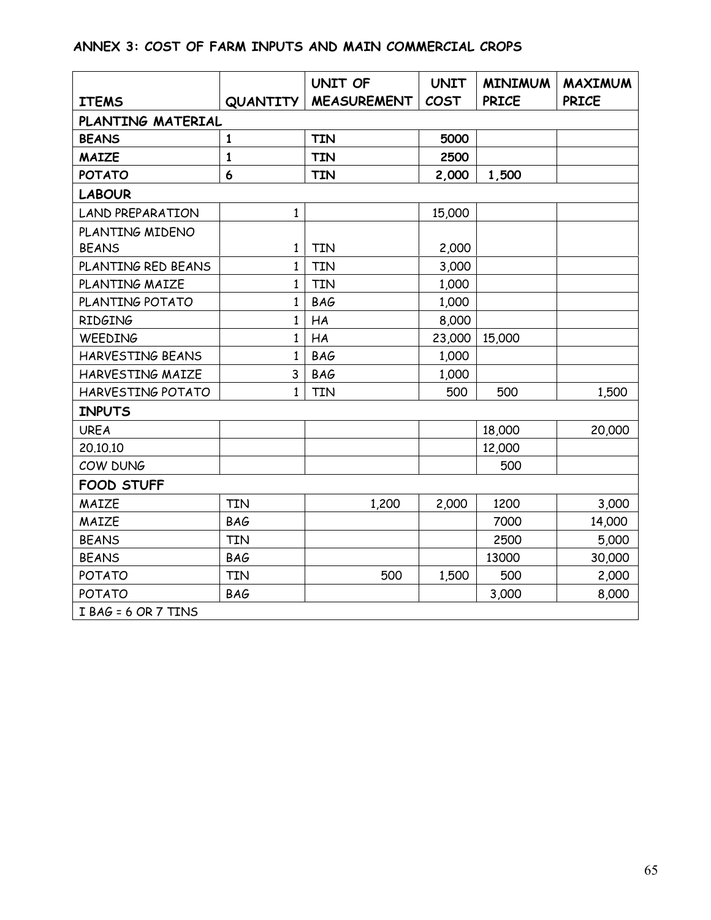# **ANNEX 3: COST OF FARM INPUTS AND MAIN COMMERCIAL CROPS**

| <b>ITEMS</b>            | QUANTITY     | UNIT OF<br><b>MEASUREMENT</b> | <b>UNIT</b><br><b>COST</b> | <b>MINIMUM</b><br><b>PRICE</b> | <b>MAXIMUM</b><br><b>PRICE</b> |  |  |  |  |
|-------------------------|--------------|-------------------------------|----------------------------|--------------------------------|--------------------------------|--|--|--|--|
|                         |              |                               |                            |                                |                                |  |  |  |  |
| PLANTING MATERIAL       |              |                               |                            |                                |                                |  |  |  |  |
| <b>BEANS</b>            | $\mathbf{1}$ | <b>TIN</b>                    | 5000                       |                                |                                |  |  |  |  |
| <b>MAIZE</b>            | $\mathbf{1}$ | <b>TIN</b>                    | 2500                       |                                |                                |  |  |  |  |
| <b>POTATO</b>           | 6            | <b>TIN</b>                    | 2,000                      | 1,500                          |                                |  |  |  |  |
| <b>LABOUR</b>           |              |                               |                            |                                |                                |  |  |  |  |
| <b>LAND PREPARATION</b> | 1            |                               | 15,000                     |                                |                                |  |  |  |  |
| PLANTING MIDENO         |              |                               |                            |                                |                                |  |  |  |  |
| <b>BEANS</b>            | 1            | <b>TIN</b>                    | 2,000                      |                                |                                |  |  |  |  |
| PLANTING RED BEANS      | $\mathbf{1}$ | <b>TIN</b>                    | 3,000                      |                                |                                |  |  |  |  |
| PLANTING MAIZE          | 1            | <b>TIN</b>                    | 1,000                      |                                |                                |  |  |  |  |
| PLANTING POTATO         | 1            | <b>BAG</b>                    | 1,000                      |                                |                                |  |  |  |  |
| <b>RIDGING</b>          | $\mathbf{1}$ | HA                            | 8,000                      |                                |                                |  |  |  |  |
| WEEDING                 | $\mathbf{1}$ | HA                            | 23,000                     | 15,000                         |                                |  |  |  |  |
| HARVESTING BEANS        | $\mathbf{1}$ | <b>BAG</b>                    | 1,000                      |                                |                                |  |  |  |  |
| HARVESTING MAIZE        | 3            | <b>BAG</b>                    | 1,000                      |                                |                                |  |  |  |  |
| HARVESTING POTATO       | 1            | <b>TIN</b>                    | 500                        | 500                            | 1,500                          |  |  |  |  |
| <b>INPUTS</b>           |              |                               |                            |                                |                                |  |  |  |  |
| <b>UREA</b>             |              |                               |                            | 18,000                         | 20,000                         |  |  |  |  |
| 20.10.10                |              |                               |                            | 12,000                         |                                |  |  |  |  |
| COW DUNG                |              |                               |                            | 500                            |                                |  |  |  |  |
| <b>FOOD STUFF</b>       |              |                               |                            |                                |                                |  |  |  |  |
| MAIZE                   | <b>TIN</b>   | 1,200                         | 2,000                      | 1200                           | 3,000                          |  |  |  |  |
| MAIZE                   | <b>BAG</b>   |                               |                            | 7000                           | 14,000                         |  |  |  |  |
| <b>BEANS</b>            | <b>TIN</b>   |                               |                            | 2500                           | 5,000                          |  |  |  |  |
| <b>BEANS</b>            | <b>BAG</b>   |                               |                            | 13000                          | 30,000                         |  |  |  |  |
| <b>POTATO</b>           | <b>TIN</b>   | 500                           | 1,500                      | 500                            | 2,000                          |  |  |  |  |
| POTATO                  | <b>BAG</b>   |                               |                            | 3,000                          | 8,000                          |  |  |  |  |
| I BAG = 6 OR 7 TINS     |              |                               |                            |                                |                                |  |  |  |  |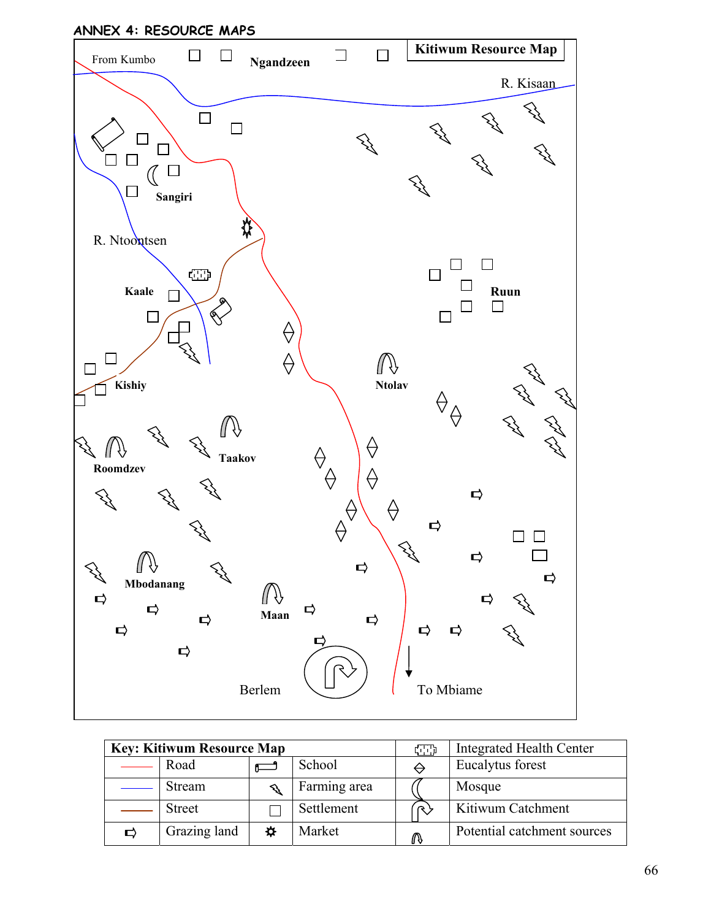

| <b>Key: Kitiwum Resource Map</b> |               |   | con          | <b>Integrated Health Center</b> |                             |
|----------------------------------|---------------|---|--------------|---------------------------------|-----------------------------|
|                                  | Road          |   | School       |                                 | Eucalytus forest            |
|                                  | Stream        |   | Farming area |                                 | Mosque                      |
|                                  | <b>Street</b> |   | Settlement   |                                 | Kitiwum Catchment           |
| D                                | Grazing land  | ☆ | Market       | ⋒                               | Potential catchment sources |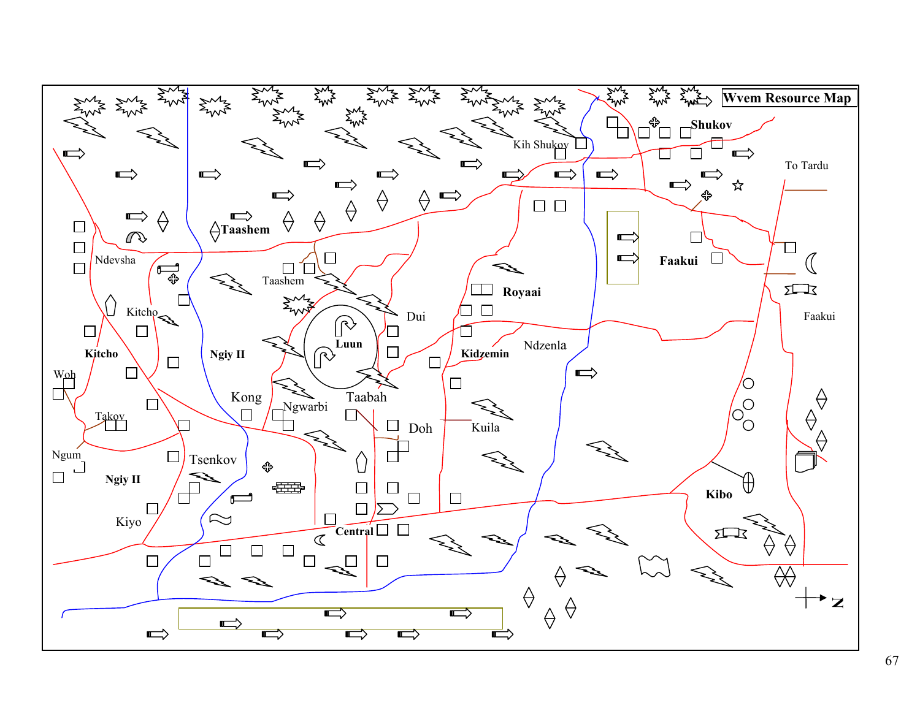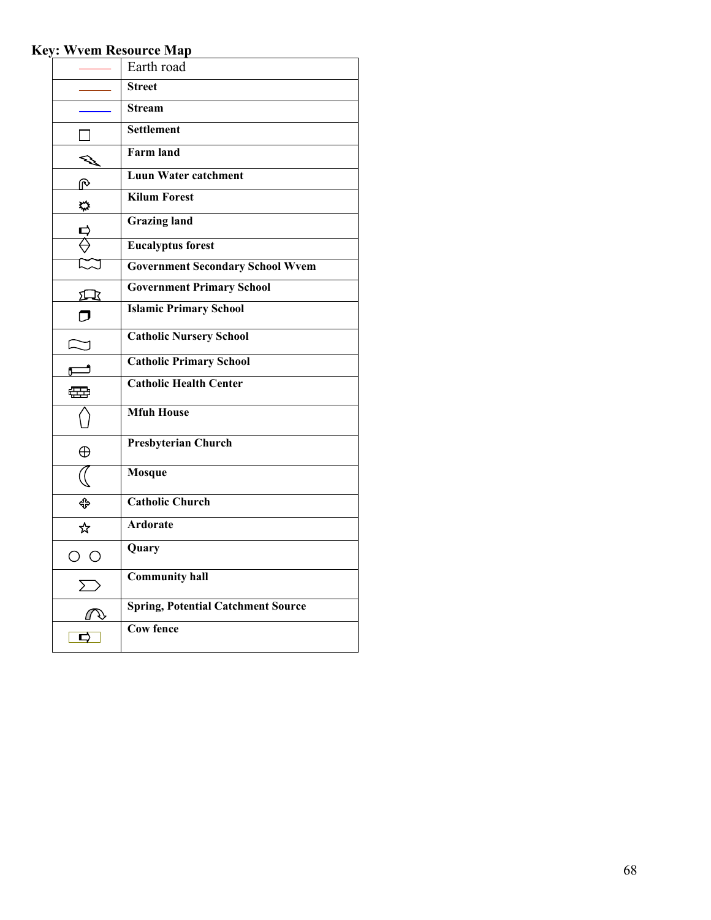# **Key: Wvem Resource Map**

|                         | Earth road                                |
|-------------------------|-------------------------------------------|
|                         | <b>Street</b>                             |
|                         | <b>Stream</b>                             |
|                         | <b>Settlement</b>                         |
|                         | <b>Farm land</b>                          |
| ⋒                       | <b>Luun Water catchment</b>               |
| 器                       | <b>Kilum Forest</b>                       |
|                         | <b>Grazing land</b>                       |
|                         | <b>Eucalyptus forest</b>                  |
|                         | <b>Government Secondary School Wvem</b>   |
| 囗                       | <b>Government Primary School</b>          |
|                         | <b>Islamic Primary School</b>             |
|                         | <b>Catholic Nursery School</b>            |
|                         | <b>Catholic Primary School</b>            |
| 靈                       | <b>Catholic Health Center</b>             |
|                         | <b>Mfuh House</b>                         |
| $\oplus$                | <b>Presbyterian Church</b>                |
|                         | <b>Mosque</b>                             |
| ⊕                       | <b>Catholic Church</b>                    |
| ☆                       | <b>Ardorate</b>                           |
| $\bigcirc$<br>С         | Quary                                     |
| $\sum$                  | <b>Community hall</b>                     |
| IJ,                     | <b>Spring, Potential Catchment Source</b> |
| $\overline{\mathbf{c}}$ | <b>Cow fence</b>                          |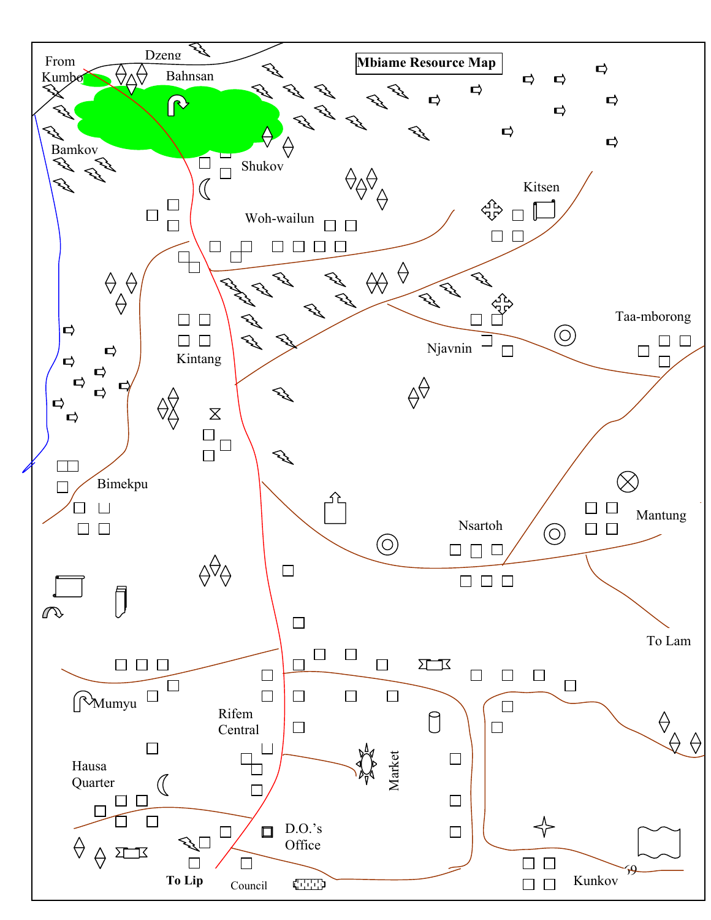